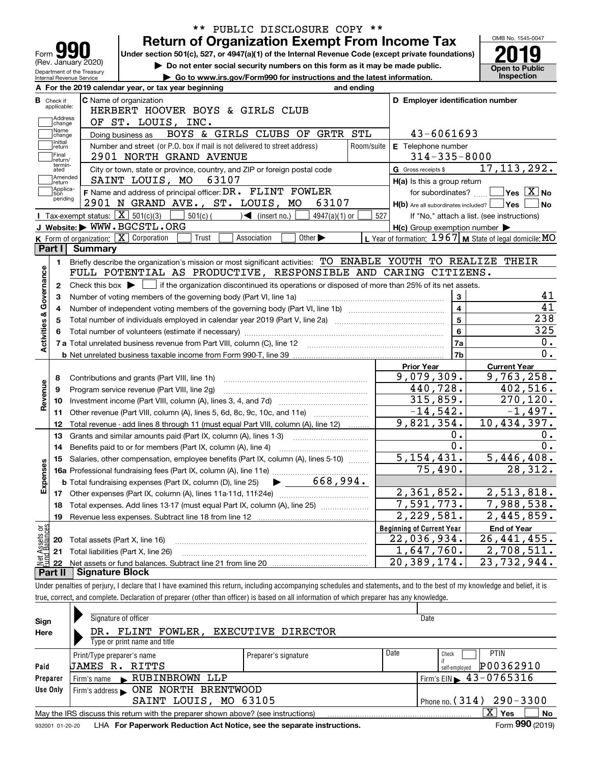|                           |                                                                                                           |                                  | PUBLIC DISCLOSURE COPY **<br>$***$                                                                                                                                         |                                                           |                                               |  |  |  |  |  |  |  |
|---------------------------|-----------------------------------------------------------------------------------------------------------|----------------------------------|----------------------------------------------------------------------------------------------------------------------------------------------------------------------------|-----------------------------------------------------------|-----------------------------------------------|--|--|--|--|--|--|--|
|                           |                                                                                                           |                                  | <b>Return of Organization Exempt From Income Tax</b>                                                                                                                       |                                                           | OMB No. 1545-0047                             |  |  |  |  |  |  |  |
|                           | Form $\Box$                                                                                               |                                  | Under section 501(c), 527, or 4947(a)(1) of the Internal Revenue Code (except private foundations)                                                                         |                                                           |                                               |  |  |  |  |  |  |  |
|                           | (Rev. January 2020)                                                                                       | Department of the Treasury       | Do not enter social security numbers on this form as it may be made public.                                                                                                |                                                           | <b>Open to Public</b>                         |  |  |  |  |  |  |  |
|                           | Internal Revenue Service                                                                                  |                                  | Go to www.irs.gov/Form990 for instructions and the latest information.                                                                                                     |                                                           | Inspection                                    |  |  |  |  |  |  |  |
|                           |                                                                                                           |                                  | A For the 2019 calendar year, or tax year beginning<br>and ending<br>C Name of organization                                                                                |                                                           |                                               |  |  |  |  |  |  |  |
|                           | <b>B</b> Check if<br>applicable:                                                                          | D Employer identification number |                                                                                                                                                                            |                                                           |                                               |  |  |  |  |  |  |  |
|                           | Address                                                                                                   |                                  | HERBERT HOOVER BOYS & GIRLS CLUB                                                                                                                                           |                                                           |                                               |  |  |  |  |  |  |  |
|                           | OF ST. LOUIS, INC.<br>change<br>Name<br>43-6061693<br>BOYS & GIRLS CLUBS OF GRTR STL<br>Doing business as |                                  |                                                                                                                                                                            |                                                           |                                               |  |  |  |  |  |  |  |
|                           | change<br>Initial                                                                                         |                                  |                                                                                                                                                                            |                                                           |                                               |  |  |  |  |  |  |  |
|                           | return<br>Final                                                                                           |                                  | Number and street (or P.O. box if mail is not delivered to street address)<br>Room/suite                                                                                   | E Telephone number                                        |                                               |  |  |  |  |  |  |  |
|                           | return/<br>termin-                                                                                        |                                  | 2901 NORTH GRAND AVENUE                                                                                                                                                    | $314 - 335 - 8000$                                        |                                               |  |  |  |  |  |  |  |
|                           | ated<br>Amended                                                                                           |                                  | City or town, state or province, country, and ZIP or foreign postal code                                                                                                   | G Gross receipts \$                                       | 17, 113, 292.                                 |  |  |  |  |  |  |  |
|                           | return<br>Applica-                                                                                        |                                  | SAINT LOUIS, MO<br>63107                                                                                                                                                   | H(a) Is this a group return                               |                                               |  |  |  |  |  |  |  |
|                           | tion<br>pending                                                                                           |                                  | F Name and address of principal officer: DR. FLINT FOWLER                                                                                                                  | for subordinates?                                         | $\sqrt{}$ Yes $\sqrt{}$ $\overline{\rm X}$ No |  |  |  |  |  |  |  |
|                           |                                                                                                           |                                  | 2901 N GRAND AVE., ST. LOUIS, MO<br>63107                                                                                                                                  | $H(b)$ Are all subordinates included? $\Box$ Yes          | <b>No</b>                                     |  |  |  |  |  |  |  |
|                           |                                                                                                           |                                  | <b>I</b> Tax-exempt status: $\boxed{\mathbf{X}}$ 501(c)(3)<br>$501(c)$ (<br>$\blacktriangleleft$ (insert no.)<br>$4947(a)(1)$ or                                           | 527<br>If "No," attach a list. (see instructions)         |                                               |  |  |  |  |  |  |  |
|                           |                                                                                                           |                                  | J Website: WWW.BGCSTL.ORG                                                                                                                                                  | $H(c)$ Group exemption number $\blacktriangleright$       |                                               |  |  |  |  |  |  |  |
|                           | Part I                                                                                                    | Summary                          | K Form of organization: $\boxed{\mathbf{X}}$ Corporation<br>Trust<br>Association<br>Other $\blacktriangleright$                                                            | L Year of formation: $1967$ M State of legal domicile: MO |                                               |  |  |  |  |  |  |  |
|                           |                                                                                                           |                                  |                                                                                                                                                                            |                                                           |                                               |  |  |  |  |  |  |  |
|                           | 1.                                                                                                        |                                  | Briefly describe the organization's mission or most significant activities: TO ENABLE YOUTH TO REALIZE THEIR                                                               |                                                           |                                               |  |  |  |  |  |  |  |
|                           |                                                                                                           |                                  | FULL POTENTIAL AS PRODUCTIVE, RESPONSIBLE AND CARING CITIZENS.                                                                                                             |                                                           |                                               |  |  |  |  |  |  |  |
|                           | 2                                                                                                         |                                  | Check this box $\blacktriangleright$ $\blacksquare$ if the organization discontinued its operations or disposed of more than 25% of its net assets.                        |                                                           |                                               |  |  |  |  |  |  |  |
|                           |                                                                                                           |                                  | Number of voting members of the governing body (Part VI, line 1a)                                                                                                          | 3                                                         | 41                                            |  |  |  |  |  |  |  |
|                           |                                                                                                           |                                  |                                                                                                                                                                            | $\overline{\mathbf{4}}$                                   | 41                                            |  |  |  |  |  |  |  |
| Activities & Governance   |                                                                                                           |                                  | Total number of individuals employed in calendar year 2019 (Part V, line 2a) manufacture controller to increment                                                           | $\overline{5}$                                            | 238                                           |  |  |  |  |  |  |  |
|                           |                                                                                                           |                                  |                                                                                                                                                                            | $6\phantom{a}$                                            | 325                                           |  |  |  |  |  |  |  |
|                           |                                                                                                           |                                  |                                                                                                                                                                            | 7a                                                        | 0.                                            |  |  |  |  |  |  |  |
|                           |                                                                                                           |                                  |                                                                                                                                                                            | 7b                                                        | 0.                                            |  |  |  |  |  |  |  |
|                           |                                                                                                           |                                  |                                                                                                                                                                            | <b>Prior Year</b>                                         | <b>Current Year</b>                           |  |  |  |  |  |  |  |
|                           | 8                                                                                                         |                                  | Contributions and grants (Part VIII, line 1h)                                                                                                                              | 9,079,309.                                                | 9,763,258.                                    |  |  |  |  |  |  |  |
|                           | 9                                                                                                         |                                  | Program service revenue (Part VIII, line 2g)                                                                                                                               | 440,728.                                                  | 402,516.                                      |  |  |  |  |  |  |  |
| Revenue                   | 10                                                                                                        |                                  |                                                                                                                                                                            | 315,859.                                                  | 270, 120.                                     |  |  |  |  |  |  |  |
|                           | 11                                                                                                        |                                  | Other revenue (Part VIII, column (A), lines 5, 6d, 8c, 9c, 10c, and 11e)                                                                                                   | $-14, 542.$                                               | $-1,497.$                                     |  |  |  |  |  |  |  |
|                           | 12                                                                                                        |                                  | Total revenue - add lines 8 through 11 (must equal Part VIII, column (A), line 12)                                                                                         | 9,821,354.                                                | 10,434,397.                                   |  |  |  |  |  |  |  |
|                           | 13                                                                                                        |                                  | Grants and similar amounts paid (Part IX, column (A), lines 1-3)<br><u> 1986 - Januar Start, martin a</u>                                                                  | 0.                                                        | 0.                                            |  |  |  |  |  |  |  |
|                           | 14                                                                                                        |                                  | Benefits paid to or for members (Part IX, column (A), line 4)                                                                                                              | $\overline{0}$ .                                          | 0.                                            |  |  |  |  |  |  |  |
|                           |                                                                                                           |                                  | 15 Salaries, other compensation, employee benefits (Part IX, column (A), lines 5-10)                                                                                       | 5,154,431.                                                | 5,446,408.                                    |  |  |  |  |  |  |  |
|                           |                                                                                                           |                                  |                                                                                                                                                                            | 75,490.                                                   | 28,312.                                       |  |  |  |  |  |  |  |
| Expenses                  |                                                                                                           |                                  |                                                                                                                                                                            |                                                           |                                               |  |  |  |  |  |  |  |
|                           |                                                                                                           |                                  |                                                                                                                                                                            | 2,361,852.                                                | 2,513,818.                                    |  |  |  |  |  |  |  |
|                           | 18                                                                                                        |                                  | Total expenses. Add lines 13-17 (must equal Part IX, column (A), line 25)                                                                                                  | 7,591,773.                                                | 7,988,538.                                    |  |  |  |  |  |  |  |
|                           | 19                                                                                                        |                                  | Revenue less expenses. Subtract line 18 from line 12                                                                                                                       | 2,229,581.                                                | 2,445,859.                                    |  |  |  |  |  |  |  |
| : Assets or<br>d Balances |                                                                                                           |                                  |                                                                                                                                                                            | <b>Beginning of Current Year</b>                          | <b>End of Year</b>                            |  |  |  |  |  |  |  |
|                           | 20                                                                                                        |                                  | Total assets (Part X, line 16)                                                                                                                                             | 22,036,934.                                               | 26, 441, 455.                                 |  |  |  |  |  |  |  |
|                           | 21                                                                                                        |                                  | Total liabilities (Part X, line 26)                                                                                                                                        | 1,647,760.                                                | 2,708,511.                                    |  |  |  |  |  |  |  |
| 是<br>全日                   | 22                                                                                                        |                                  |                                                                                                                                                                            | 20,389,174.                                               | $\overline{2}3, 732, 944.$                    |  |  |  |  |  |  |  |
|                           | Part II                                                                                                   | <b>Signature Block</b>           |                                                                                                                                                                            |                                                           |                                               |  |  |  |  |  |  |  |
|                           |                                                                                                           |                                  | Under penalties of perjury, I declare that I have examined this return, including accompanying schedules and statements, and to the best of my knowledge and belief, it is |                                                           |                                               |  |  |  |  |  |  |  |
|                           |                                                                                                           |                                  | true, correct, and complete. Declaration of preparer (other than officer) is based on all information of which preparer has any knowledge.                                 |                                                           |                                               |  |  |  |  |  |  |  |
|                           |                                                                                                           |                                  |                                                                                                                                                                            |                                                           |                                               |  |  |  |  |  |  |  |

| Sign     | Signature of officer                                                              | Date                         |      |                                            |
|----------|-----------------------------------------------------------------------------------|------------------------------|------|--------------------------------------------|
| Here     | DR. FLINT FOWLER,<br><b>EXECUTIVE DIRECTOR</b>                                    |                              |      |                                            |
|          | Type or print name and title                                                      |                              |      |                                            |
|          | Print/Type preparer's name                                                        | Preparer's signature         | Date | <b>PTIN</b><br>Check                       |
| Paid     | JAMES R. RITTS                                                                    |                              |      | P00362910<br>self-emploved                 |
| Preparer | RUBINBROWN LLP<br>Firm's name                                                     |                              |      | $I$ Firm's EIN $\triangleright$ 43-0765316 |
| Use Only | ONE NORTH BRENTWOOD<br>Firm's address                                             |                              |      |                                            |
|          | SAINT LOUIS, MO 63105                                                             | Phone no. $(314)$ 290 - 3300 |      |                                            |
|          | May the IRS discuss this return with the preparer shown above? (see instructions) |                              |      | X.<br>No<br><b>Yes</b>                     |
|          |                                                                                   |                              |      | $000 \div 100$<br>$-$                      |

932001 01-20-20 **For Paperwork Reduction Act Notice, see the separate instructions.** LHA Form (2019)

**990**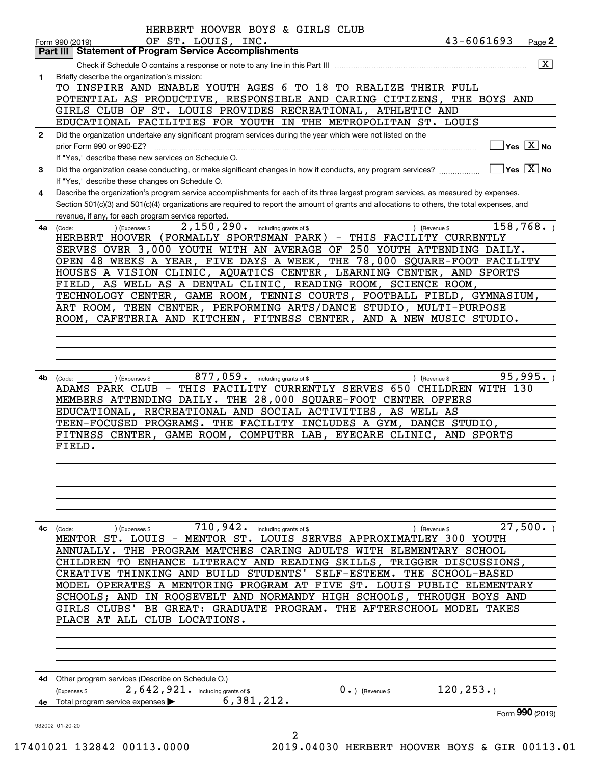|              | Part III   Statement of Program Service Accomplishments                                                                                                |
|--------------|--------------------------------------------------------------------------------------------------------------------------------------------------------|
|              | $\overline{\mathbf{x}}$                                                                                                                                |
| 1            | Briefly describe the organization's mission:                                                                                                           |
|              | TO INSPIRE AND ENABLE YOUTH AGES 6 TO 18 TO REALIZE THEIR FULL                                                                                         |
|              | POTENTIAL AS PRODUCTIVE, RESPONSIBLE AND CARING CITIZENS, THE BOYS AND                                                                                 |
|              | GIRLS CLUB OF ST. LOUIS PROVIDES RECREATIONAL, ATHLETIC AND                                                                                            |
|              | EDUCATIONAL FACILITIES FOR YOUTH IN THE METROPOLITAN ST. LOUIS                                                                                         |
| $\mathbf{2}$ | Did the organization undertake any significant program services during the year which were not listed on the                                           |
|              | $Yes \quad X$ No<br>prior Form 990 or 990-EZ?                                                                                                          |
|              | If "Yes," describe these new services on Schedule O.                                                                                                   |
| 3            | $\sqrt{}$ Yes $\sqrt{}$ X $\sqrt{}$ No<br>Did the organization cease conducting, or make significant changes in how it conducts, any program services? |
|              | If "Yes," describe these changes on Schedule O.                                                                                                        |
| 4            | Describe the organization's program service accomplishments for each of its three largest program services, as measured by expenses.                   |
|              | Section 501(c)(3) and 501(c)(4) organizations are required to report the amount of grants and allocations to others, the total expenses, and           |
|              | revenue, if any, for each program service reported.                                                                                                    |
| 4a           | 2, 150, 290. including grants of \$<br>158,768.<br>) (Expenses \$<br>(Revenue \$<br>(Code:                                                             |
|              | HERBERT HOOVER (FORMALLY SPORTSMAN PARK) - THIS FACILITY CURRENTLY                                                                                     |
|              | SERVES OVER 3,000 YOUTH WITH AN AVERAGE OF 250 YOUTH ATTENDING DAILY.                                                                                  |
|              | OPEN 48 WEEKS A YEAR, FIVE DAYS A WEEK, THE 78,000 SQUARE-FOOT FACILITY                                                                                |
|              | HOUSES A VISION CLINIC, AQUATICS CENTER, LEARNING CENTER, AND SPORTS                                                                                   |
|              | FIELD, AS WELL AS A DENTAL CLINIC, READING ROOM, SCIENCE ROOM,                                                                                         |
|              | TECHNOLOGY CENTER, GAME ROOM, TENNIS COURTS, FOOTBALL FIELD, GYMNASIUM,                                                                                |
|              | ART ROOM, TEEN CENTER, PERFORMING ARTS/DANCE STUDIO, MULTI-PURPOSE<br>ROOM, CAFETERIA AND KITCHEN, FITNESS CENTER, AND A NEW MUSIC STUDIO.             |
|              |                                                                                                                                                        |
|              |                                                                                                                                                        |
|              |                                                                                                                                                        |
|              |                                                                                                                                                        |
|              | 877,059 . including grants of \$<br>95,995.                                                                                                            |
| 4b           | ) (Revenue \$<br>(Expenses \$<br>(Code:<br>ADAMS PARK CLUB - THIS FACILITY CURRENTLY SERVES 650 CHILDREN WITH 130                                      |
|              | MEMBERS ATTENDING DAILY. THE 28,000 SQUARE-FOOT CENTER OFFERS                                                                                          |
|              | EDUCATIONAL, RECREATIONAL AND SOCIAL ACTIVITIES, AS WELL AS                                                                                            |
|              | TEEN-FOCUSED PROGRAMS. THE FACILITY INCLUDES A GYM, DANCE STUDIO,                                                                                      |
|              | FITNESS CENTER, GAME ROOM, COMPUTER LAB, EYECARE CLINIC, AND SPORTS                                                                                    |
|              | FIELD.                                                                                                                                                 |
|              |                                                                                                                                                        |
|              |                                                                                                                                                        |
|              |                                                                                                                                                        |
|              |                                                                                                                                                        |
|              |                                                                                                                                                        |
|              |                                                                                                                                                        |
|              |                                                                                                                                                        |
| 4с           | 27,500.<br>) (Expenses \$                                                                                                                              |
|              | 710,942.<br>including grants of \$<br>) (Revenue \$<br>(Code:<br>MENTOR ST. LOUIS - MENTOR ST. LOUIS SERVES APPROXIMATLEY 300 YOUTH                    |
|              | THE PROGRAM MATCHES CARING ADULTS WITH ELEMENTARY SCHOOL<br>ANNUALLY.                                                                                  |
|              | CHILDREN                                                                                                                                               |
|              | TO ENHANCE LITERACY AND READING SKILLS,<br>TRIGGER DISCUSSIONS,<br>THINKING AND BUILD STUDENTS'<br>SELF-ESTEEM. THE SCHOOL-BASED<br>CREATIVE           |
|              | MODEL OPERATES A MENTORING PROGRAM AT FIVE ST. LOUIS PUBLIC ELEMENTARY                                                                                 |
|              |                                                                                                                                                        |
|              | SCHOOLS; AND IN ROOSEVELT AND NORMANDY HIGH SCHOOLS, THROUGH BOYS AND<br>BE GREAT: GRADUATE PROGRAM. THE AFTERSCHOOL MODEL TAKES<br>GIRLS CLUBS'       |
|              | PLACE AT ALL CLUB LOCATIONS.                                                                                                                           |
|              |                                                                                                                                                        |
|              |                                                                                                                                                        |
|              |                                                                                                                                                        |
|              |                                                                                                                                                        |
|              |                                                                                                                                                        |
|              | 4d Other program services (Describe on Schedule O.)                                                                                                    |
|              | 120, 253.<br>2,642,921. including grants of \$<br>$0 \cdot$ ) (Revenue \$<br>(Expenses \$                                                              |
|              | 6,381,212.<br>Total program service expenses<br>Form 990 (2019)                                                                                        |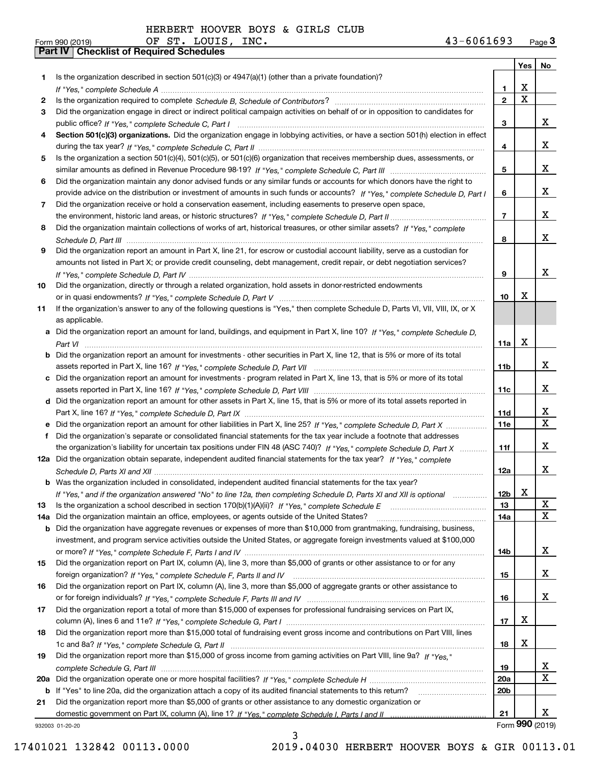|     |                                                                                                                                  |                 |             | Yes   No        |
|-----|----------------------------------------------------------------------------------------------------------------------------------|-----------------|-------------|-----------------|
| 1   | Is the organization described in section $501(c)(3)$ or $4947(a)(1)$ (other than a private foundation)?                          |                 |             |                 |
|     |                                                                                                                                  | 1               | x           |                 |
| 2   |                                                                                                                                  | $\overline{2}$  | $\mathbf X$ |                 |
| 3   | Did the organization engage in direct or indirect political campaign activities on behalf of or in opposition to candidates for  |                 |             |                 |
|     |                                                                                                                                  | 3               |             | x               |
| 4   | Section 501(c)(3) organizations. Did the organization engage in lobbying activities, or have a section 501(h) election in effect |                 |             |                 |
|     |                                                                                                                                  | 4               |             | x               |
| 5   | Is the organization a section 501(c)(4), 501(c)(5), or 501(c)(6) organization that receives membership dues, assessments, or     |                 |             |                 |
|     |                                                                                                                                  | 5               |             | x               |
| 6   | Did the organization maintain any donor advised funds or any similar funds or accounts for which donors have the right to        |                 |             |                 |
|     | provide advice on the distribution or investment of amounts in such funds or accounts? If "Yes," complete Schedule D, Part I     | 6               |             | x               |
| 7   | Did the organization receive or hold a conservation easement, including easements to preserve open space,                        |                 |             |                 |
|     |                                                                                                                                  | $\overline{7}$  |             | x               |
| 8   | Did the organization maintain collections of works of art, historical treasures, or other similar assets? If "Yes," complete     |                 |             |                 |
|     |                                                                                                                                  | 8               |             | x               |
| 9   | Did the organization report an amount in Part X, line 21, for escrow or custodial account liability, serve as a custodian for    |                 |             |                 |
|     | amounts not listed in Part X; or provide credit counseling, debt management, credit repair, or debt negotiation services?        |                 |             | x               |
|     |                                                                                                                                  | 9               |             |                 |
| 10  | Did the organization, directly or through a related organization, hold assets in donor-restricted endowments                     | 10              | х           |                 |
|     |                                                                                                                                  |                 |             |                 |
| 11  | If the organization's answer to any of the following questions is "Yes," then complete Schedule D, Parts VI, VII, VIII, IX, or X |                 |             |                 |
|     | as applicable.                                                                                                                   |                 |             |                 |
| a   | Did the organization report an amount for land, buildings, and equipment in Part X, line 10? If "Yes," complete Schedule D.      | 11a             | X           |                 |
|     | Did the organization report an amount for investments - other securities in Part X, line 12, that is 5% or more of its total     |                 |             |                 |
|     |                                                                                                                                  | 11 <sub>b</sub> |             | x               |
|     | Did the organization report an amount for investments - program related in Part X, line 13, that is 5% or more of its total      |                 |             |                 |
|     |                                                                                                                                  | 11c             |             | x               |
|     | d Did the organization report an amount for other assets in Part X, line 15, that is 5% or more of its total assets reported in  |                 |             |                 |
|     |                                                                                                                                  | 11d             |             | x               |
|     |                                                                                                                                  | <b>11e</b>      |             | $\mathbf X$     |
| f   | Did the organization's separate or consolidated financial statements for the tax year include a footnote that addresses          |                 |             |                 |
|     | the organization's liability for uncertain tax positions under FIN 48 (ASC 740)? If "Yes," complete Schedule D, Part X           | 11f             |             | x               |
|     | 12a Did the organization obtain separate, independent audited financial statements for the tax year? If "Yes." complete          |                 |             |                 |
|     |                                                                                                                                  | 12a             |             | x               |
|     | <b>b</b> Was the organization included in consolidated, independent audited financial statements for the tax year?               |                 |             |                 |
|     | If "Yes," and if the organization answered "No" to line 12a, then completing Schedule D, Parts XI and XII is optional            | 12 <sub>b</sub> | X           |                 |
| 13  | Is the organization a school described in section $170(b)(1)(A)(ii)?$ If "Yes," complete Schedule E                              | 13              |             | X               |
| 14a | Did the organization maintain an office, employees, or agents outside of the United States?                                      | 14a             |             | X               |
| b   | Did the organization have aggregate revenues or expenses of more than \$10,000 from grantmaking, fundraising, business,          |                 |             |                 |
|     | investment, and program service activities outside the United States, or aggregate foreign investments valued at \$100,000       |                 |             |                 |
|     |                                                                                                                                  | 14b             |             | x               |
| 15  | Did the organization report on Part IX, column (A), line 3, more than \$5,000 of grants or other assistance to or for any        |                 |             |                 |
|     |                                                                                                                                  | 15              |             | x               |
| 16  | Did the organization report on Part IX, column (A), line 3, more than \$5,000 of aggregate grants or other assistance to         |                 |             |                 |
|     |                                                                                                                                  | 16              |             | x               |
| 17  | Did the organization report a total of more than \$15,000 of expenses for professional fundraising services on Part IX,          |                 |             |                 |
|     |                                                                                                                                  | 17              | x           |                 |
| 18  | Did the organization report more than \$15,000 total of fundraising event gross income and contributions on Part VIII, lines     |                 |             |                 |
|     |                                                                                                                                  | 18              | x           |                 |
| 19  | Did the organization report more than \$15,000 of gross income from gaming activities on Part VIII, line 9a? If "Yes."           |                 |             |                 |
|     |                                                                                                                                  | 19              |             | x               |
| 20a |                                                                                                                                  | 20a             |             | X               |
|     | b If "Yes" to line 20a, did the organization attach a copy of its audited financial statements to this return?                   | 20 <sub>b</sub> |             |                 |
| 21  | Did the organization report more than \$5,000 of grants or other assistance to any domestic organization or                      |                 |             |                 |
|     |                                                                                                                                  | 21              |             | x               |
|     | 932003 01-20-20                                                                                                                  |                 |             | Form 990 (2019) |

932003 01-20-20

3 17401021 132842 00113.0000 2019.04030 HERBERT HOOVER BOYS & GIR 00113.01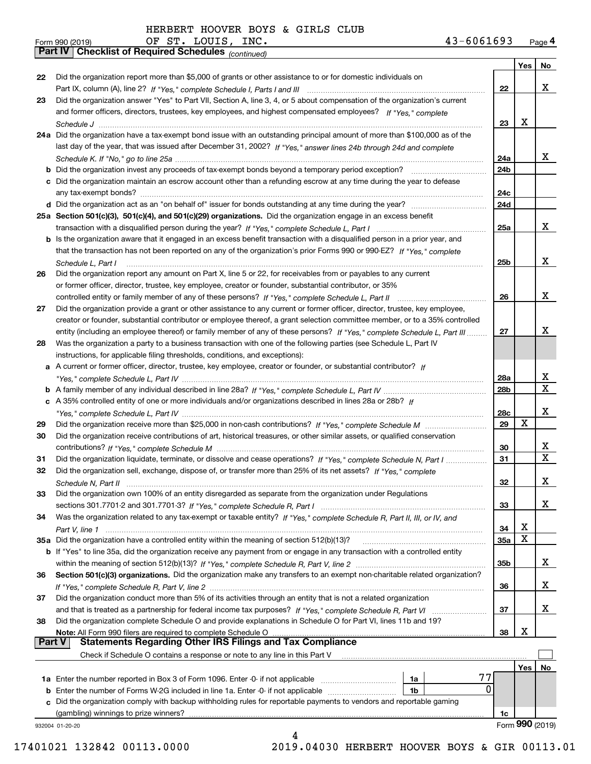*(continued)*

|               |                                                                                                                              |            | Yes | No                      |
|---------------|------------------------------------------------------------------------------------------------------------------------------|------------|-----|-------------------------|
| 22            | Did the organization report more than \$5,000 of grants or other assistance to or for domestic individuals on                |            |     |                         |
|               |                                                                                                                              | 22         |     | x                       |
| 23            | Did the organization answer "Yes" to Part VII, Section A, line 3, 4, or 5 about compensation of the organization's current   |            |     |                         |
|               | and former officers, directors, trustees, key employees, and highest compensated employees? If "Yes," complete               |            |     |                         |
|               |                                                                                                                              | 23         | X   |                         |
|               | 24a Did the organization have a tax-exempt bond issue with an outstanding principal amount of more than \$100,000 as of the  |            |     |                         |
|               | last day of the year, that was issued after December 31, 2002? If "Yes," answer lines 24b through 24d and complete           |            |     |                         |
|               |                                                                                                                              | 24a        |     | X.                      |
|               | b Did the organization invest any proceeds of tax-exempt bonds beyond a temporary period exception?                          | 24b        |     |                         |
|               | c Did the organization maintain an escrow account other than a refunding escrow at any time during the year to defease       |            |     |                         |
|               | any tax-exempt bonds?                                                                                                        | 24c        |     |                         |
|               |                                                                                                                              | 24d        |     |                         |
|               | 25a Section 501(c)(3), 501(c)(4), and 501(c)(29) organizations. Did the organization engage in an excess benefit             |            |     |                         |
|               |                                                                                                                              | 25a        |     | X.                      |
|               | b Is the organization aware that it engaged in an excess benefit transaction with a disqualified person in a prior year, and |            |     |                         |
|               | that the transaction has not been reported on any of the organization's prior Forms 990 or 990-EZ? If "Yes." complete        |            |     |                         |
|               | Schedule L, Part I                                                                                                           | 25b        |     | X.                      |
| 26            | Did the organization report any amount on Part X, line 5 or 22, for receivables from or payables to any current              |            |     |                         |
|               | or former officer, director, trustee, key employee, creator or founder, substantial contributor, or 35%                      |            |     |                         |
|               |                                                                                                                              | 26         |     | x                       |
| 27            | Did the organization provide a grant or other assistance to any current or former officer, director, trustee, key employee,  |            |     |                         |
|               | creator or founder, substantial contributor or employee thereof, a grant selection committee member, or to a 35% controlled  |            |     |                         |
|               | entity (including an employee thereof) or family member of any of these persons? If "Yes," complete Schedule L, Part III     | 27         |     | x                       |
| 28            | Was the organization a party to a business transaction with one of the following parties (see Schedule L, Part IV            |            |     |                         |
|               | instructions, for applicable filing thresholds, conditions, and exceptions):                                                 |            |     |                         |
|               | a A current or former officer, director, trustee, key employee, creator or founder, or substantial contributor? If           |            |     |                         |
|               |                                                                                                                              | 28a        |     | x                       |
|               |                                                                                                                              | 28b        |     | X                       |
|               | c A 35% controlled entity of one or more individuals and/or organizations described in lines 28a or 28b? If                  |            |     |                         |
|               |                                                                                                                              | 28c        |     | x                       |
| 29            |                                                                                                                              | 29         | X   |                         |
| 30            | Did the organization receive contributions of art, historical treasures, or other similar assets, or qualified conservation  |            |     |                         |
|               |                                                                                                                              | 30         |     | X.                      |
| 31            | Did the organization liquidate, terminate, or dissolve and cease operations? If "Yes," complete Schedule N, Part I           | 31         |     | $\overline{\mathbf{x}}$ |
| 32            | Did the organization sell, exchange, dispose of, or transfer more than 25% of its net assets? If "Yes." complete             |            |     |                         |
|               | Schedule N, Part II                                                                                                          | 32         |     | x                       |
| 33            | Did the organization own 100% of an entity disregarded as separate from the organization under Regulations                   |            |     |                         |
|               |                                                                                                                              | 33         |     | X                       |
| 34            | Was the organization related to any tax-exempt or taxable entity? If "Yes," complete Schedule R, Part II, III, or IV, and    |            |     |                         |
|               |                                                                                                                              | 34         | х   |                         |
|               | 35a Did the organization have a controlled entity within the meaning of section 512(b)(13)?                                  | <b>35a</b> | X   |                         |
|               | b If "Yes" to line 35a, did the organization receive any payment from or engage in any transaction with a controlled entity  |            |     |                         |
|               |                                                                                                                              | 35b        |     | x                       |
| 36            | Section 501(c)(3) organizations. Did the organization make any transfers to an exempt non-charitable related organization?   |            |     |                         |
|               |                                                                                                                              | 36         |     | x                       |
| 37            | Did the organization conduct more than 5% of its activities through an entity that is not a related organization             |            |     |                         |
|               | and that is treated as a partnership for federal income tax purposes? If "Yes," complete Schedule R, Part VI                 | 37         |     | x                       |
| 38            | Did the organization complete Schedule O and provide explanations in Schedule O for Part VI, lines 11b and 19?               |            |     |                         |
|               | Note: All Form 990 filers are required to complete Schedule O                                                                | 38         | х   |                         |
| <b>Part V</b> | <b>Statements Regarding Other IRS Filings and Tax Compliance</b>                                                             |            |     |                         |
|               | Check if Schedule O contains a response or note to any line in this Part V                                                   |            |     |                         |
|               |                                                                                                                              |            | Yes | No                      |
|               | 77<br>1a Enter the number reported in Box 3 of Form 1096. Enter -0- if not applicable<br>1a                                  |            |     |                         |
|               | 0<br><b>b</b> Enter the number of Forms W-2G included in line 1a. Enter -0- if not applicable <i>manumumumum</i><br>1b       |            |     |                         |
|               | c Did the organization comply with backup withholding rules for reportable payments to vendors and reportable gaming         |            |     |                         |
|               | (gambling) winnings to prize winners?                                                                                        | 1c         |     |                         |
|               | 932004 01-20-20                                                                                                              |            |     | Form 990 (2019)         |
|               | 4                                                                                                                            |            |     |                         |

 <sup>17401021 132842 00113.0000 2019.04030</sup> HERBERT HOOVER BOYS & GIR 00113.01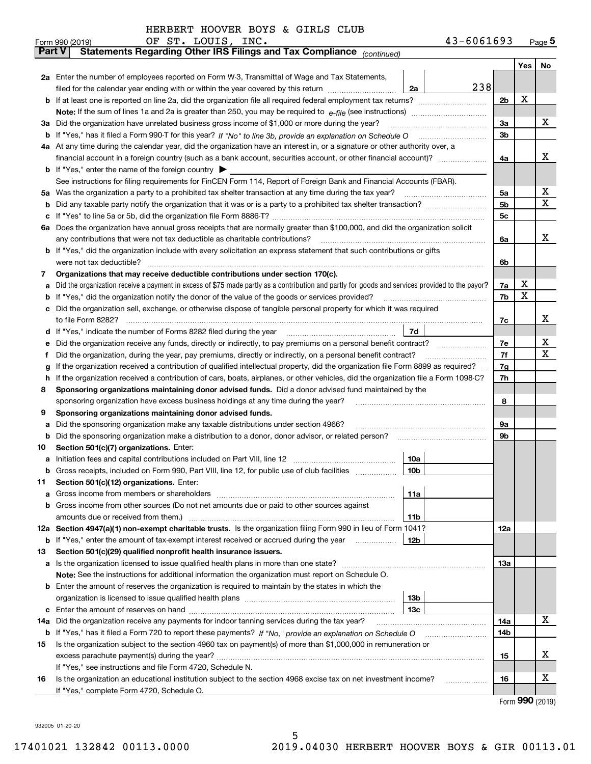|               | OF ST. LOUIS, INC.<br>43-6061693<br>Form 990 (2019)                                                                                             |     |     | $Page$ <sup>5</sup> |  |  |  |  |  |  |  |
|---------------|-------------------------------------------------------------------------------------------------------------------------------------------------|-----|-----|---------------------|--|--|--|--|--|--|--|
| <b>Part V</b> | Statements Regarding Other IRS Filings and Tax Compliance (continued)                                                                           |     |     |                     |  |  |  |  |  |  |  |
|               |                                                                                                                                                 |     | Yes | No                  |  |  |  |  |  |  |  |
|               | 2a Enter the number of employees reported on Form W-3, Transmittal of Wage and Tax Statements,                                                  |     |     |                     |  |  |  |  |  |  |  |
|               | 238<br>filed for the calendar year ending with or within the year covered by this return <i>manumumumum</i><br>2a                               |     |     |                     |  |  |  |  |  |  |  |
| b             |                                                                                                                                                 | 2b  | х   |                     |  |  |  |  |  |  |  |
|               |                                                                                                                                                 |     |     |                     |  |  |  |  |  |  |  |
| За            | Did the organization have unrelated business gross income of \$1,000 or more during the year?                                                   | 3a  |     | х                   |  |  |  |  |  |  |  |
| b             |                                                                                                                                                 | 3b  |     |                     |  |  |  |  |  |  |  |
|               | 4a At any time during the calendar year, did the organization have an interest in, or a signature or other authority over, a                    |     |     |                     |  |  |  |  |  |  |  |
|               |                                                                                                                                                 | 4a  |     | х                   |  |  |  |  |  |  |  |
|               | <b>b</b> If "Yes," enter the name of the foreign country $\blacktriangleright$                                                                  |     |     |                     |  |  |  |  |  |  |  |
|               | See instructions for filing requirements for FinCEN Form 114, Report of Foreign Bank and Financial Accounts (FBAR).                             |     |     |                     |  |  |  |  |  |  |  |
| 5a            | Was the organization a party to a prohibited tax shelter transaction at any time during the tax year?                                           | 5a  |     | х                   |  |  |  |  |  |  |  |
| b             |                                                                                                                                                 | 5b  |     | х                   |  |  |  |  |  |  |  |
| с             |                                                                                                                                                 |     |     |                     |  |  |  |  |  |  |  |
|               | 6a Does the organization have annual gross receipts that are normally greater than \$100,000, and did the organization solicit                  |     |     |                     |  |  |  |  |  |  |  |
|               | any contributions that were not tax deductible as charitable contributions?                                                                     | 6a  |     | x                   |  |  |  |  |  |  |  |
|               | If "Yes," did the organization include with every solicitation an express statement that such contributions or gifts                            |     |     |                     |  |  |  |  |  |  |  |
|               | were not tax deductible?                                                                                                                        | 6b  |     |                     |  |  |  |  |  |  |  |
| 7             | Organizations that may receive deductible contributions under section 170(c).                                                                   |     |     |                     |  |  |  |  |  |  |  |
| а             | Did the organization receive a payment in excess of \$75 made partly as a contribution and partly for goods and services provided to the payor? | 7a  | х   |                     |  |  |  |  |  |  |  |
| b             | If "Yes," did the organization notify the donor of the value of the goods or services provided?                                                 | 7b  | х   |                     |  |  |  |  |  |  |  |
| c             | Did the organization sell, exchange, or otherwise dispose of tangible personal property for which it was required                               |     |     | х                   |  |  |  |  |  |  |  |
|               |                                                                                                                                                 |     |     |                     |  |  |  |  |  |  |  |
| d             | 7d                                                                                                                                              |     |     |                     |  |  |  |  |  |  |  |
| е             |                                                                                                                                                 | 7e  |     | х                   |  |  |  |  |  |  |  |
| f             | Did the organization, during the year, pay premiums, directly or indirectly, on a personal benefit contract?                                    | 7f  |     | х                   |  |  |  |  |  |  |  |
| g             | If the organization received a contribution of qualified intellectual property, did the organization file Form 8899 as required?                | 7g  |     |                     |  |  |  |  |  |  |  |
| h             | If the organization received a contribution of cars, boats, airplanes, or other vehicles, did the organization file a Form 1098-C?              | 7h  |     |                     |  |  |  |  |  |  |  |
| 8             | Sponsoring organizations maintaining donor advised funds. Did a donor advised fund maintained by the                                            |     |     |                     |  |  |  |  |  |  |  |
|               | sponsoring organization have excess business holdings at any time during the year?                                                              | 8   |     |                     |  |  |  |  |  |  |  |
| 9             | Sponsoring organizations maintaining donor advised funds.                                                                                       |     |     |                     |  |  |  |  |  |  |  |
| а             | Did the sponsoring organization make any taxable distributions under section 4966?                                                              | 9а  |     |                     |  |  |  |  |  |  |  |
| b             | Did the sponsoring organization make a distribution to a donor, donor advisor, or related person?                                               | 9b  |     |                     |  |  |  |  |  |  |  |
| 10            | Section 501(c)(7) organizations. Enter:                                                                                                         |     |     |                     |  |  |  |  |  |  |  |
| а             | 10a<br>Initiation fees and capital contributions included on Part VIII, line 12 [111] [11] [12] [11] [12] [11] [12] [                           |     |     |                     |  |  |  |  |  |  |  |
|               |                                                                                                                                                 |     |     |                     |  |  |  |  |  |  |  |
| 11            | Section 501(c)(12) organizations. Enter:                                                                                                        |     |     |                     |  |  |  |  |  |  |  |
| a             | Gross income from members or shareholders<br>11a                                                                                                |     |     |                     |  |  |  |  |  |  |  |
| b             | Gross income from other sources (Do not net amounts due or paid to other sources against                                                        |     |     |                     |  |  |  |  |  |  |  |
|               | amounts due or received from them.)<br>11b                                                                                                      |     |     |                     |  |  |  |  |  |  |  |
|               | 12a Section 4947(a)(1) non-exempt charitable trusts. Is the organization filing Form 990 in lieu of Form 1041?                                  | 12a |     |                     |  |  |  |  |  |  |  |
|               | 12 <sub>b</sub><br><b>b</b> If "Yes," enter the amount of tax-exempt interest received or accrued during the year                               |     |     |                     |  |  |  |  |  |  |  |
| 13            | Section 501(c)(29) qualified nonprofit health insurance issuers.                                                                                |     |     |                     |  |  |  |  |  |  |  |
| a             | Is the organization licensed to issue qualified health plans in more than one state?                                                            | 13a |     |                     |  |  |  |  |  |  |  |
|               | Note: See the instructions for additional information the organization must report on Schedule O.                                               |     |     |                     |  |  |  |  |  |  |  |
| b             |                                                                                                                                                 |     |     |                     |  |  |  |  |  |  |  |
|               | Enter the amount of reserves the organization is required to maintain by the states in which the<br>13 <sub>b</sub>                             |     |     |                     |  |  |  |  |  |  |  |
| с             | 13 <sub>c</sub>                                                                                                                                 |     |     |                     |  |  |  |  |  |  |  |
| 14a           | Did the organization receive any payments for indoor tanning services during the tax year?                                                      | 14a |     | х                   |  |  |  |  |  |  |  |
|               | <b>b</b> If "Yes," has it filed a Form 720 to report these payments? If "No," provide an explanation on Schedule O                              | 14b |     |                     |  |  |  |  |  |  |  |
| 15            | Is the organization subject to the section 4960 tax on payment(s) of more than \$1,000,000 in remuneration or                                   |     |     |                     |  |  |  |  |  |  |  |
|               |                                                                                                                                                 | 15  |     | х                   |  |  |  |  |  |  |  |
|               | If "Yes," see instructions and file Form 4720, Schedule N.                                                                                      |     |     |                     |  |  |  |  |  |  |  |
| 16            | Is the organization an educational institution subject to the section 4968 excise tax on net investment income?                                 | 16  |     | X                   |  |  |  |  |  |  |  |
|               | If "Yes," complete Form 4720, Schedule O.                                                                                                       |     |     |                     |  |  |  |  |  |  |  |

5

Form (2019) **990**

932005 01-20-20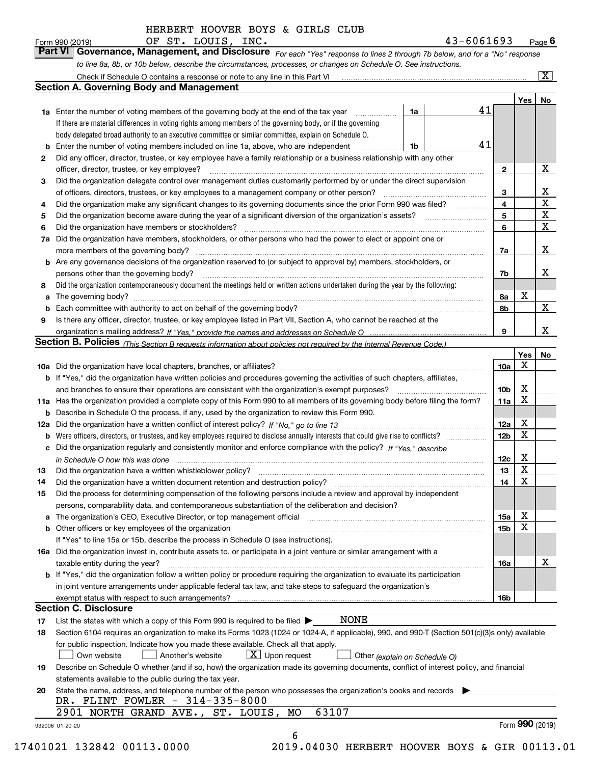*For each "Yes" response to lines 2 through 7b below, and for a "No" response to line 8a, 8b, or 10b below, describe the circumstances, processes, or changes on Schedule O. See instructions.* Form 990 (2019) **CDE ST. LOUIS, INC.** Page 6<br>**Part VI Governance, Management, and Disclosure** For each "Yes" response to lines 2 through 7b below, and for a "No" response

|    | <b>1a</b> Enter the number of voting members of the governing body at the end of the tax year                                                                                                                                  | 1a |  | 41 |                         | Yes <sub>1</sub> | No                      |  |  |  |  |  |  |
|----|--------------------------------------------------------------------------------------------------------------------------------------------------------------------------------------------------------------------------------|----|--|----|-------------------------|------------------|-------------------------|--|--|--|--|--|--|
|    | If there are material differences in voting rights among members of the governing body, or if the governing                                                                                                                    |    |  |    |                         |                  |                         |  |  |  |  |  |  |
|    | body delegated broad authority to an executive committee or similar committee, explain on Schedule O.                                                                                                                          |    |  |    |                         |                  |                         |  |  |  |  |  |  |
| b  | Enter the number of voting members included on line 1a, above, who are independent                                                                                                                                             | 1b |  | 41 |                         |                  |                         |  |  |  |  |  |  |
| 2  | Did any officer, director, trustee, or key employee have a family relationship or a business relationship with any other                                                                                                       |    |  |    |                         |                  |                         |  |  |  |  |  |  |
|    | officer, director, trustee, or key employee?                                                                                                                                                                                   |    |  |    | $\mathbf{2}$            |                  | X                       |  |  |  |  |  |  |
| З  | Did the organization delegate control over management duties customarily performed by or under the direct supervision                                                                                                          |    |  |    |                         |                  |                         |  |  |  |  |  |  |
|    | of officers, directors, trustees, or key employees to a management company or other person?                                                                                                                                    |    |  |    | 3                       |                  | X                       |  |  |  |  |  |  |
|    | Did the organization make any significant changes to its governing documents since the prior Form 990 was filed?                                                                                                               |    |  |    | $\overline{\mathbf{4}}$ |                  | $\overline{\mathtt{x}}$ |  |  |  |  |  |  |
| 4  |                                                                                                                                                                                                                                |    |  |    | 5                       |                  | $\overline{\mathbf{x}}$ |  |  |  |  |  |  |
| 5  | Did the organization have members or stockholders?                                                                                                                                                                             |    |  |    |                         |                  |                         |  |  |  |  |  |  |
| 6  | Did the organization have members, stockholders, or other persons who had the power to elect or appoint one or                                                                                                                 |    |  |    |                         |                  |                         |  |  |  |  |  |  |
| 7a |                                                                                                                                                                                                                                |    |  |    | 7a                      |                  | X                       |  |  |  |  |  |  |
|    |                                                                                                                                                                                                                                |    |  |    |                         |                  |                         |  |  |  |  |  |  |
|    | <b>b</b> Are any governance decisions of the organization reserved to (or subject to approval by) members, stockholders, or                                                                                                    |    |  |    |                         |                  | х                       |  |  |  |  |  |  |
|    | persons other than the governing body?                                                                                                                                                                                         |    |  |    | 7b                      |                  |                         |  |  |  |  |  |  |
| 8  | Did the organization contemporaneously document the meetings held or written actions undertaken during the year by the following:                                                                                              |    |  |    |                         |                  |                         |  |  |  |  |  |  |
| a  |                                                                                                                                                                                                                                |    |  |    | 8а                      | X                |                         |  |  |  |  |  |  |
| b  |                                                                                                                                                                                                                                |    |  |    | 8b                      |                  | $\mathbf x$             |  |  |  |  |  |  |
| 9  | Is there any officer, director, trustee, or key employee listed in Part VII, Section A, who cannot be reached at the                                                                                                           |    |  |    |                         |                  |                         |  |  |  |  |  |  |
|    |                                                                                                                                                                                                                                |    |  |    | 9                       |                  | X                       |  |  |  |  |  |  |
|    | Section B. Policies (This Section B requests information about policies not required by the Internal Revenue Code.)                                                                                                            |    |  |    |                         |                  |                         |  |  |  |  |  |  |
|    |                                                                                                                                                                                                                                |    |  |    |                         | Yes              | No                      |  |  |  |  |  |  |
|    |                                                                                                                                                                                                                                |    |  |    | 10a                     | x                |                         |  |  |  |  |  |  |
|    | <b>b</b> If "Yes," did the organization have written policies and procedures governing the activities of such chapters, affiliates,                                                                                            |    |  |    | 10 <sub>b</sub>         | X                |                         |  |  |  |  |  |  |
|    |                                                                                                                                                                                                                                |    |  |    |                         |                  |                         |  |  |  |  |  |  |
|    | 11a Has the organization provided a complete copy of this Form 990 to all members of its governing body before filing the form?                                                                                                |    |  |    |                         |                  |                         |  |  |  |  |  |  |
|    | <b>b</b> Describe in Schedule O the process, if any, used by the organization to review this Form 990.                                                                                                                         |    |  |    |                         |                  |                         |  |  |  |  |  |  |
|    |                                                                                                                                                                                                                                |    |  |    |                         |                  |                         |  |  |  |  |  |  |
|    | <b>b</b> Were officers, directors, or trustees, and key employees required to disclose annually interests that could give rise to conflicts?                                                                                   |    |  |    |                         |                  |                         |  |  |  |  |  |  |
|    | c Did the organization regularly and consistently monitor and enforce compliance with the policy? If "Yes," describe                                                                                                           |    |  |    |                         |                  |                         |  |  |  |  |  |  |
|    | in Schedule O how this was done manufactured and continuum control of the Schedule O how this was done manufactured and continuum control of the Schedule O how this was done                                                  |    |  |    | 12c                     | X                |                         |  |  |  |  |  |  |
| 13 |                                                                                                                                                                                                                                |    |  |    | 13                      | X                |                         |  |  |  |  |  |  |
| 14 |                                                                                                                                                                                                                                |    |  |    | 14                      | X                |                         |  |  |  |  |  |  |
| 15 | Did the process for determining compensation of the following persons include a review and approval by independent                                                                                                             |    |  |    |                         |                  |                         |  |  |  |  |  |  |
|    | persons, comparability data, and contemporaneous substantiation of the deliberation and decision?                                                                                                                              |    |  |    |                         |                  |                         |  |  |  |  |  |  |
|    | a The organization's CEO, Executive Director, or top management official manufactured content content of the organization's CEO, Executive Director, or top management official manufactured content of the state of the state |    |  |    | 15a                     | X                |                         |  |  |  |  |  |  |
|    |                                                                                                                                                                                                                                |    |  |    | 15b                     | X                |                         |  |  |  |  |  |  |
|    | If "Yes" to line 15a or 15b, describe the process in Schedule O (see instructions).                                                                                                                                            |    |  |    |                         |                  |                         |  |  |  |  |  |  |
|    | 16a Did the organization invest in, contribute assets to, or participate in a joint venture or similar arrangement with a                                                                                                      |    |  |    |                         |                  |                         |  |  |  |  |  |  |
|    | taxable entity during the year?                                                                                                                                                                                                |    |  |    | 16a                     |                  | X                       |  |  |  |  |  |  |
|    | b If "Yes," did the organization follow a written policy or procedure requiring the organization to evaluate its participation                                                                                                 |    |  |    |                         |                  |                         |  |  |  |  |  |  |
|    | in joint venture arrangements under applicable federal tax law, and take steps to safeguard the organization's                                                                                                                 |    |  |    |                         |                  |                         |  |  |  |  |  |  |
|    | exempt status with respect to such arrangements?                                                                                                                                                                               |    |  |    | 16b                     |                  |                         |  |  |  |  |  |  |
|    | <b>Section C. Disclosure</b>                                                                                                                                                                                                   |    |  |    |                         |                  |                         |  |  |  |  |  |  |
| 17 | <b>NONE</b><br>List the states with which a copy of this Form 990 is required to be filed $\blacktriangleright$                                                                                                                |    |  |    |                         |                  |                         |  |  |  |  |  |  |
| 18 | Section 6104 requires an organization to make its Forms 1023 (1024 or 1024-A, if applicable), 990, and 990-T (Section 501(c)(3)s only) available                                                                               |    |  |    |                         |                  |                         |  |  |  |  |  |  |
|    | for public inspection. Indicate how you made these available. Check all that apply.                                                                                                                                            |    |  |    |                         |                  |                         |  |  |  |  |  |  |
|    | $X$ Upon request<br>Own website<br>Another's website<br>Other (explain on Schedule O)                                                                                                                                          |    |  |    |                         |                  |                         |  |  |  |  |  |  |
| 19 | Describe on Schedule O whether (and if so, how) the organization made its governing documents, conflict of interest policy, and financial                                                                                      |    |  |    |                         |                  |                         |  |  |  |  |  |  |
|    | statements available to the public during the tax year.                                                                                                                                                                        |    |  |    |                         |                  |                         |  |  |  |  |  |  |
| 20 |                                                                                                                                                                                                                                |    |  |    |                         |                  |                         |  |  |  |  |  |  |
|    | State the name, address, and telephone number of the person who possesses the organization's books and records<br>DR. FLINT FOWLER - 314-335-8000                                                                              |    |  |    |                         |                  |                         |  |  |  |  |  |  |
|    | 63107<br>2901 NORTH GRAND AVE., ST. LOUIS, MO                                                                                                                                                                                  |    |  |    |                         |                  |                         |  |  |  |  |  |  |
|    |                                                                                                                                                                                                                                |    |  |    |                         | Form 990 (2019)  |                         |  |  |  |  |  |  |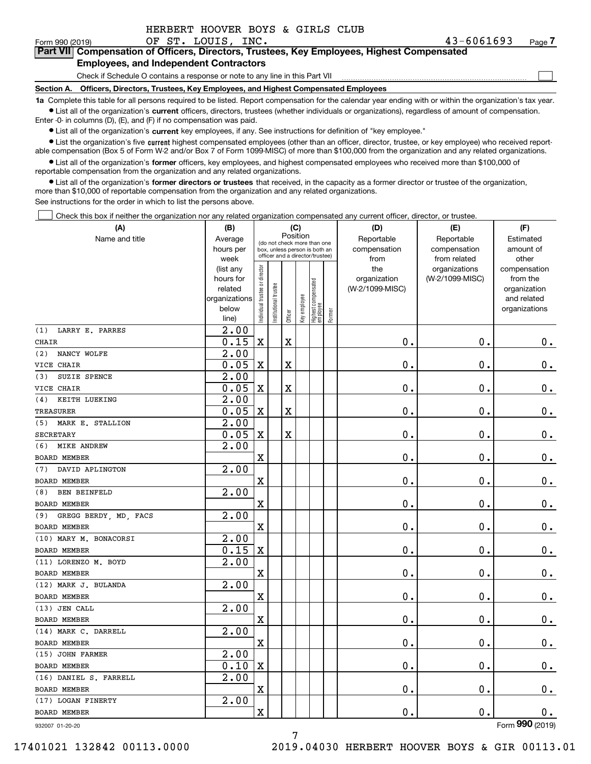| HERBERT HOOVER BOYS & GIRLS CLUB |  |  |  |
|----------------------------------|--|--|--|
|                                  |  |  |  |

 $\mathcal{L}^{\text{max}}$ 

#### Form 990 (2019) OF ST. LOUIS, INC. 43-6061693 Page **7Part VII Compensation of Officers, Directors, Trustees, Key Employees, Highest Compensated Employees, and Independent Contractors**

#### Check if Schedule O contains a response or note to any line in this Part VII

**Section A. Officers, Directors, Trustees, Key Employees, and Highest Compensated Employees**

**1a**  Complete this table for all persons required to be listed. Report compensation for the calendar year ending with or within the organization's tax year. **•** List all of the organization's current officers, directors, trustees (whether individuals or organizations), regardless of amount of compensation.

Enter -0- in columns (D), (E), and (F) if no compensation was paid.

 $\bullet$  List all of the organization's  $\,$ current key employees, if any. See instructions for definition of "key employee."

**•** List the organization's five current highest compensated employees (other than an officer, director, trustee, or key employee) who received reportable compensation (Box 5 of Form W-2 and/or Box 7 of Form 1099-MISC) of more than \$100,000 from the organization and any related organizations.

**•** List all of the organization's former officers, key employees, and highest compensated employees who received more than \$100,000 of reportable compensation from the organization and any related organizations.

**former directors or trustees**  ¥ List all of the organization's that received, in the capacity as a former director or trustee of the organization, more than \$10,000 of reportable compensation from the organization and any related organizations.

See instructions for the order in which to list the persons above.

Check this box if neither the organization nor any related organization compensated any current officer, director, or trustee.  $\mathcal{L}^{\text{max}}$ 

| (A)                          | (B)                    | (C)<br>Position                |                                                                  |         |              |                                   |        | (D)                 | (E)                              | (F)                      |
|------------------------------|------------------------|--------------------------------|------------------------------------------------------------------|---------|--------------|-----------------------------------|--------|---------------------|----------------------------------|--------------------------|
| Name and title               | Average                |                                | (do not check more than one                                      |         |              |                                   |        | Reportable          | Reportable                       | Estimated                |
|                              | hours per              |                                | box, unless person is both an<br>officer and a director/trustee) |         |              |                                   |        | compensation        | compensation                     | amount of                |
|                              | week                   |                                |                                                                  |         |              |                                   |        | from                | from related                     | other                    |
|                              | (list any<br>hours for |                                |                                                                  |         |              |                                   |        | the<br>organization | organizations<br>(W-2/1099-MISC) | compensation<br>from the |
|                              | related                |                                |                                                                  |         |              |                                   |        | (W-2/1099-MISC)     |                                  | organization             |
|                              | organizations          |                                | trustee                                                          |         |              |                                   |        |                     |                                  | and related              |
|                              | below                  |                                |                                                                  |         | Key employee |                                   |        |                     |                                  | organizations            |
|                              | line)                  | Individual trustee or director | Institutional t                                                  | Officer |              | Highest compensated<br>  employee | Former |                     |                                  |                          |
| LARRY E. PARRES<br>(1)       | $\overline{2.00}$      |                                |                                                                  |         |              |                                   |        |                     |                                  |                          |
| <b>CHAIR</b>                 | 0.15                   | $\mathbf X$                    |                                                                  | Χ       |              |                                   |        | $\mathbf 0$ .       | $\mathbf 0$ .                    | $\mathbf 0$ .            |
| NANCY WOLFE<br>(2)           | 2.00                   |                                |                                                                  |         |              |                                   |        |                     |                                  |                          |
| VICE CHAIR                   | 0.05                   | $\mathbf X$                    |                                                                  | X       |              |                                   |        | $\mathbf 0$ .       | $\mathbf 0$ .                    | $0_{.}$                  |
| (3)<br>SUZIE SPENCE          | $\overline{2.00}$      |                                |                                                                  |         |              |                                   |        |                     |                                  |                          |
| VICE CHAIR                   | 0.05                   | $\mathbf X$                    |                                                                  | X       |              |                                   |        | 0.                  | $\mathbf 0$ .                    | $\mathbf 0$ .            |
| KEITH LUEKING<br>(4)         | 2.00                   |                                |                                                                  |         |              |                                   |        |                     |                                  |                          |
| <b>TREASURER</b>             | 0.05                   | $\mathbf X$                    |                                                                  | X       |              |                                   |        | 0.                  | $\mathbf 0$ .                    | $\mathbf 0$ .            |
| (5)<br>MARK E. STALLION      | $\overline{2.00}$      |                                |                                                                  |         |              |                                   |        |                     |                                  |                          |
| SECRETARY                    | 0.05                   | X                              |                                                                  | X       |              |                                   |        | $0$ .               | $\mathbf 0$ .                    | $\mathbf 0$ .            |
| <b>MIKE ANDREW</b><br>(6)    | 2.00                   |                                |                                                                  |         |              |                                   |        |                     |                                  |                          |
| <b>BOARD MEMBER</b>          |                        | $\mathbf X$                    |                                                                  |         |              |                                   |        | $\mathbf 0$ .       | $\mathbf 0$ .                    | $0_{.}$                  |
| DAVID APLINGTON<br>(7)       | 2.00                   |                                |                                                                  |         |              |                                   |        |                     |                                  |                          |
| <b>BOARD MEMBER</b>          |                        | $\mathbf x$                    |                                                                  |         |              |                                   |        | 0.                  | $\mathbf 0$ .                    | $\mathbf 0$ .            |
| <b>BEN BEINFELD</b><br>(8)   | 2.00                   |                                |                                                                  |         |              |                                   |        |                     |                                  |                          |
| <b>BOARD MEMBER</b>          |                        | $\mathbf X$                    |                                                                  |         |              |                                   |        | $0$ .               | $\mathbf 0$ .                    | $\mathbf 0$ .            |
| GREGG BERDY, MD, FACS<br>(9) | 2.00                   |                                |                                                                  |         |              |                                   |        |                     |                                  |                          |
| <b>BOARD MEMBER</b>          |                        | $\mathbf X$                    |                                                                  |         |              |                                   |        | $\mathbf 0$ .       | $\mathbf 0$ .                    | $\mathbf 0$ .            |
| (10) MARY M. BONACORSI       | $\overline{2.00}$      |                                |                                                                  |         |              |                                   |        |                     |                                  |                          |
| <b>BOARD MEMBER</b>          | 0.15                   | $\mathbf X$                    |                                                                  |         |              |                                   |        | $\mathbf 0$ .       | $\mathbf 0$ .                    | $\mathbf 0$ .            |
| (11) LORENZO M. BOYD         | 2.00                   |                                |                                                                  |         |              |                                   |        |                     |                                  |                          |
| <b>BOARD MEMBER</b>          |                        | $\mathbf X$                    |                                                                  |         |              |                                   |        | $\mathbf 0$ .       | $\mathbf 0$ .                    | $0_{.}$                  |
| (12) MARK J. BULANDA         | 2.00                   |                                |                                                                  |         |              |                                   |        |                     |                                  |                          |
| <b>BOARD MEMBER</b>          |                        | $\mathbf X$                    |                                                                  |         |              |                                   |        | $\mathbf 0$ .       | 0.                               | $\mathbf 0$ .            |
| (13) JEN CALL                | 2.00                   |                                |                                                                  |         |              |                                   |        |                     |                                  |                          |
| <b>BOARD MEMBER</b>          |                        | $\mathbf X$                    |                                                                  |         |              |                                   |        | $\mathbf 0$ .       | $\mathbf 0$ .                    | 0.                       |
| (14) MARK C. DARRELL         | 2.00                   |                                |                                                                  |         |              |                                   |        |                     |                                  |                          |
| BOARD MEMBER                 |                        | $\mathbf x$                    |                                                                  |         |              |                                   |        | $\mathbf 0$ .       | $\mathbf 0$ .                    | $\mathbf 0$ .            |
| (15) JOHN FARMER             | 2.00                   |                                |                                                                  |         |              |                                   |        |                     |                                  |                          |
| <b>BOARD MEMBER</b>          | 0.10                   | $\mathbf X$                    |                                                                  |         |              |                                   |        | $\mathbf 0$ .       | $\mathbf 0$ .                    | $\mathbf 0$ .            |
| (16) DANIEL S. FARRELL       | 2.00                   |                                |                                                                  |         |              |                                   |        |                     |                                  |                          |
| <b>BOARD MEMBER</b>          |                        | $\mathbf X$                    |                                                                  |         |              |                                   |        | $\mathbf 0$ .       | $\mathbf 0$ .                    | $\mathbf 0$ .            |
| (17) LOGAN FINERTY           | 2.00                   |                                |                                                                  |         |              |                                   |        |                     |                                  |                          |
| <b>BOARD MEMBER</b>          |                        | $\mathbf X$                    |                                                                  |         |              |                                   |        | $\mathbf 0$ .       | $\mathbf 0$ .                    | 0.                       |
| 932007 01-20-20              |                        |                                |                                                                  |         |              |                                   |        |                     |                                  | Form 990 (2019)          |

7

932007 01-20-20

17401021 132842 00113.0000 2019.04030 HERBERT HOOVER BOYS & GIR 00113.01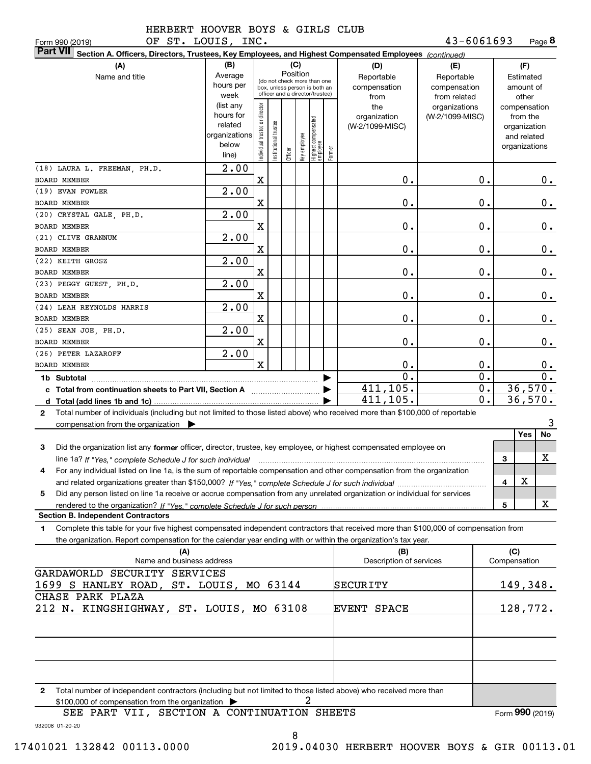| OF ST. LOUIS, INC.<br>Form 990 (2019)                                                                                                           |                                                                      |                               |                                                                                                 |          |     |                                                            |        |                                           | 43-6061693                                        |                  | Page 8                                                                   |                  |
|-------------------------------------------------------------------------------------------------------------------------------------------------|----------------------------------------------------------------------|-------------------------------|-------------------------------------------------------------------------------------------------|----------|-----|------------------------------------------------------------|--------|-------------------------------------------|---------------------------------------------------|------------------|--------------------------------------------------------------------------|------------------|
| <b>Part VII</b><br>Section A. Officers, Directors, Trustees, Key Employees, and Highest Compensated Employees (continued)                       |                                                                      |                               |                                                                                                 |          |     |                                                            |        |                                           |                                                   |                  |                                                                          |                  |
| (A)<br>Name and title                                                                                                                           | (B)<br>Average<br>hours per<br>week                                  |                               | (do not check more than one<br>box, unless person is both an<br>officer and a director/trustee) | Position | (C) |                                                            |        | (D)<br>Reportable<br>compensation<br>from | (E)<br>Reportable<br>compensation<br>from related |                  | (F)<br>Estimated<br>amount of<br>other                                   |                  |
|                                                                                                                                                 | (list any<br>hours for<br>related<br>organizations<br>below<br>line) | ndividual trustee or director | nstitutional trustee                                                                            |          |     | Officer<br>Key employee<br>Highest compensated<br>employee | Former | the<br>organization<br>(W-2/1099-MISC)    | organizations<br>(W-2/1099-MISC)                  |                  | compensation<br>from the<br>organization<br>and related<br>organizations |                  |
| (18) LAURA L. FREEMAN, PH.D.<br><b>BOARD MEMBER</b>                                                                                             | 2.00                                                                 | X                             |                                                                                                 |          |     |                                                            |        | 0.                                        |                                                   | 0.               |                                                                          | $0$ .            |
| (19) EVAN FOWLER                                                                                                                                | 2.00                                                                 |                               |                                                                                                 |          |     |                                                            |        |                                           |                                                   |                  |                                                                          |                  |
| BOARD MEMBER                                                                                                                                    |                                                                      | X                             |                                                                                                 |          |     |                                                            |        | 0.                                        |                                                   | 0.               |                                                                          | $0$ .            |
| (20) CRYSTAL GALE, PH.D.                                                                                                                        | 2.00                                                                 |                               |                                                                                                 |          |     |                                                            |        |                                           |                                                   |                  |                                                                          |                  |
| BOARD MEMBER                                                                                                                                    |                                                                      | X                             |                                                                                                 |          |     |                                                            |        | 0.                                        |                                                   | 0.               |                                                                          | $0$ .            |
| (21) CLIVE GRANNUM                                                                                                                              | 2.00                                                                 |                               |                                                                                                 |          |     |                                                            |        |                                           |                                                   |                  |                                                                          |                  |
| <b>BOARD MEMBER</b>                                                                                                                             |                                                                      | X                             |                                                                                                 |          |     |                                                            |        | 0.                                        |                                                   | 0.               |                                                                          | 0.               |
| (22) KEITH GROSZ                                                                                                                                | 2.00                                                                 |                               |                                                                                                 |          |     |                                                            |        |                                           |                                                   |                  |                                                                          |                  |
| <b>BOARD MEMBER</b>                                                                                                                             |                                                                      | X                             |                                                                                                 |          |     |                                                            |        | 0.                                        |                                                   | $0$ .            |                                                                          | 0.               |
| (23) PEGGY GUEST, PH.D.<br>BOARD MEMBER                                                                                                         | 2.00                                                                 | X                             |                                                                                                 |          |     |                                                            |        | 0.                                        |                                                   | 0.               |                                                                          | 0.               |
| (24) LEAH REYNOLDS HARRIS                                                                                                                       | 2.00                                                                 |                               |                                                                                                 |          |     |                                                            |        |                                           |                                                   |                  |                                                                          |                  |
| BOARD MEMBER                                                                                                                                    |                                                                      | X                             |                                                                                                 |          |     |                                                            |        | 0.                                        |                                                   | 0.               |                                                                          | 0.               |
| (25) SEAN JOE, PH.D.                                                                                                                            | 2.00                                                                 |                               |                                                                                                 |          |     |                                                            |        |                                           |                                                   |                  |                                                                          |                  |
| BOARD MEMBER                                                                                                                                    |                                                                      | X                             |                                                                                                 |          |     |                                                            |        | 0.                                        |                                                   | $\mathbf 0$ .    |                                                                          | $0$ .            |
| (26) PETER LAZAROFF                                                                                                                             | 2.00                                                                 |                               |                                                                                                 |          |     |                                                            |        |                                           |                                                   |                  |                                                                          |                  |
| <b>BOARD MEMBER</b>                                                                                                                             |                                                                      | X                             |                                                                                                 |          |     |                                                            |        | 0.                                        |                                                   | 0.               |                                                                          | $0$ .            |
|                                                                                                                                                 |                                                                      |                               |                                                                                                 |          |     |                                                            |        | 0.                                        |                                                   | $\overline{0}$ . |                                                                          | $\overline{0}$ . |
|                                                                                                                                                 |                                                                      |                               |                                                                                                 |          |     |                                                            | ▶      | 411,105.                                  |                                                   | 0.               | 36,570.                                                                  |                  |
|                                                                                                                                                 |                                                                      |                               |                                                                                                 |          |     |                                                            |        | 411,105.                                  |                                                   | 0.               | 36,570.                                                                  |                  |
| Total number of individuals (including but not limited to those listed above) who received more than \$100,000 of reportable<br>$\mathbf{2}$    |                                                                      |                               |                                                                                                 |          |     |                                                            |        |                                           |                                                   |                  |                                                                          |                  |
| compensation from the organization $\blacktriangleright$                                                                                        |                                                                      |                               |                                                                                                 |          |     |                                                            |        |                                           |                                                   |                  | No                                                                       | 3                |
| 3<br>Did the organization list any former officer, director, trustee, key employee, or highest compensated employee on                          |                                                                      |                               |                                                                                                 |          |     |                                                            |        |                                           |                                                   |                  | Yes                                                                      |                  |
| line 1a? If "Yes," complete Schedule J for such individual manufactured contained and the 1a? If "Yes," complete Schedule J for such individual |                                                                      |                               |                                                                                                 |          |     |                                                            |        |                                           |                                                   |                  | x<br>З                                                                   |                  |
| For any individual listed on line 1a, is the sum of reportable compensation and other compensation from the organization                        |                                                                      |                               |                                                                                                 |          |     |                                                            |        |                                           |                                                   |                  |                                                                          |                  |
|                                                                                                                                                 |                                                                      |                               |                                                                                                 |          |     |                                                            |        |                                           |                                                   |                  | х<br>4                                                                   |                  |
| Did any person listed on line 1a receive or accrue compensation from any unrelated organization or individual for services<br>5                 |                                                                      |                               |                                                                                                 |          |     |                                                            |        |                                           |                                                   |                  |                                                                          |                  |
|                                                                                                                                                 |                                                                      |                               |                                                                                                 |          |     |                                                            |        |                                           |                                                   | 5                | x                                                                        |                  |
| <b>Section B. Independent Contractors</b>                                                                                                       |                                                                      |                               |                                                                                                 |          |     |                                                            |        |                                           |                                                   |                  |                                                                          |                  |
| Complete this table for your five highest compensated independent contractors that received more than \$100,000 of compensation from<br>1.      |                                                                      |                               |                                                                                                 |          |     |                                                            |        |                                           |                                                   |                  |                                                                          |                  |
| the organization. Report compensation for the calendar year ending with or within the organization's tax year.                                  |                                                                      |                               |                                                                                                 |          |     |                                                            |        |                                           |                                                   |                  |                                                                          |                  |
| (A)<br>Name and business address                                                                                                                |                                                                      |                               |                                                                                                 |          |     |                                                            |        | (B)<br>Description of services            |                                                   |                  | (C)<br>Compensation                                                      |                  |
| GARDAWORLD SECURITY SERVICES                                                                                                                    |                                                                      |                               |                                                                                                 |          |     |                                                            |        |                                           |                                                   |                  |                                                                          |                  |
| 1699 S HANLEY ROAD, ST. LOUIS, MO 63144                                                                                                         |                                                                      |                               |                                                                                                 |          |     |                                                            |        | SECURITY                                  |                                                   |                  | 149,348.                                                                 |                  |
| CHASE PARK PLAZA                                                                                                                                |                                                                      |                               |                                                                                                 |          |     |                                                            |        |                                           |                                                   |                  |                                                                          |                  |
| 212 N. KINGSHIGHWAY, ST. LOUIS, MO 63108                                                                                                        |                                                                      |                               |                                                                                                 |          |     |                                                            |        | EVENT SPACE                               |                                                   |                  | 128, 772.                                                                |                  |
|                                                                                                                                                 |                                                                      |                               |                                                                                                 |          |     |                                                            |        |                                           |                                                   |                  |                                                                          |                  |
|                                                                                                                                                 |                                                                      |                               |                                                                                                 |          |     |                                                            |        |                                           |                                                   |                  |                                                                          |                  |
|                                                                                                                                                 |                                                                      |                               |                                                                                                 |          |     |                                                            |        |                                           |                                                   |                  |                                                                          |                  |
|                                                                                                                                                 |                                                                      |                               |                                                                                                 |          |     |                                                            |        |                                           |                                                   |                  |                                                                          |                  |
| Total number of independent contractors (including but not limited to those listed above) who received more than<br>2                           |                                                                      |                               |                                                                                                 |          |     |                                                            |        |                                           |                                                   |                  |                                                                          |                  |
| \$100,000 of compensation from the organization                                                                                                 |                                                                      |                               |                                                                                                 |          |     |                                                            |        |                                           |                                                   |                  |                                                                          |                  |
| SEE PART VII, SECTION A CONTINUATION SHEETS                                                                                                     |                                                                      |                               |                                                                                                 |          |     |                                                            |        |                                           |                                                   |                  | Form 990 (2019)                                                          |                  |

932008 01-20-20 SEE PART VII, SECTION A CONTINUATION SHEETS

8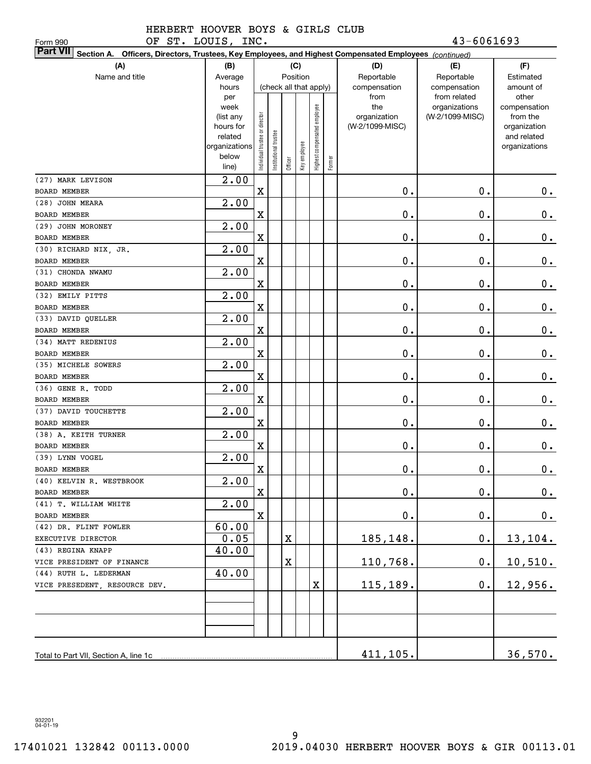OF ST. LOUIS, INC. 43-6061693

| OF ST. LOUIS, INC.<br>Form 990                                                                                            |                        |                                |                      |             |                        |                              |        |                 | $43 - 6061693$     |                             |
|---------------------------------------------------------------------------------------------------------------------------|------------------------|--------------------------------|----------------------|-------------|------------------------|------------------------------|--------|-----------------|--------------------|-----------------------------|
| <b>Part VII</b><br>Section A. Officers, Directors, Trustees, Key Employees, and Highest Compensated Employees (continued) |                        |                                |                      |             |                        |                              |        |                 |                    |                             |
| (A)<br>(F)<br>(B)<br>(C)<br>(D)<br>(E)                                                                                    |                        |                                |                      |             |                        |                              |        |                 |                    |                             |
| Name and title                                                                                                            | Average                |                                |                      |             | Position               |                              |        | Reportable      | Reportable         | Estimated                   |
|                                                                                                                           | hours                  |                                |                      |             | (check all that apply) |                              |        | compensation    | compensation       | amount of                   |
|                                                                                                                           | per                    |                                |                      |             |                        |                              |        | from            | from related       | other                       |
|                                                                                                                           | week                   |                                |                      |             |                        |                              |        | the             | organizations      | compensation                |
|                                                                                                                           | (list any<br>hours for |                                |                      |             |                        |                              |        | organization    | (W-2/1099-MISC)    | from the                    |
|                                                                                                                           | related                |                                |                      |             |                        |                              |        | (W-2/1099-MISC) |                    | organization<br>and related |
|                                                                                                                           | organizations          |                                |                      |             |                        |                              |        |                 |                    | organizations               |
|                                                                                                                           | below                  | Individual trustee or director | nstitutional trustee |             | Key employee           | Highest compensated employee |        |                 |                    |                             |
|                                                                                                                           | line)                  |                                |                      | Officer     |                        |                              | Former |                 |                    |                             |
| (27) MARK LEVISON                                                                                                         | 2.00                   |                                |                      |             |                        |                              |        |                 |                    |                             |
| <b>BOARD MEMBER</b>                                                                                                       |                        | $\mathbf X$                    |                      |             |                        |                              |        | 0.              | 0.                 | $0$ .                       |
| (28) JOHN MEARA                                                                                                           | $\overline{2.00}$      |                                |                      |             |                        |                              |        |                 |                    |                             |
| <b>BOARD MEMBER</b>                                                                                                       |                        | Χ                              |                      |             |                        |                              |        | 0.              | 0.                 | 0.                          |
| (29) JOHN MORONEY                                                                                                         | $\overline{2.00}$      |                                |                      |             |                        |                              |        |                 |                    |                             |
| <b>BOARD MEMBER</b>                                                                                                       |                        | X                              |                      |             |                        |                              |        | 0.              | 0.                 | 0.                          |
| (30) RICHARD NIX, JR.                                                                                                     | 2.00                   |                                |                      |             |                        |                              |        |                 |                    |                             |
| BOARD MEMBER                                                                                                              |                        | X                              |                      |             |                        |                              |        | 0.              | 0.                 | 0.                          |
| (31) CHONDA NWAMU                                                                                                         | 2.00                   |                                |                      |             |                        |                              |        |                 |                    |                             |
| BOARD MEMBER                                                                                                              |                        | X                              |                      |             |                        |                              |        | 0.              | 0.                 | 0.                          |
| (32) EMILY PITTS                                                                                                          | 2.00                   |                                |                      |             |                        |                              |        |                 |                    |                             |
| BOARD MEMBER                                                                                                              |                        | X                              |                      |             |                        |                              |        | 0.              | 0.                 | 0.                          |
| (33) DAVID QUELLER                                                                                                        | 2.00                   |                                |                      |             |                        |                              |        |                 |                    |                             |
| BOARD MEMBER                                                                                                              |                        | X                              |                      |             |                        |                              |        | 0.              | 0.                 | 0.                          |
| (34) MATT REDENIUS                                                                                                        | 2.00                   |                                |                      |             |                        |                              |        |                 |                    |                             |
| <b>BOARD MEMBER</b>                                                                                                       |                        | X                              |                      |             |                        |                              |        | 0.              | 0.                 | 0.                          |
| (35) MICHELE SOWERS                                                                                                       | $\overline{2.00}$      |                                |                      |             |                        |                              |        |                 |                    |                             |
| BOARD MEMBER                                                                                                              |                        | X                              |                      |             |                        |                              |        | 0.              | 0.                 | 0.                          |
| (36) GENE R. TODD                                                                                                         | $\overline{2.00}$      |                                |                      |             |                        |                              |        |                 |                    |                             |
| BOARD MEMBER                                                                                                              |                        | X                              |                      |             |                        |                              |        | 0.              | 0.                 | 0.                          |
| (37) DAVID TOUCHETTE                                                                                                      | $\overline{2.00}$      |                                |                      |             |                        |                              |        |                 |                    |                             |
| BOARD MEMBER                                                                                                              |                        | X                              |                      |             |                        |                              |        | 0.              | 0.                 | 0.                          |
| (38) A. KEITH TURNER                                                                                                      | 2.00                   |                                |                      |             |                        |                              |        |                 |                    |                             |
| BOARD MEMBER                                                                                                              |                        | X                              |                      |             |                        |                              |        | 0.              | 0.                 | 0.                          |
| (39) LYNN VOGEL                                                                                                           | 2.00                   |                                |                      |             |                        |                              |        |                 |                    |                             |
| BOARD MEMBER                                                                                                              |                        | X                              |                      |             |                        |                              |        | $\mathbf 0$ .   | $\mathbf 0$ .      | 0.                          |
| (40) KELVIN R. WESTBROOK                                                                                                  | 2.00                   | $\mathbf X$                    |                      |             |                        |                              |        |                 |                    |                             |
| BOARD MEMBER<br>(41) T. WILLIAM WHITE                                                                                     | 2.00                   |                                |                      |             |                        |                              |        | $\mathbf 0$ .   | $\mathbf 0$ .      | $0$ .                       |
| BOARD MEMBER                                                                                                              |                        | $\mathbf X$                    |                      |             |                        |                              |        | $\mathbf 0$ .   | $\mathbf 0$ .      | 0.                          |
| (42) DR. FLINT FOWLER                                                                                                     | 60.00                  |                                |                      |             |                        |                              |        |                 |                    |                             |
| EXECUTIVE DIRECTOR                                                                                                        | 0.05                   |                                |                      | Χ           |                        |                              |        | 185,148.        | $\boldsymbol{0}$ . | 13,104.                     |
| (43) REGINA KNAPP                                                                                                         | 40.00                  |                                |                      |             |                        |                              |        |                 |                    |                             |
| VICE PRESIDENT OF FINANCE                                                                                                 |                        |                                |                      | $\mathbf X$ |                        |                              |        | 110,768.        | 0.                 | 10,510.                     |
| (44) RUTH L. LEDERMAN                                                                                                     | 40.00                  |                                |                      |             |                        |                              |        |                 |                    |                             |
| VICE PRESEDENT, RESOURCE DEV.                                                                                             |                        |                                |                      |             |                        | X                            |        | 115,189.        | $0$ .              | 12,956.                     |
|                                                                                                                           |                        |                                |                      |             |                        |                              |        |                 |                    |                             |
|                                                                                                                           |                        |                                |                      |             |                        |                              |        |                 |                    |                             |
|                                                                                                                           |                        |                                |                      |             |                        |                              |        |                 |                    |                             |
|                                                                                                                           |                        |                                |                      |             |                        |                              |        |                 |                    |                             |
|                                                                                                                           |                        |                                |                      |             |                        |                              |        |                 |                    |                             |
| Total to Part VII, Section A, line 1c                                                                                     |                        |                                |                      |             |                        |                              |        | 411,105.        |                    | 36,570.                     |

932201 04-01-19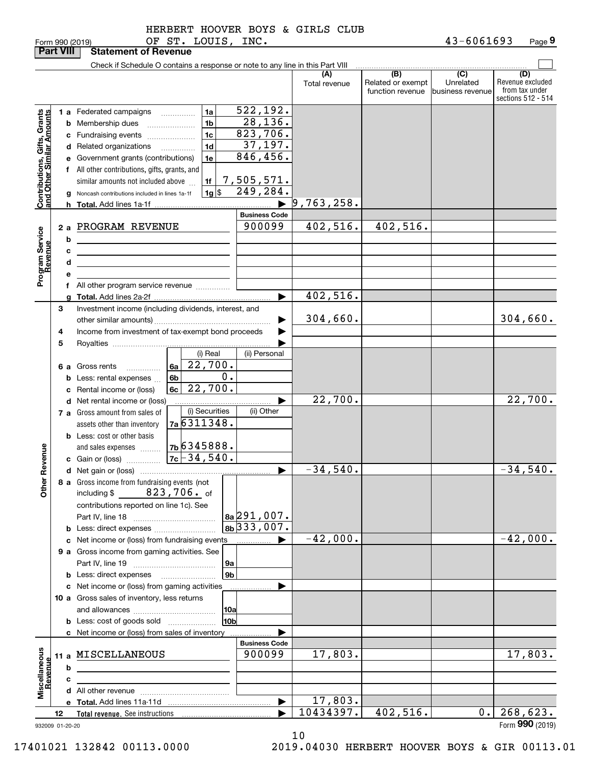|  | HEKBEKT HOG |  |
|--|-------------|--|
|  |             |  |

|                                                           | <b>Part VIII</b> |   | <b>Statement of Revenue</b>                                                                                                                 |                                                  |                                               |                      |                                              |                                                  |                                                                 |
|-----------------------------------------------------------|------------------|---|---------------------------------------------------------------------------------------------------------------------------------------------|--------------------------------------------------|-----------------------------------------------|----------------------|----------------------------------------------|--------------------------------------------------|-----------------------------------------------------------------|
|                                                           |                  |   | Check if Schedule O contains a response or note to any line in this Part VIII                                                               |                                                  |                                               |                      |                                              |                                                  |                                                                 |
|                                                           |                  |   |                                                                                                                                             |                                                  |                                               | (A)<br>Total revenue | (B)<br>Related or exempt<br>function revenue | $\overline{C}$<br>Unrelated<br> business revenue | (D)<br>Revenue excluded<br>from tax under<br>sections 512 - 514 |
|                                                           |                  |   | 1 a Federated campaigns<br><b>b</b> Membership dues<br>c Fundraising events                                                                 | 1a<br>1 <sub>b</sub><br>1 <sub>c</sub>           | 522,192.<br>28, 136.<br>823,706.              |                      |                                              |                                                  |                                                                 |
| Contributions, Gifts, Grants<br>and Other Similar Amounts |                  |   | d Related organizations<br>e Government grants (contributions)<br>f All other contributions, gifts, grants, and                             | 1 <sub>d</sub><br>$\overline{\phantom{a}}$<br>1e | 37,197.<br>846, 456.<br><u>7,505,571.</u>     |                      |                                              |                                                  |                                                                 |
|                                                           |                  |   | similar amounts not included above<br>g Noncash contributions included in lines 1a-1f                                                       | 1f<br>$1g$ \$                                    | 249, 284.<br>$\blacktriangleright$            | 9,763,258.           |                                              |                                                  |                                                                 |
|                                                           |                  |   |                                                                                                                                             |                                                  | <b>Business Code</b>                          |                      |                                              |                                                  |                                                                 |
| Program Service<br>Revenue                                |                  | b | 2 a PROGRAM REVENUE<br><u> 1989 - Johann Barn, mars ann an t-Amhain Aonaich an t-Aonaich an t-Aonaich ann an t-Aonaich ann an t-Aonaich</u> |                                                  | 900099                                        | 402,516.             | 402,516.                                     |                                                  |                                                                 |
|                                                           |                  | с | <u> 1989 - Johann Stein, marwolaethau a bhann an t-Amhair an t-Amhair an t-Amhair an t-Amhair an t-Amhair an t-A</u>                        |                                                  |                                               |                      |                                              |                                                  |                                                                 |
|                                                           |                  | d | the contract of the contract of the contract of the contract of the contract of                                                             |                                                  |                                               |                      |                                              |                                                  |                                                                 |
|                                                           |                  | e |                                                                                                                                             |                                                  |                                               |                      |                                              |                                                  |                                                                 |
|                                                           |                  |   | f All other program service revenue                                                                                                         |                                                  |                                               |                      |                                              |                                                  |                                                                 |
|                                                           |                  |   |                                                                                                                                             |                                                  | ▶                                             | 402,516.             |                                              |                                                  |                                                                 |
|                                                           | 3                |   | Investment income (including dividends, interest, and                                                                                       |                                                  |                                               |                      |                                              |                                                  |                                                                 |
|                                                           |                  |   |                                                                                                                                             |                                                  |                                               | 304,660.             |                                              |                                                  | 304,660.                                                        |
|                                                           | 4                |   | Income from investment of tax-exempt bond proceeds                                                                                          |                                                  |                                               |                      |                                              |                                                  |                                                                 |
|                                                           | 5                |   |                                                                                                                                             |                                                  |                                               |                      |                                              |                                                  |                                                                 |
|                                                           |                  |   |                                                                                                                                             | (i) Real                                         | (ii) Personal                                 |                      |                                              |                                                  |                                                                 |
|                                                           |                  |   | 6 a Gross rents<br>$\overline{\phantom{a}}$                                                                                                 | $6a \overline{22}$ , 700.                        |                                               |                      |                                              |                                                  |                                                                 |
|                                                           |                  |   | <b>b</b> Less: rental expenses                                                                                                              | 0.<br>6 <sub>b</sub>                             |                                               |                      |                                              |                                                  |                                                                 |
|                                                           |                  |   | c Rental income or (loss)                                                                                                                   | 22,700.<br>6c                                    |                                               |                      |                                              |                                                  |                                                                 |
|                                                           |                  |   | d Net rental income or (loss)                                                                                                               |                                                  | ▶                                             | 22,700.              |                                              |                                                  | 22,700.                                                         |
|                                                           |                  |   | 7 a Gross amount from sales of                                                                                                              | (i) Securities<br>7a 6311348.                    | (ii) Other                                    |                      |                                              |                                                  |                                                                 |
|                                                           |                  |   | assets other than inventory                                                                                                                 |                                                  |                                               |                      |                                              |                                                  |                                                                 |
|                                                           |                  |   | <b>b</b> Less: cost or other basis                                                                                                          | 7b6345888.                                       |                                               |                      |                                              |                                                  |                                                                 |
| Revenue                                                   |                  |   | and sales expenses                                                                                                                          |                                                  |                                               |                      |                                              |                                                  |                                                                 |
|                                                           |                  |   |                                                                                                                                             |                                                  | $\blacktriangleright$                         | $-34,540.$           |                                              |                                                  | $-34,540.$                                                      |
|                                                           |                  |   | 8 a Gross income from fundraising events (not                                                                                               |                                                  |                                               |                      |                                              |                                                  |                                                                 |
| <b>Othe</b>                                               |                  |   | $823,706$ . of<br>including \$<br>contributions reported on line 1c). See                                                                   |                                                  |                                               |                      |                                              |                                                  |                                                                 |
|                                                           |                  |   |                                                                                                                                             |                                                  | $ a_2 291,007$ .<br>$8b\overline{)333,007}$ . |                      |                                              |                                                  |                                                                 |
|                                                           |                  |   |                                                                                                                                             |                                                  |                                               | $-42,000.$           |                                              |                                                  | $-42,000.$                                                      |
|                                                           |                  |   | c Net income or (loss) from fundraising events                                                                                              |                                                  | ▶<br>.                                        |                      |                                              |                                                  |                                                                 |
|                                                           |                  |   | 9 a Gross income from gaming activities. See                                                                                                |                                                  |                                               |                      |                                              |                                                  |                                                                 |
|                                                           |                  |   |                                                                                                                                             | 9а<br>9 <sub>b</sub>                             |                                               |                      |                                              |                                                  |                                                                 |
|                                                           |                  |   |                                                                                                                                             |                                                  |                                               |                      |                                              |                                                  |                                                                 |
|                                                           |                  |   | c Net income or (loss) from gaming activities<br>10 a Gross sales of inventory, less returns                                                |                                                  |                                               |                      |                                              |                                                  |                                                                 |
|                                                           |                  |   |                                                                                                                                             | 10a                                              |                                               |                      |                                              |                                                  |                                                                 |
|                                                           |                  |   | <b>b</b> Less: cost of goods sold                                                                                                           | 10b                                              |                                               |                      |                                              |                                                  |                                                                 |
|                                                           |                  |   | c Net income or (loss) from sales of inventory                                                                                              |                                                  |                                               |                      |                                              |                                                  |                                                                 |
|                                                           |                  |   |                                                                                                                                             |                                                  | <b>Business Code</b>                          |                      |                                              |                                                  |                                                                 |
|                                                           |                  |   | 11 a MISCELLANEOUS                                                                                                                          |                                                  | 900099                                        | 17,803.              |                                              |                                                  | 17,803.                                                         |
| Miscellaneous<br>Revenue                                  |                  | b |                                                                                                                                             |                                                  |                                               |                      |                                              |                                                  |                                                                 |
|                                                           |                  | с | <u> 1980 - John Stein, amerikansk politiker (</u>                                                                                           |                                                  |                                               |                      |                                              |                                                  |                                                                 |
|                                                           |                  |   |                                                                                                                                             |                                                  |                                               |                      |                                              |                                                  |                                                                 |
|                                                           |                  |   |                                                                                                                                             |                                                  | $\blacktriangleright$                         | 17,803.              |                                              |                                                  |                                                                 |
|                                                           | 12               |   |                                                                                                                                             |                                                  |                                               | 10434397.            | 402, 516.                                    | 0.                                               | 268,623.                                                        |
| 932009 01-20-20                                           |                  |   |                                                                                                                                             |                                                  |                                               |                      |                                              |                                                  | Form 990 (2019)                                                 |

10

17401021 132842 00113.0000 2019.04030 HERBERT HOOVER BOYS & GIR 00113.01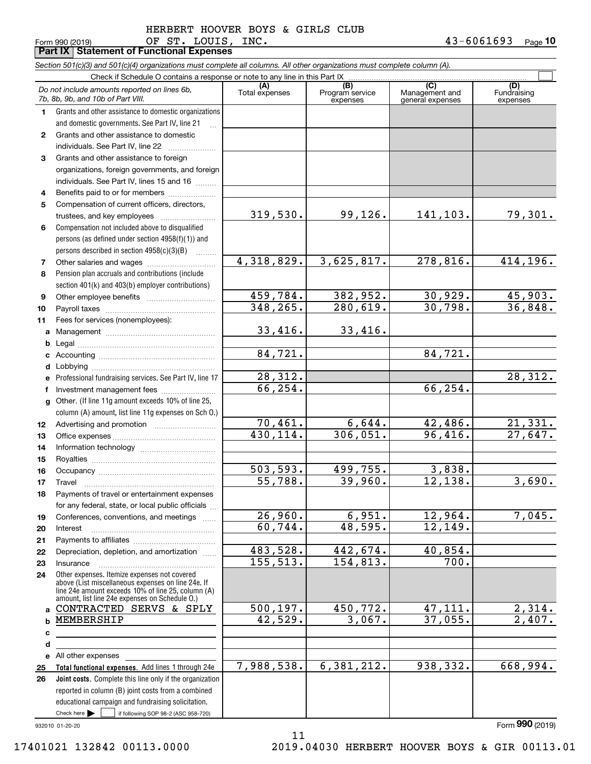Form 990 (2019) Page **Part IX Statement of Functional Expenses 10** OF ST. LOUIS, INC. 43-6061693

|              | Section 501(c)(3) and 501(c)(4) organizations must complete all columns. All other organizations must complete column (A). |                       |                                    |                                           |                                |
|--------------|----------------------------------------------------------------------------------------------------------------------------|-----------------------|------------------------------------|-------------------------------------------|--------------------------------|
|              | Check if Schedule O contains a response or note to any line in this Part IX                                                |                       |                                    |                                           |                                |
|              | Do not include amounts reported on lines 6b,<br>7b, 8b, 9b, and 10b of Part VIII.                                          | (A)<br>Total expenses | (B)<br>Program service<br>expenses | (C)<br>Management and<br>general expenses | (D)<br>Fundraising<br>expenses |
| 1.           | Grants and other assistance to domestic organizations                                                                      |                       |                                    |                                           |                                |
|              | and domestic governments. See Part IV, line 21                                                                             |                       |                                    |                                           |                                |
| $\mathbf{2}$ | Grants and other assistance to domestic                                                                                    |                       |                                    |                                           |                                |
|              | individuals. See Part IV, line 22                                                                                          |                       |                                    |                                           |                                |
| 3            | Grants and other assistance to foreign                                                                                     |                       |                                    |                                           |                                |
|              | organizations, foreign governments, and foreign                                                                            |                       |                                    |                                           |                                |
|              | individuals. See Part IV, lines 15 and 16                                                                                  |                       |                                    |                                           |                                |
| 4            | Benefits paid to or for members                                                                                            |                       |                                    |                                           |                                |
| 5            | Compensation of current officers, directors,                                                                               |                       |                                    |                                           |                                |
|              | trustees, and key employees                                                                                                | 319,530.              | 99, 126.                           | 141,103.                                  | 79,301.                        |
| 6            | Compensation not included above to disqualified                                                                            |                       |                                    |                                           |                                |
|              | persons (as defined under section 4958(f)(1)) and                                                                          |                       |                                    |                                           |                                |
|              | persons described in section 4958(c)(3)(B)                                                                                 |                       |                                    |                                           |                                |
|              |                                                                                                                            | 4,318,829.            | 3,625,817.                         | 278,816.                                  | 414,196.                       |
| 7            |                                                                                                                            |                       |                                    |                                           |                                |
| 8            | Pension plan accruals and contributions (include                                                                           |                       |                                    |                                           |                                |
|              | section 401(k) and 403(b) employer contributions)                                                                          |                       |                                    |                                           |                                |
| 9            |                                                                                                                            | 459,784.              | 382,952.                           | 30,929.                                   | 45,903.                        |
| 10           |                                                                                                                            | 348,265.              | 280,619.                           | 30,798.                                   | 36,848.                        |
| 11           | Fees for services (nonemployees):                                                                                          |                       |                                    |                                           |                                |
| a            |                                                                                                                            | 33,416.               | 33,416.                            |                                           |                                |
| b            |                                                                                                                            |                       |                                    |                                           |                                |
| с            |                                                                                                                            | 84,721.               |                                    | 84,721.                                   |                                |
| d            |                                                                                                                            |                       |                                    |                                           |                                |
| е            | Professional fundraising services. See Part IV, line 17                                                                    | 28,312.               |                                    |                                           | 28,312.                        |
| f            | Investment management fees                                                                                                 | 66,254.               |                                    | 66,254.                                   |                                |
| g            | Other. (If line 11g amount exceeds 10% of line 25,                                                                         |                       |                                    |                                           |                                |
|              | column (A) amount, list line 11g expenses on Sch O.)                                                                       |                       |                                    |                                           |                                |
| 12           |                                                                                                                            | 70,461.               | 6,644.                             | 42,486.                                   | 21,331.                        |
| 13           |                                                                                                                            | 430,114.              | 306,051.                           | 96,416.                                   | 27,647.                        |
| 14           |                                                                                                                            |                       |                                    |                                           |                                |
| 15           |                                                                                                                            |                       |                                    |                                           |                                |
| 16           |                                                                                                                            | 503, 593.             | 499,755.                           | 3,838.                                    |                                |
| 17           |                                                                                                                            | 55,788.               | 39,960.                            | 12,138.                                   | 3,690.                         |
| 18           | Payments of travel or entertainment expenses                                                                               |                       |                                    |                                           |                                |
|              | for any federal, state, or local public officials                                                                          |                       |                                    |                                           |                                |
| 19           | Conferences, conventions, and meetings                                                                                     | 26,960.               | 6,951.                             | 12,964.                                   | 7,045.                         |
| 20           | Interest                                                                                                                   | 60,744.               | 48,595.                            | 12,149.                                   |                                |
| 21           |                                                                                                                            |                       |                                    |                                           |                                |
| 22           | Depreciation, depletion, and amortization                                                                                  | 483,528.              | 442,674.                           | 40,854.                                   |                                |
| 23           | Insurance                                                                                                                  | 155,513.              | 154,813.                           | 700.                                      |                                |
| 24           | Other expenses. Itemize expenses not covered<br>above (List miscellaneous expenses on line 24e. If                         |                       |                                    |                                           |                                |
|              | line 24e amount exceeds 10% of line 25, column (A)<br>amount, list line 24e expenses on Schedule O.)                       |                       |                                    |                                           |                                |
|              | CONTRACTED SERVS & SPLY                                                                                                    | 500, 197.             | 450,772.                           | 47,111.                                   | 2,314.                         |
| a            | MEMBERSHIP                                                                                                                 | 42,529.               | 3,067.                             | 37,055.                                   | 2,407.                         |
| b            |                                                                                                                            |                       |                                    |                                           |                                |
| c            |                                                                                                                            |                       |                                    |                                           |                                |
| d            |                                                                                                                            |                       |                                    |                                           |                                |
| е            | All other expenses                                                                                                         |                       |                                    |                                           |                                |
| 25           | Total functional expenses. Add lines 1 through 24e                                                                         | 7,988,538.            | 6,381,212.                         | 938,332.                                  | 668,994.                       |
| 26           | Joint costs. Complete this line only if the organization                                                                   |                       |                                    |                                           |                                |
|              | reported in column (B) joint costs from a combined                                                                         |                       |                                    |                                           |                                |
|              | educational campaign and fundraising solicitation.                                                                         |                       |                                    |                                           |                                |
|              | Check here $\blacktriangleright$<br>if following SOP 98-2 (ASC 958-720)                                                    |                       |                                    |                                           |                                |

11

932010 01-20-20

Form (2019) **990**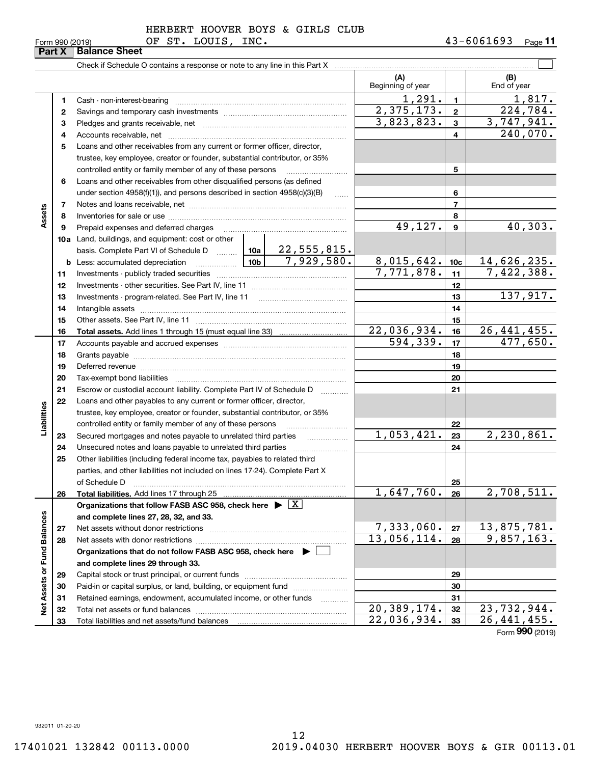| Form 990 (2019) |  |
|-----------------|--|
|-----------------|--|

|                             | Part X | <b>Balance Sheet</b>                                                                                                                                                                                                           |                             |                 |                                            |
|-----------------------------|--------|--------------------------------------------------------------------------------------------------------------------------------------------------------------------------------------------------------------------------------|-----------------------------|-----------------|--------------------------------------------|
|                             |        |                                                                                                                                                                                                                                |                             |                 |                                            |
|                             |        |                                                                                                                                                                                                                                | (A)<br>Beginning of year    |                 | (B)<br>End of year                         |
|                             | 1      |                                                                                                                                                                                                                                | 1,291.                      | $\mathbf{1}$    | 1,817.                                     |
|                             | 2      |                                                                                                                                                                                                                                | 2,375,173.                  | $\mathbf{2}$    | 224,784.                                   |
|                             | з      |                                                                                                                                                                                                                                | 3,823,823.                  | 3               | 3,747,941.                                 |
|                             | 4      |                                                                                                                                                                                                                                |                             | 4               | 240,070.                                   |
|                             | 5      | Loans and other receivables from any current or former officer, director,                                                                                                                                                      |                             |                 |                                            |
|                             |        | trustee, key employee, creator or founder, substantial contributor, or 35%                                                                                                                                                     |                             |                 |                                            |
|                             |        | controlled entity or family member of any of these persons <i>manufolder in the controlled</i>                                                                                                                                 |                             | 5               |                                            |
|                             | 6      | Loans and other receivables from other disqualified persons (as defined                                                                                                                                                        |                             |                 |                                            |
|                             |        | under section $4958(f)(1)$ , and persons described in section $4958(c)(3)(B)$                                                                                                                                                  |                             | 6               |                                            |
|                             | 7      |                                                                                                                                                                                                                                |                             | 7               |                                            |
| Assets                      | 8      |                                                                                                                                                                                                                                |                             | 8               |                                            |
|                             | 9      | Prepaid expenses and deferred charges [11] [11] prepaid expenses and deferred charges [11] [11] minimum materials                                                                                                              | 49, 127.                    | 9               | 40,303.                                    |
|                             |        | 10a Land, buildings, and equipment: cost or other                                                                                                                                                                              |                             |                 |                                            |
|                             |        | basis. Complete Part VI of Schedule D    10a   22, 555, 815.                                                                                                                                                                   |                             |                 |                                            |
|                             |        | 7,929,580.                                                                                                                                                                                                                     | 8,015,642.                  | 10 <sub>c</sub> | 14,626,235.                                |
|                             | 11     |                                                                                                                                                                                                                                | 7,771,878.                  | 11              | 7,422,388.                                 |
|                             | 12     |                                                                                                                                                                                                                                |                             | 12              |                                            |
|                             | 13     |                                                                                                                                                                                                                                |                             | 13              | 137,917.                                   |
|                             | 14     |                                                                                                                                                                                                                                |                             | 14              |                                            |
|                             | 15     |                                                                                                                                                                                                                                |                             | 15              |                                            |
|                             | 16     |                                                                                                                                                                                                                                | $\overline{22}$ , 036, 934. | 16              | 26,441,455.                                |
|                             | 17     |                                                                                                                                                                                                                                | 594,339.                    | 17              | 477,650.                                   |
|                             | 18     |                                                                                                                                                                                                                                |                             | 18              |                                            |
|                             | 19     | Deferred revenue material contracts and a contract of the contract of the contract of the contract of the contract of the contract of the contract of the contract of the contract of the contract of the contract of the cont |                             | 19              |                                            |
|                             | 20     |                                                                                                                                                                                                                                |                             | 20              |                                            |
|                             | 21     | Escrow or custodial account liability. Complete Part IV of Schedule D                                                                                                                                                          |                             | 21              |                                            |
|                             | 22     | Loans and other payables to any current or former officer, director,                                                                                                                                                           |                             |                 |                                            |
|                             |        | trustee, key employee, creator or founder, substantial contributor, or 35%                                                                                                                                                     |                             |                 |                                            |
| Liabilities                 |        | controlled entity or family member of any of these persons                                                                                                                                                                     |                             | 22              |                                            |
|                             | 23     |                                                                                                                                                                                                                                | 1,053,421.                  | 23              | 2,230,861.                                 |
|                             | 24     |                                                                                                                                                                                                                                |                             | 24              |                                            |
|                             | 25     | Other liabilities (including federal income tax, payables to related third                                                                                                                                                     |                             |                 |                                            |
|                             |        | parties, and other liabilities not included on lines 17-24). Complete Part X                                                                                                                                                   |                             |                 |                                            |
|                             |        | of Schedule D                                                                                                                                                                                                                  |                             | 25              |                                            |
|                             | 26     | Total liabilities. Add lines 17 through 25                                                                                                                                                                                     | 1,647,760.                  | 26              | 2,708,511.                                 |
|                             |        | Organizations that follow FASB ASC 958, check here $\blacktriangleright \boxed{X}$                                                                                                                                             |                             |                 |                                            |
|                             |        | and complete lines 27, 28, 32, and 33.                                                                                                                                                                                         |                             |                 |                                            |
|                             | 27     |                                                                                                                                                                                                                                | 7,333,060.                  | 27              | 13,875,781.                                |
|                             | 28     |                                                                                                                                                                                                                                | 13,056,114.                 | 28              | 9,857,163.                                 |
|                             |        | Organizations that do not follow FASB ASC 958, check here $\blacktriangleright$                                                                                                                                                |                             |                 |                                            |
| Net Assets or Fund Balances |        | and complete lines 29 through 33.                                                                                                                                                                                              |                             |                 |                                            |
|                             | 29     |                                                                                                                                                                                                                                |                             | 29              |                                            |
|                             | 30     | Paid-in or capital surplus, or land, building, or equipment fund                                                                                                                                                               |                             | 30              |                                            |
|                             | 31     | Retained earnings, endowment, accumulated income, or other funds                                                                                                                                                               | $\overline{20}$ , 389, 174. | 31              |                                            |
|                             | 32     |                                                                                                                                                                                                                                |                             | 32              | 23,732,944.<br>$\overline{26}$ , 441, 455. |
|                             | 33     |                                                                                                                                                                                                                                | 22,036,934.                 | 33              |                                            |

Form (2019) **990**

932011 01-20-20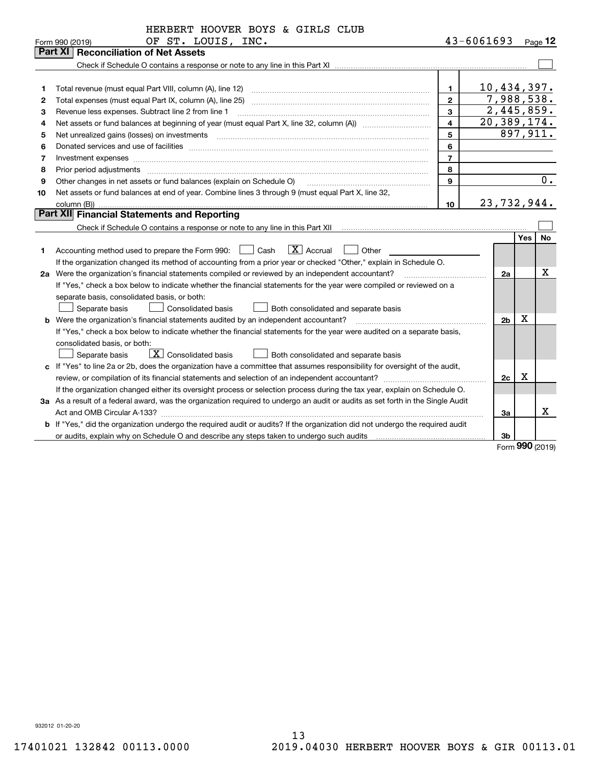|         | HERBERT HOOVER BOYS & GIRLS CLUB                                                                                                |                |                          |          |                  |
|---------|---------------------------------------------------------------------------------------------------------------------------------|----------------|--------------------------|----------|------------------|
|         | OF ST. LOUIS, INC.<br>Form 990 (2019)                                                                                           |                | $43 - 6061693$           |          | $Page$ 12        |
| Part XI | <b>Reconciliation of Net Assets</b>                                                                                             |                |                          |          |                  |
|         |                                                                                                                                 |                |                          |          |                  |
|         |                                                                                                                                 |                |                          |          |                  |
| 1       |                                                                                                                                 | 1.             | 10,434,397.              |          |                  |
| 2       | Total expenses (must equal Part IX, column (A), line 25)                                                                        | $\mathbf{2}$   | 7,988,538.               |          |                  |
| з       | Revenue less expenses. Subtract line 2 from line 1                                                                              | 3              | 2,445,859.               |          |                  |
| 4       |                                                                                                                                 | 4              | $\overline{20,389,174.}$ |          |                  |
| 5       | Net unrealized gains (losses) on investments                                                                                    | 5              |                          |          | 897,911.         |
| 6       |                                                                                                                                 | 6              |                          |          |                  |
| 7       | Investment expenses www.communication.com/www.communication.com/www.communication.com/www.com                                   | $\overline{7}$ |                          |          |                  |
| 8       | Prior period adjustments                                                                                                        | 8              |                          |          |                  |
| 9       | Other changes in net assets or fund balances (explain on Schedule O)                                                            | 9              |                          |          | $\overline{0}$ . |
| 10      | Net assets or fund balances at end of year. Combine lines 3 through 9 (must equal Part X, line 32,                              |                |                          |          |                  |
|         | column (B))                                                                                                                     | 10             | 23,732,944.              |          |                  |
|         | Part XII Financial Statements and Reporting                                                                                     |                |                          |          |                  |
|         |                                                                                                                                 |                |                          |          |                  |
|         |                                                                                                                                 |                |                          | Yes      | No               |
| 1       | $\boxed{\mathbf{X}}$ Accrual<br>Other<br>Accounting method used to prepare the Form 990: <u>I</u> Cash                          |                |                          |          |                  |
|         | If the organization changed its method of accounting from a prior year or checked "Other," explain in Schedule O.               |                |                          |          |                  |
|         | 2a Were the organization's financial statements compiled or reviewed by an independent accountant?                              |                | 2a                       |          | х                |
|         | If "Yes," check a box below to indicate whether the financial statements for the year were compiled or reviewed on a            |                |                          |          |                  |
|         | separate basis, consolidated basis, or both:                                                                                    |                |                          |          |                  |
|         | Separate basis<br>Consolidated basis<br>Both consolidated and separate basis                                                    |                |                          |          |                  |
|         | <b>b</b> Were the organization's financial statements audited by an independent accountant?                                     |                | 2 <sub>b</sub>           | х        |                  |
|         | If "Yes," check a box below to indicate whether the financial statements for the year were audited on a separate basis,         |                |                          |          |                  |
|         | consolidated basis, or both:                                                                                                    |                |                          |          |                  |
|         | $\boxed{\textbf{X}}$ Consolidated basis<br>Separate basis<br>Both consolidated and separate basis                               |                |                          |          |                  |
|         | c If "Yes" to line 2a or 2b, does the organization have a committee that assumes responsibility for oversight of the audit,     |                |                          |          |                  |
|         | review, or compilation of its financial statements and selection of an independent accountant?                                  |                | 2c                       | х        |                  |
|         | If the organization changed either its oversight process or selection process during the tax year, explain on Schedule O.       |                |                          |          |                  |
|         | 3a As a result of a federal award, was the organization required to undergo an audit or audits as set forth in the Single Audit |                |                          |          |                  |
|         |                                                                                                                                 |                | За                       |          | X                |
|         | b If "Yes," did the organization undergo the required audit or audits? If the organization did not undergo the required audit   |                |                          |          |                  |
|         |                                                                                                                                 |                | 3b                       | $\Omega$ |                  |

Form (2019) **990**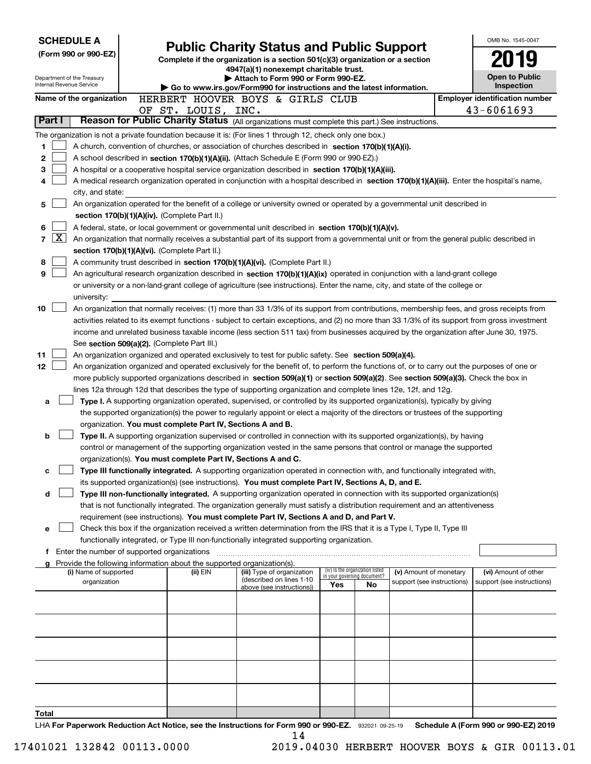| <b>SCHEDULE A</b> |              |                                                                                                                                                                                                                                                 |  |                                                                                                                                            |                                                                        |  |  |                                                       |  |  |  |  |                                                        |    |  |                            | OMB No. 1545-0047                                                                                                                             |
|-------------------|--------------|-------------------------------------------------------------------------------------------------------------------------------------------------------------------------------------------------------------------------------------------------|--|--------------------------------------------------------------------------------------------------------------------------------------------|------------------------------------------------------------------------|--|--|-------------------------------------------------------|--|--|--|--|--------------------------------------------------------|----|--|----------------------------|-----------------------------------------------------------------------------------------------------------------------------------------------|
|                   |              | (Form 990 or 990-EZ)                                                                                                                                                                                                                            |  | <b>Public Charity Status and Public Support</b><br>Complete if the organization is a section 501(c)(3) organization or a section           |                                                                        |  |  |                                                       |  |  |  |  |                                                        |    |  |                            |                                                                                                                                               |
|                   |              |                                                                                                                                                                                                                                                 |  |                                                                                                                                            |                                                                        |  |  |                                                       |  |  |  |  | 4947(a)(1) nonexempt charitable trust.                 |    |  |                            |                                                                                                                                               |
|                   |              | Department of the Treasury<br>Internal Revenue Service                                                                                                                                                                                          |  |                                                                                                                                            |                                                                        |  |  |                                                       |  |  |  |  | Attach to Form 990 or Form 990-EZ.                     |    |  |                            | <b>Open to Public</b>                                                                                                                         |
|                   |              |                                                                                                                                                                                                                                                 |  |                                                                                                                                            | Go to www.irs.gov/Form990 for instructions and the latest information. |  |  |                                                       |  |  |  |  |                                                        |    |  |                            | Inspection                                                                                                                                    |
|                   |              | Name of the organization                                                                                                                                                                                                                        |  |                                                                                                                                            | HERBERT HOOVER BOYS & GIRLS CLUB                                       |  |  |                                                       |  |  |  |  |                                                        |    |  |                            | <b>Employer identification number</b><br>43-6061693                                                                                           |
|                   | Part I       | Reason for Public Charity Status (All organizations must complete this part.) See instructions.                                                                                                                                                 |  |                                                                                                                                            | OF ST. LOUIS, INC.                                                     |  |  |                                                       |  |  |  |  |                                                        |    |  |                            |                                                                                                                                               |
|                   |              | The organization is not a private foundation because it is: (For lines 1 through 12, check only one box.)                                                                                                                                       |  |                                                                                                                                            |                                                                        |  |  |                                                       |  |  |  |  |                                                        |    |  |                            |                                                                                                                                               |
| 1.                |              | A church, convention of churches, or association of churches described in section 170(b)(1)(A)(i).                                                                                                                                              |  |                                                                                                                                            |                                                                        |  |  |                                                       |  |  |  |  |                                                        |    |  |                            |                                                                                                                                               |
| 2                 |              | A school described in section 170(b)(1)(A)(ii). (Attach Schedule E (Form 990 or 990-EZ).)                                                                                                                                                       |  |                                                                                                                                            |                                                                        |  |  |                                                       |  |  |  |  |                                                        |    |  |                            |                                                                                                                                               |
| 3                 |              | A hospital or a cooperative hospital service organization described in section 170(b)(1)(A)(iii).                                                                                                                                               |  |                                                                                                                                            |                                                                        |  |  |                                                       |  |  |  |  |                                                        |    |  |                            |                                                                                                                                               |
| 4                 |              |                                                                                                                                                                                                                                                 |  |                                                                                                                                            |                                                                        |  |  |                                                       |  |  |  |  |                                                        |    |  |                            |                                                                                                                                               |
|                   |              | city, and state:                                                                                                                                                                                                                                |  | A medical research organization operated in conjunction with a hospital described in section 170(b)(1)(A)(iii). Enter the hospital's name, |                                                                        |  |  |                                                       |  |  |  |  |                                                        |    |  |                            |                                                                                                                                               |
| 5                 |              | An organization operated for the benefit of a college or university owned or operated by a governmental unit described in                                                                                                                       |  |                                                                                                                                            |                                                                        |  |  |                                                       |  |  |  |  |                                                        |    |  |                            |                                                                                                                                               |
|                   |              | section 170(b)(1)(A)(iv). (Complete Part II.)                                                                                                                                                                                                   |  |                                                                                                                                            |                                                                        |  |  |                                                       |  |  |  |  |                                                        |    |  |                            |                                                                                                                                               |
| 6                 |              | A federal, state, or local government or governmental unit described in section 170(b)(1)(A)(v).                                                                                                                                                |  |                                                                                                                                            |                                                                        |  |  |                                                       |  |  |  |  |                                                        |    |  |                            |                                                                                                                                               |
| $\overline{7}$    | $\mathbf{X}$ |                                                                                                                                                                                                                                                 |  |                                                                                                                                            |                                                                        |  |  |                                                       |  |  |  |  |                                                        |    |  |                            | An organization that normally receives a substantial part of its support from a governmental unit or from the general public described in     |
|                   |              | section 170(b)(1)(A)(vi). (Complete Part II.)                                                                                                                                                                                                   |  |                                                                                                                                            |                                                                        |  |  |                                                       |  |  |  |  |                                                        |    |  |                            |                                                                                                                                               |
| 8                 |              | A community trust described in section 170(b)(1)(A)(vi). (Complete Part II.)                                                                                                                                                                    |  |                                                                                                                                            |                                                                        |  |  |                                                       |  |  |  |  |                                                        |    |  |                            |                                                                                                                                               |
| 9                 |              | An agricultural research organization described in section 170(b)(1)(A)(ix) operated in conjunction with a land-grant college                                                                                                                   |  |                                                                                                                                            |                                                                        |  |  |                                                       |  |  |  |  |                                                        |    |  |                            |                                                                                                                                               |
|                   |              | or university or a non-land-grant college of agriculture (see instructions). Enter the name, city, and state of the college or<br>university:                                                                                                   |  |                                                                                                                                            |                                                                        |  |  |                                                       |  |  |  |  |                                                        |    |  |                            |                                                                                                                                               |
| 10                |              |                                                                                                                                                                                                                                                 |  |                                                                                                                                            |                                                                        |  |  |                                                       |  |  |  |  |                                                        |    |  |                            | An organization that normally receives: (1) more than 33 1/3% of its support from contributions, membership fees, and gross receipts from     |
|                   |              |                                                                                                                                                                                                                                                 |  |                                                                                                                                            |                                                                        |  |  |                                                       |  |  |  |  |                                                        |    |  |                            | activities related to its exempt functions - subject to certain exceptions, and (2) no more than 33 1/3% of its support from gross investment |
|                   |              |                                                                                                                                                                                                                                                 |  |                                                                                                                                            |                                                                        |  |  |                                                       |  |  |  |  |                                                        |    |  |                            | income and unrelated business taxable income (less section 511 tax) from businesses acquired by the organization after June 30, 1975.         |
|                   |              | See section 509(a)(2). (Complete Part III.)                                                                                                                                                                                                     |  |                                                                                                                                            |                                                                        |  |  |                                                       |  |  |  |  |                                                        |    |  |                            |                                                                                                                                               |
| 11                |              | An organization organized and operated exclusively to test for public safety. See section 509(a)(4).                                                                                                                                            |  |                                                                                                                                            |                                                                        |  |  |                                                       |  |  |  |  |                                                        |    |  |                            |                                                                                                                                               |
| 12                |              |                                                                                                                                                                                                                                                 |  |                                                                                                                                            |                                                                        |  |  |                                                       |  |  |  |  |                                                        |    |  |                            | An organization organized and operated exclusively for the benefit of, to perform the functions of, or to carry out the purposes of one or    |
|                   |              |                                                                                                                                                                                                                                                 |  |                                                                                                                                            |                                                                        |  |  |                                                       |  |  |  |  |                                                        |    |  |                            | more publicly supported organizations described in section 509(a)(1) or section 509(a)(2). See section 509(a)(3). Check the box in            |
|                   |              | lines 12a through 12d that describes the type of supporting organization and complete lines 12e, 12f, and 12g.                                                                                                                                  |  |                                                                                                                                            |                                                                        |  |  |                                                       |  |  |  |  |                                                        |    |  |                            |                                                                                                                                               |
| a                 |              | Type I. A supporting organization operated, supervised, or controlled by its supported organization(s), typically by giving                                                                                                                     |  |                                                                                                                                            |                                                                        |  |  |                                                       |  |  |  |  |                                                        |    |  |                            |                                                                                                                                               |
|                   |              | the supported organization(s) the power to regularly appoint or elect a majority of the directors or trustees of the supporting                                                                                                                 |  |                                                                                                                                            |                                                                        |  |  |                                                       |  |  |  |  |                                                        |    |  |                            |                                                                                                                                               |
|                   |              | organization. You must complete Part IV, Sections A and B.                                                                                                                                                                                      |  |                                                                                                                                            |                                                                        |  |  |                                                       |  |  |  |  |                                                        |    |  |                            |                                                                                                                                               |
| b                 |              | Type II. A supporting organization supervised or controlled in connection with its supported organization(s), by having<br>control or management of the supporting organization vested in the same persons that control or manage the supported |  |                                                                                                                                            |                                                                        |  |  |                                                       |  |  |  |  |                                                        |    |  |                            |                                                                                                                                               |
|                   |              | organization(s). You must complete Part IV, Sections A and C.                                                                                                                                                                                   |  |                                                                                                                                            |                                                                        |  |  |                                                       |  |  |  |  |                                                        |    |  |                            |                                                                                                                                               |
| с                 |              | Type III functionally integrated. A supporting organization operated in connection with, and functionally integrated with,                                                                                                                      |  |                                                                                                                                            |                                                                        |  |  |                                                       |  |  |  |  |                                                        |    |  |                            |                                                                                                                                               |
|                   |              | its supported organization(s) (see instructions). You must complete Part IV, Sections A, D, and E.                                                                                                                                              |  |                                                                                                                                            |                                                                        |  |  |                                                       |  |  |  |  |                                                        |    |  |                            |                                                                                                                                               |
| d                 |              | Type III non-functionally integrated. A supporting organization operated in connection with its supported organization(s)                                                                                                                       |  |                                                                                                                                            |                                                                        |  |  |                                                       |  |  |  |  |                                                        |    |  |                            |                                                                                                                                               |
|                   |              | that is not functionally integrated. The organization generally must satisfy a distribution requirement and an attentiveness                                                                                                                    |  |                                                                                                                                            |                                                                        |  |  |                                                       |  |  |  |  |                                                        |    |  |                            |                                                                                                                                               |
|                   |              | requirement (see instructions). You must complete Part IV, Sections A and D, and Part V.                                                                                                                                                        |  |                                                                                                                                            |                                                                        |  |  |                                                       |  |  |  |  |                                                        |    |  |                            |                                                                                                                                               |
| е                 |              | Check this box if the organization received a written determination from the IRS that it is a Type I, Type II, Type III                                                                                                                         |  |                                                                                                                                            |                                                                        |  |  |                                                       |  |  |  |  |                                                        |    |  |                            |                                                                                                                                               |
|                   |              | functionally integrated, or Type III non-functionally integrated supporting organization.                                                                                                                                                       |  |                                                                                                                                            |                                                                        |  |  |                                                       |  |  |  |  |                                                        |    |  |                            |                                                                                                                                               |
|                   |              | f Enter the number of supported organizations                                                                                                                                                                                                   |  |                                                                                                                                            |                                                                        |  |  |                                                       |  |  |  |  |                                                        |    |  |                            |                                                                                                                                               |
|                   |              | Provide the following information about the supported organization(s).<br>(i) Name of supported                                                                                                                                                 |  |                                                                                                                                            | (ii) EIN                                                               |  |  | (iii) Type of organization                            |  |  |  |  | (iv) Is the organization listed                        |    |  | (v) Amount of monetary     | (vi) Amount of other                                                                                                                          |
|                   |              | organization                                                                                                                                                                                                                                    |  |                                                                                                                                            |                                                                        |  |  | (described on lines 1-10<br>above (see instructions)) |  |  |  |  | in your governing document?<br>Yes                     | No |  | support (see instructions) | support (see instructions)                                                                                                                    |
|                   |              |                                                                                                                                                                                                                                                 |  |                                                                                                                                            |                                                                        |  |  |                                                       |  |  |  |  |                                                        |    |  |                            |                                                                                                                                               |
|                   |              |                                                                                                                                                                                                                                                 |  |                                                                                                                                            |                                                                        |  |  |                                                       |  |  |  |  |                                                        |    |  |                            |                                                                                                                                               |
|                   |              |                                                                                                                                                                                                                                                 |  |                                                                                                                                            |                                                                        |  |  |                                                       |  |  |  |  |                                                        |    |  |                            |                                                                                                                                               |
|                   |              |                                                                                                                                                                                                                                                 |  |                                                                                                                                            |                                                                        |  |  |                                                       |  |  |  |  |                                                        |    |  |                            |                                                                                                                                               |
|                   |              |                                                                                                                                                                                                                                                 |  |                                                                                                                                            |                                                                        |  |  |                                                       |  |  |  |  |                                                        |    |  |                            |                                                                                                                                               |
|                   |              |                                                                                                                                                                                                                                                 |  |                                                                                                                                            |                                                                        |  |  |                                                       |  |  |  |  |                                                        |    |  |                            |                                                                                                                                               |
|                   |              |                                                                                                                                                                                                                                                 |  |                                                                                                                                            |                                                                        |  |  |                                                       |  |  |  |  |                                                        |    |  |                            |                                                                                                                                               |
|                   |              |                                                                                                                                                                                                                                                 |  |                                                                                                                                            |                                                                        |  |  |                                                       |  |  |  |  |                                                        |    |  |                            |                                                                                                                                               |
|                   |              |                                                                                                                                                                                                                                                 |  |                                                                                                                                            |                                                                        |  |  |                                                       |  |  |  |  |                                                        |    |  |                            |                                                                                                                                               |
| Total             |              |                                                                                                                                                                                                                                                 |  |                                                                                                                                            |                                                                        |  |  |                                                       |  |  |  |  |                                                        |    |  |                            |                                                                                                                                               |
|                   |              |                                                                                                                                                                                                                                                 |  |                                                                                                                                            |                                                                        |  |  |                                                       |  |  |  |  | Ast Nation and the Instructions for Form 000 or 000 F7 |    |  |                            | Cahadula A (Faum 000 av 000 EZ) 0010                                                                                                          |

LHA For Paperwork Reduction Act Notice, see the Instructions for Form 990 or 990-EZ. 932021 09-25-19 Schedule A (Form 990 or 990-EZ) 2019 14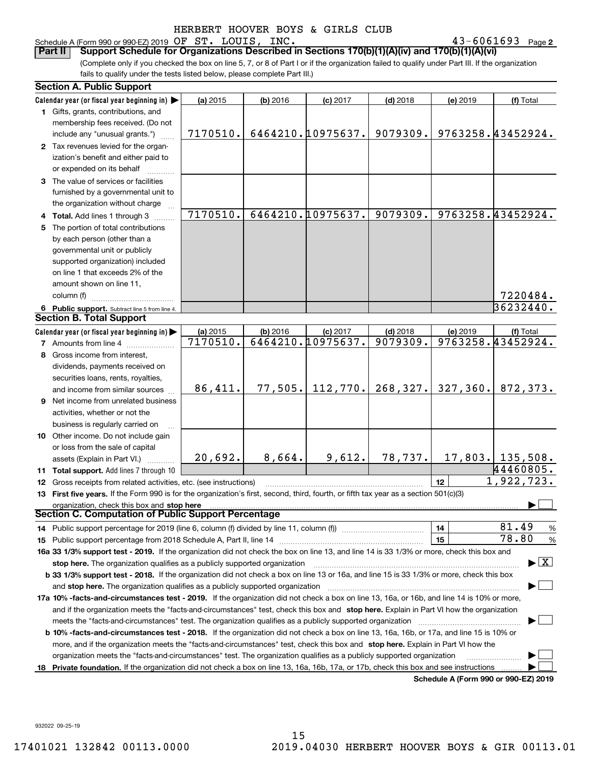#### Schedule A (Form 990 or 990-EZ) 2019 Page OF ST. LOUIS, INC. 43-6061693

43-6061693 Page 2

(Complete only if you checked the box on line 5, 7, or 8 of Part I or if the organization failed to qualify under Part III. If the organization fails to qualify under the tests listed below, please complete Part III.) **Part II Support Schedule for Organizations Described in Sections 170(b)(1)(A)(iv) and 170(b)(1)(A)(vi)**

| <b>Section A. Public Support</b>                                                                                                               |          |          |                   |            |           |                                          |
|------------------------------------------------------------------------------------------------------------------------------------------------|----------|----------|-------------------|------------|-----------|------------------------------------------|
| Calendar year (or fiscal year beginning in)                                                                                                    | (a) 2015 | (b) 2016 | $(c)$ 2017        | $(d)$ 2018 | (e) 2019  | (f) Total                                |
| 1 Gifts, grants, contributions, and                                                                                                            |          |          |                   |            |           |                                          |
| membership fees received. (Do not                                                                                                              |          |          |                   |            |           |                                          |
| include any "unusual grants.")                                                                                                                 | 7170510. |          | 6464210.10975637. | 9079309.   |           | 9763258.43452924.                        |
| 2 Tax revenues levied for the organ-                                                                                                           |          |          |                   |            |           |                                          |
| ization's benefit and either paid to                                                                                                           |          |          |                   |            |           |                                          |
| or expended on its behalf                                                                                                                      |          |          |                   |            |           |                                          |
| 3 The value of services or facilities                                                                                                          |          |          |                   |            |           |                                          |
| furnished by a governmental unit to                                                                                                            |          |          |                   |            |           |                                          |
| the organization without charge                                                                                                                |          |          |                   |            |           |                                          |
| 4 Total. Add lines 1 through 3                                                                                                                 | 7170510. |          | 6464210.10975637. | 9079309.   |           | 9763258.43452924.                        |
| 5 The portion of total contributions                                                                                                           |          |          |                   |            |           |                                          |
| by each person (other than a                                                                                                                   |          |          |                   |            |           |                                          |
| governmental unit or publicly                                                                                                                  |          |          |                   |            |           |                                          |
| supported organization) included                                                                                                               |          |          |                   |            |           |                                          |
| on line 1 that exceeds 2% of the                                                                                                               |          |          |                   |            |           |                                          |
| amount shown on line 11,                                                                                                                       |          |          |                   |            |           |                                          |
| column (f)                                                                                                                                     |          |          |                   |            |           | 7220484.                                 |
| 6 Public support. Subtract line 5 from line 4.                                                                                                 |          |          |                   |            |           | 36232440.                                |
| <b>Section B. Total Support</b>                                                                                                                |          |          |                   |            |           |                                          |
| Calendar year (or fiscal year beginning in)                                                                                                    | (a) 2015 | (b) 2016 | $(c)$ 2017        | $(d)$ 2018 | (e) 2019  | (f) Total                                |
| <b>7</b> Amounts from line 4                                                                                                                   | 7170510. |          | 6464210.10975637. | 9079309.   |           | 9763258.43452924.                        |
| 8 Gross income from interest,                                                                                                                  |          |          |                   |            |           |                                          |
| dividends, payments received on                                                                                                                |          |          |                   |            |           |                                          |
| securities loans, rents, royalties,                                                                                                            |          |          |                   |            |           |                                          |
| and income from similar sources                                                                                                                | 86,411.  | 77,505.  | 112,770.          | 268, 327.  | 327, 360. | 872,373.                                 |
| <b>9</b> Net income from unrelated business                                                                                                    |          |          |                   |            |           |                                          |
| activities, whether or not the                                                                                                                 |          |          |                   |            |           |                                          |
| business is regularly carried on                                                                                                               |          |          |                   |            |           |                                          |
| 10 Other income. Do not include gain                                                                                                           |          |          |                   |            |           |                                          |
| or loss from the sale of capital                                                                                                               |          |          |                   |            |           |                                          |
| assets (Explain in Part VI.)                                                                                                                   | 20,692.  | 8,664.   | 9,612.            | 78,737.    |           | $17,803.$ 135,508.                       |
| 11 Total support. Add lines 7 through 10                                                                                                       |          |          |                   |            |           | 44460805.                                |
| 12 Gross receipts from related activities, etc. (see instructions)                                                                             |          |          |                   |            | 12        | 1,922,723.                               |
| 13 First five years. If the Form 990 is for the organization's first, second, third, fourth, or fifth tax year as a section 501(c)(3)          |          |          |                   |            |           |                                          |
| organization, check this box and stop here                                                                                                     |          |          |                   |            |           |                                          |
| <b>Section C. Computation of Public Support Percentage</b>                                                                                     |          |          |                   |            |           |                                          |
|                                                                                                                                                |          |          |                   |            | 14        | 81.49<br>%                               |
|                                                                                                                                                |          |          |                   |            | 15        | 78.80<br>$\%$                            |
| 16a 33 1/3% support test - 2019. If the organization did not check the box on line 13, and line 14 is 33 1/3% or more, check this box and      |          |          |                   |            |           |                                          |
| stop here. The organization qualifies as a publicly supported organization                                                                     |          |          |                   |            |           | $\blacktriangleright$ $\boxed{\text{X}}$ |
| b 33 1/3% support test - 2018. If the organization did not check a box on line 13 or 16a, and line 15 is 33 1/3% or more, check this box       |          |          |                   |            |           |                                          |
| and stop here. The organization qualifies as a publicly supported organization                                                                 |          |          |                   |            |           |                                          |
| 17a 10% -facts-and-circumstances test - 2019. If the organization did not check a box on line 13, 16a, or 16b, and line 14 is 10% or more,     |          |          |                   |            |           |                                          |
| and if the organization meets the "facts-and-circumstances" test, check this box and stop here. Explain in Part VI how the organization        |          |          |                   |            |           |                                          |
| meets the "facts-and-circumstances" test. The organization qualifies as a publicly supported organization                                      |          |          |                   |            |           |                                          |
| <b>b 10% -facts-and-circumstances test - 2018.</b> If the organization did not check a box on line 13, 16a, 16b, or 17a, and line 15 is 10% or |          |          |                   |            |           |                                          |
| more, and if the organization meets the "facts-and-circumstances" test, check this box and stop here. Explain in Part VI how the               |          |          |                   |            |           |                                          |
| organization meets the "facts-and-circumstances" test. The organization qualifies as a publicly supported organization                         |          |          |                   |            |           |                                          |
| 18 Private foundation. If the organization did not check a box on line 13, 16a, 16b, 17a, or 17b, check this box and see instructions          |          |          |                   |            |           |                                          |
|                                                                                                                                                |          |          |                   |            |           | Schedule A (Form 990 or 990-EZ) 2019     |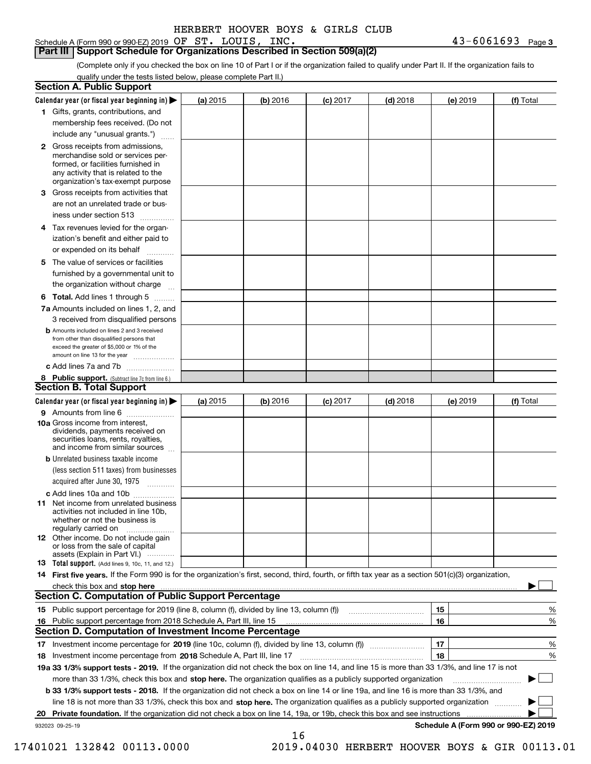Schedule A (Form 990 or 990-EZ) 2019 Page OF ST. LOUIS, INC. 43-6061693

**Part III Support Schedule for Organizations Described in Section 509(a)(2)** 

(Complete only if you checked the box on line 10 of Part I or if the organization failed to qualify under Part II. If the organization fails to qualify under the tests listed below, please complete Part II.)

|    | <b>Section A. Public Support</b>                                                                                                                                                                                               |          |          |                 |            |          |                                      |
|----|--------------------------------------------------------------------------------------------------------------------------------------------------------------------------------------------------------------------------------|----------|----------|-----------------|------------|----------|--------------------------------------|
|    | Calendar year (or fiscal year beginning in) $\blacktriangleright$                                                                                                                                                              | (a) 2015 | (b) 2016 | <b>(c)</b> 2017 | $(d)$ 2018 | (e) 2019 | (f) Total                            |
|    | 1 Gifts, grants, contributions, and                                                                                                                                                                                            |          |          |                 |            |          |                                      |
|    | membership fees received. (Do not                                                                                                                                                                                              |          |          |                 |            |          |                                      |
|    | include any "unusual grants.")                                                                                                                                                                                                 |          |          |                 |            |          |                                      |
|    | <b>2</b> Gross receipts from admissions,<br>merchandise sold or services per-<br>formed, or facilities furnished in<br>any activity that is related to the<br>organization's tax-exempt purpose                                |          |          |                 |            |          |                                      |
|    | 3 Gross receipts from activities that<br>are not an unrelated trade or bus-                                                                                                                                                    |          |          |                 |            |          |                                      |
|    | iness under section 513                                                                                                                                                                                                        |          |          |                 |            |          |                                      |
|    | 4 Tax revenues levied for the organ-<br>ization's benefit and either paid to                                                                                                                                                   |          |          |                 |            |          |                                      |
|    | or expended on its behalf                                                                                                                                                                                                      |          |          |                 |            |          |                                      |
|    | 5 The value of services or facilities<br>furnished by a governmental unit to                                                                                                                                                   |          |          |                 |            |          |                                      |
|    | the organization without charge                                                                                                                                                                                                |          |          |                 |            |          |                                      |
|    | <b>6 Total.</b> Add lines 1 through 5                                                                                                                                                                                          |          |          |                 |            |          |                                      |
|    | 7a Amounts included on lines 1, 2, and<br>3 received from disqualified persons                                                                                                                                                 |          |          |                 |            |          |                                      |
|    | <b>b</b> Amounts included on lines 2 and 3 received<br>from other than disqualified persons that<br>exceed the greater of \$5,000 or 1% of the<br>amount on line 13 for the year                                               |          |          |                 |            |          |                                      |
|    | c Add lines 7a and 7b                                                                                                                                                                                                          |          |          |                 |            |          |                                      |
|    | 8 Public support. (Subtract line 7c from line 6.)<br><b>Section B. Total Support</b>                                                                                                                                           |          |          |                 |            |          |                                      |
|    | Calendar year (or fiscal year beginning in)                                                                                                                                                                                    | (a) 2015 | (b) 2016 | $(c)$ 2017      | $(d)$ 2018 | (e) 2019 | (f) Total                            |
|    | 9 Amounts from line 6                                                                                                                                                                                                          |          |          |                 |            |          |                                      |
|    | <b>10a</b> Gross income from interest,<br>dividends, payments received on<br>securities loans, rents, royalties,<br>and income from similar sources                                                                            |          |          |                 |            |          |                                      |
|    | <b>b</b> Unrelated business taxable income<br>(less section 511 taxes) from businesses                                                                                                                                         |          |          |                 |            |          |                                      |
|    | acquired after June 30, 1975                                                                                                                                                                                                   |          |          |                 |            |          |                                      |
|    | c Add lines 10a and 10b<br>11 Net income from unrelated business<br>activities not included in line 10b,<br>whether or not the business is                                                                                     |          |          |                 |            |          |                                      |
|    | regularly carried on<br><b>12</b> Other income. Do not include gain<br>or loss from the sale of capital<br>assets (Explain in Part VI.)                                                                                        |          |          |                 |            |          |                                      |
|    | 13 Total support. (Add lines 9, 10c, 11, and 12.)                                                                                                                                                                              |          |          |                 |            |          |                                      |
|    | 14 First five years. If the Form 990 is for the organization's first, second, third, fourth, or fifth tax year as a section 501(c)(3) organization,                                                                            |          |          |                 |            |          |                                      |
|    | check this box and stop here measurements and contact the contract of the contract of the contract of the contract of the contract of the contract of the contract of the contract of the contract of the contract of the cont |          |          |                 |            |          |                                      |
|    | <b>Section C. Computation of Public Support Percentage</b>                                                                                                                                                                     |          |          |                 |            |          |                                      |
|    |                                                                                                                                                                                                                                |          |          |                 |            | 15       | %                                    |
| 16 | Public support percentage from 2018 Schedule A, Part III, line 15                                                                                                                                                              |          |          |                 |            | 16       | %                                    |
|    | <b>Section D. Computation of Investment Income Percentage</b>                                                                                                                                                                  |          |          |                 |            |          |                                      |
|    | 17 Investment income percentage for 2019 (line 10c, column (f), divided by line 13, column (f))                                                                                                                                |          |          |                 |            | 17       | %                                    |
|    | 18 Investment income percentage from 2018 Schedule A, Part III, line 17                                                                                                                                                        |          |          |                 |            | 18       | %                                    |
|    | 19a 33 1/3% support tests - 2019. If the organization did not check the box on line 14, and line 15 is more than 33 1/3%, and line 17 is not                                                                                   |          |          |                 |            |          |                                      |
|    | more than 33 1/3%, check this box and stop here. The organization qualifies as a publicly supported organization                                                                                                               |          |          |                 |            |          |                                      |
|    | b 33 1/3% support tests - 2018. If the organization did not check a box on line 14 or line 19a, and line 16 is more than 33 1/3%, and                                                                                          |          |          |                 |            |          |                                      |
|    | line 18 is not more than 33 1/3%, check this box and stop here. The organization qualifies as a publicly supported organization                                                                                                |          |          |                 |            |          |                                      |
| 20 | <b>Private foundation.</b> If the organization did not check a box on line 14, 19a, or 19b, check this box and see instructions                                                                                                |          |          |                 |            |          | .                                    |
|    | 932023 09-25-19                                                                                                                                                                                                                |          | 16       |                 |            |          | Schedule A (Form 990 or 990-EZ) 2019 |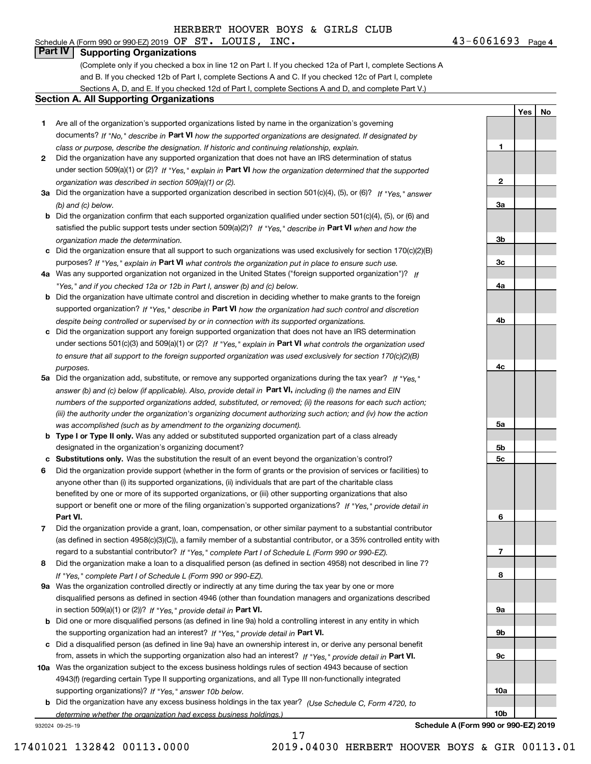#### Schedule A (Form 990 or 990-EZ) 2019 Page OF ST. LOUIS, INC. 43-6061693 **Part IV Supporting Organizations**

(Complete only if you checked a box in line 12 on Part I. If you checked 12a of Part I, complete Sections A and B. If you checked 12b of Part I, complete Sections A and C. If you checked 12c of Part I, complete Sections A, D, and E. If you checked 12d of Part I, complete Sections A and D, and complete Part V.)

#### **Section A. All Supporting Organizations**

- **1** Are all of the organization's supported organizations listed by name in the organization's governing documents? If "No," describe in **Part VI** how the supported organizations are designated. If designated by *class or purpose, describe the designation. If historic and continuing relationship, explain.*
- **2** Did the organization have any supported organization that does not have an IRS determination of status under section 509(a)(1) or (2)? If "Yes," explain in Part VI how the organization determined that the supported *organization was described in section 509(a)(1) or (2).*
- **3a** Did the organization have a supported organization described in section 501(c)(4), (5), or (6)? If "Yes," answer *(b) and (c) below.*
- **b** Did the organization confirm that each supported organization qualified under section 501(c)(4), (5), or (6) and satisfied the public support tests under section 509(a)(2)? If "Yes," describe in **Part VI** when and how the *organization made the determination.*
- **c**Did the organization ensure that all support to such organizations was used exclusively for section 170(c)(2)(B) purposes? If "Yes," explain in **Part VI** what controls the organization put in place to ensure such use.
- **4a***If* Was any supported organization not organized in the United States ("foreign supported organization")? *"Yes," and if you checked 12a or 12b in Part I, answer (b) and (c) below.*
- **b** Did the organization have ultimate control and discretion in deciding whether to make grants to the foreign supported organization? If "Yes," describe in **Part VI** how the organization had such control and discretion *despite being controlled or supervised by or in connection with its supported organizations.*
- **c** Did the organization support any foreign supported organization that does not have an IRS determination under sections 501(c)(3) and 509(a)(1) or (2)? If "Yes," explain in **Part VI** what controls the organization used *to ensure that all support to the foreign supported organization was used exclusively for section 170(c)(2)(B) purposes.*
- **5a** Did the organization add, substitute, or remove any supported organizations during the tax year? If "Yes," answer (b) and (c) below (if applicable). Also, provide detail in **Part VI,** including (i) the names and EIN *numbers of the supported organizations added, substituted, or removed; (ii) the reasons for each such action; (iii) the authority under the organization's organizing document authorizing such action; and (iv) how the action was accomplished (such as by amendment to the organizing document).*
- **b** Type I or Type II only. Was any added or substituted supported organization part of a class already designated in the organization's organizing document?
- **cSubstitutions only.**  Was the substitution the result of an event beyond the organization's control?
- **6** Did the organization provide support (whether in the form of grants or the provision of services or facilities) to **Part VI.** *If "Yes," provide detail in* support or benefit one or more of the filing organization's supported organizations? anyone other than (i) its supported organizations, (ii) individuals that are part of the charitable class benefited by one or more of its supported organizations, or (iii) other supporting organizations that also
- **7**Did the organization provide a grant, loan, compensation, or other similar payment to a substantial contributor *If "Yes," complete Part I of Schedule L (Form 990 or 990-EZ).* regard to a substantial contributor? (as defined in section 4958(c)(3)(C)), a family member of a substantial contributor, or a 35% controlled entity with
- **8** Did the organization make a loan to a disqualified person (as defined in section 4958) not described in line 7? *If "Yes," complete Part I of Schedule L (Form 990 or 990-EZ).*
- **9a** Was the organization controlled directly or indirectly at any time during the tax year by one or more in section 509(a)(1) or (2))? If "Yes," *provide detail in* <code>Part VI.</code> disqualified persons as defined in section 4946 (other than foundation managers and organizations described
- **b** Did one or more disqualified persons (as defined in line 9a) hold a controlling interest in any entity in which the supporting organization had an interest? If "Yes," provide detail in P**art VI**.
- **c**Did a disqualified person (as defined in line 9a) have an ownership interest in, or derive any personal benefit from, assets in which the supporting organization also had an interest? If "Yes," provide detail in P**art VI.**
- **10a** Was the organization subject to the excess business holdings rules of section 4943 because of section supporting organizations)? If "Yes," answer 10b below. 4943(f) (regarding certain Type II supporting organizations, and all Type III non-functionally integrated
- **b** Did the organization have any excess business holdings in the tax year? (Use Schedule C, Form 4720, to *determine whether the organization had excess business holdings.)*

17

932024 09-25-19

**Schedule A (Form 990 or 990-EZ) 2019**

**1**

**2**

**3a**

**3b**

**3c**

**4a**

**4b**

**4c**

**5a**

**5b5c**

**6**

**7**

**8**

**9a**

**9b**

**9c**

**10a**

**10b**

**YesNo**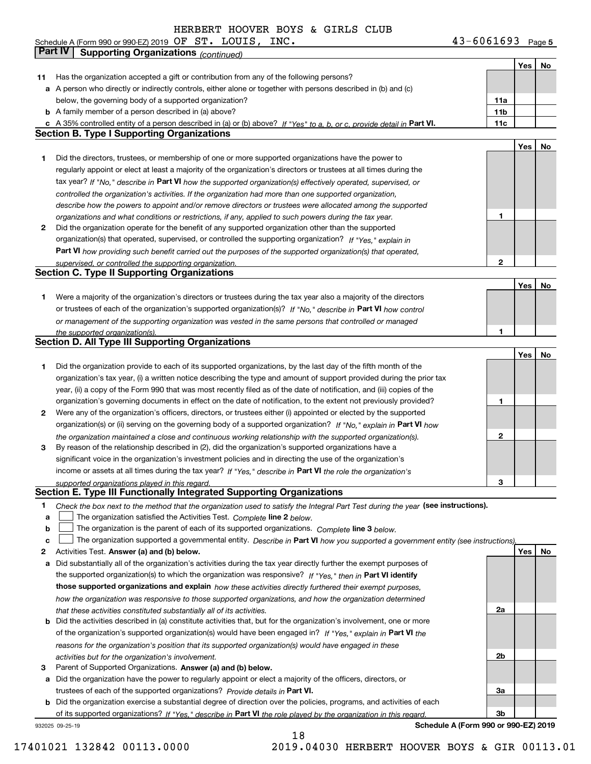Schedule A (Form 990 or 990-EZ) 2019 Page OF ST. LOUIS, INC. 43-6061693

|    | Part IV<br><b>Supporting Organizations (continued)</b>                                                                            |                 |     |    |
|----|-----------------------------------------------------------------------------------------------------------------------------------|-----------------|-----|----|
|    |                                                                                                                                   |                 | Yes | No |
| 11 | Has the organization accepted a gift or contribution from any of the following persons?                                           |                 |     |    |
| а  | A person who directly or indirectly controls, either alone or together with persons described in (b) and (c)                      |                 |     |    |
|    | below, the governing body of a supported organization?                                                                            | 11a             |     |    |
|    | <b>b</b> A family member of a person described in (a) above?                                                                      | 11 <sub>b</sub> |     |    |
|    | c A 35% controlled entity of a person described in (a) or (b) above? If "Yes" to a, b, or c, provide detail in Part VI.           | 11c             |     |    |
|    | <b>Section B. Type I Supporting Organizations</b>                                                                                 |                 |     |    |
|    |                                                                                                                                   |                 | Yes | No |
| 1. | Did the directors, trustees, or membership of one or more supported organizations have the power to                               |                 |     |    |
|    | regularly appoint or elect at least a majority of the organization's directors or trustees at all times during the                |                 |     |    |
|    | tax year? If "No," describe in Part VI how the supported organization(s) effectively operated, supervised, or                     |                 |     |    |
|    | controlled the organization's activities. If the organization had more than one supported organization,                           |                 |     |    |
|    | describe how the powers to appoint and/or remove directors or trustees were allocated among the supported                         |                 |     |    |
|    | organizations and what conditions or restrictions, if any, applied to such powers during the tax year.                            | 1               |     |    |
| 2  | Did the organization operate for the benefit of any supported organization other than the supported                               |                 |     |    |
|    | organization(s) that operated, supervised, or controlled the supporting organization? If "Yes," explain in                        |                 |     |    |
|    | Part VI how providing such benefit carried out the purposes of the supported organization(s) that operated,                       |                 |     |    |
|    |                                                                                                                                   | 2               |     |    |
|    | supervised, or controlled the supporting organization.<br><b>Section C. Type II Supporting Organizations</b>                      |                 |     |    |
|    |                                                                                                                                   |                 | Yes | No |
| 1. | Were a majority of the organization's directors or trustees during the tax year also a majority of the directors                  |                 |     |    |
|    | or trustees of each of the organization's supported organization(s)? If "No," describe in Part VI how control                     |                 |     |    |
|    |                                                                                                                                   |                 |     |    |
|    | or management of the supporting organization was vested in the same persons that controlled or managed                            | 1               |     |    |
|    | the supported organization(s).<br><b>Section D. All Type III Supporting Organizations</b>                                         |                 |     |    |
|    |                                                                                                                                   |                 | Yes | No |
| 1  | Did the organization provide to each of its supported organizations, by the last day of the fifth month of the                    |                 |     |    |
|    |                                                                                                                                   |                 |     |    |
|    | organization's tax year, (i) a written notice describing the type and amount of support provided during the prior tax             |                 |     |    |
|    | year, (ii) a copy of the Form 990 that was most recently filed as of the date of notification, and (iii) copies of the            |                 |     |    |
|    | organization's governing documents in effect on the date of notification, to the extent not previously provided?                  | 1               |     |    |
| 2  | Were any of the organization's officers, directors, or trustees either (i) appointed or elected by the supported                  |                 |     |    |
|    | organization(s) or (ii) serving on the governing body of a supported organization? If "No," explain in Part VI how                |                 |     |    |
|    | the organization maintained a close and continuous working relationship with the supported organization(s).                       | 2               |     |    |
| 3  | By reason of the relationship described in (2), did the organization's supported organizations have a                             |                 |     |    |
|    | significant voice in the organization's investment policies and in directing the use of the organization's                        |                 |     |    |
|    | income or assets at all times during the tax year? If "Yes," describe in Part VI the role the organization's                      |                 |     |    |
|    | supported organizations played in this regard.                                                                                    | 3               |     |    |
|    | Section E. Type III Functionally Integrated Supporting Organizations                                                              |                 |     |    |
| 1  | Check the box next to the method that the organization used to satisfy the Integral Part Test during the year (see instructions). |                 |     |    |
| a  | The organization satisfied the Activities Test. Complete line 2 below.                                                            |                 |     |    |
| b  | The organization is the parent of each of its supported organizations. Complete line 3 below.                                     |                 |     |    |
| c  | The organization supported a governmental entity. Describe in Part VI how you supported a government entity (see instructions),   |                 |     |    |
| 2  | Activities Test. Answer (a) and (b) below.                                                                                        |                 | Yes | No |
| а  | Did substantially all of the organization's activities during the tax year directly further the exempt purposes of                |                 |     |    |
|    | the supported organization(s) to which the organization was responsive? If "Yes," then in Part VI identify                        |                 |     |    |
|    | those supported organizations and explain how these activities directly furthered their exempt purposes,                          |                 |     |    |
|    | how the organization was responsive to those supported organizations, and how the organization determined                         |                 |     |    |
|    | that these activities constituted substantially all of its activities.                                                            | 2a              |     |    |
| b  | Did the activities described in (a) constitute activities that, but for the organization's involvement, one or more               |                 |     |    |
|    | of the organization's supported organization(s) would have been engaged in? If "Yes," explain in Part VI the                      |                 |     |    |
|    | reasons for the organization's position that its supported organization(s) would have engaged in these                            |                 |     |    |
|    | activities but for the organization's involvement.                                                                                | 2b              |     |    |
| з  | Parent of Supported Organizations. Answer (a) and (b) below.                                                                      |                 |     |    |
| а  | Did the organization have the power to regularly appoint or elect a majority of the officers, directors, or                       |                 |     |    |
|    | trustees of each of the supported organizations? Provide details in Part VI.                                                      | За              |     |    |
| b  | Did the organization exercise a substantial degree of direction over the policies, programs, and activities of each               |                 |     |    |
|    | of its supported organizations? If "Yes." describe in Part VI the role played by the organization in this regard.                 | 3b              |     |    |

932025 09-25-19

**Schedule A (Form 990 or 990-EZ) 2019**

18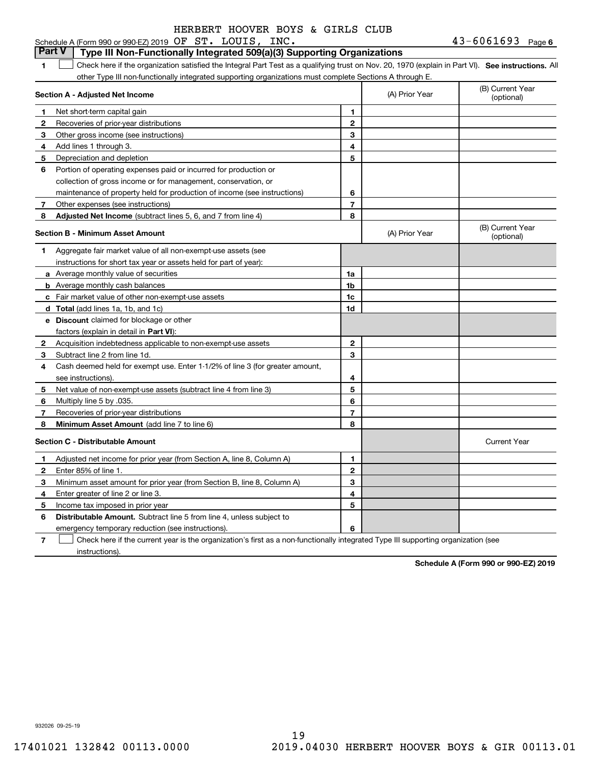#### **1SEP 10. See instructions.** All antegral Part Test as a qualifying trust on Nov. 20, 1970 (explain in Part VI). See instructions. All **Section A - Adjusted Net Income 12** Recoveries of prior-year distributions **3** Other gross income (see instructions) **4**Add lines 1 through 3. **56** Portion of operating expenses paid or incurred for production or **7** Other expenses (see instructions) **8** Adjusted Net Income (subtract lines 5, 6, and 7 from line 4) **8 8 1234567Section B - Minimum Asset Amount 1**Aggregate fair market value of all non-exempt-use assets (see **2**Acquisition indebtedness applicable to non-exempt-use assets **3** Subtract line 2 from line 1d. **4**Cash deemed held for exempt use. Enter 1-1/2% of line 3 (for greater amount, **5** Net value of non-exempt-use assets (subtract line 4 from line 3) **678a** Average monthly value of securities **b** Average monthly cash balances **c**Fair market value of other non-exempt-use assets **dTotal**  (add lines 1a, 1b, and 1c) **eDiscount** claimed for blockage or other **1a1b1c1d2345678**factors (explain in detail in **Part VI**): **Minimum Asset Amount**  (add line 7 to line 6) **Section C - Distributable Amount 12**Enter 85% of line 1. **3456** Distributable Amount. Subtract line 5 from line 4, unless subject to **123456**Schedule A (Form 990 or 990-EZ) 2019 Page OF ST. LOUIS, INC. 43-6061693 other Type III non-functionally integrated supporting organizations must complete Sections A through E. (B) Current Year (optional)(A) Prior Year Net short-term capital gain Depreciation and depletion collection of gross income or for management, conservation, or maintenance of property held for production of income (see instructions) (B) Current Year (optional)(A) Prior Year instructions for short tax year or assets held for part of year): see instructions). Multiply line 5 by .035. Recoveries of prior-year distributions Current Year Adjusted net income for prior year (from Section A, line 8, Column A) Minimum asset amount for prior year (from Section B, line 8, Column A) Enter greater of line 2 or line 3. Income tax imposed in prior year **Part V Type III Non-Functionally Integrated 509(a)(3) Supporting Organizations**   $\mathcal{L}^{\text{max}}$

emergency temporary reduction (see instructions).

**7**Check here if the current year is the organization's first as a non-functionally integrated Type III supporting organization (see instructions). $\mathcal{L}^{\text{max}}$ 

**Schedule A (Form 990 or 990-EZ) 2019**

932026 09-25-19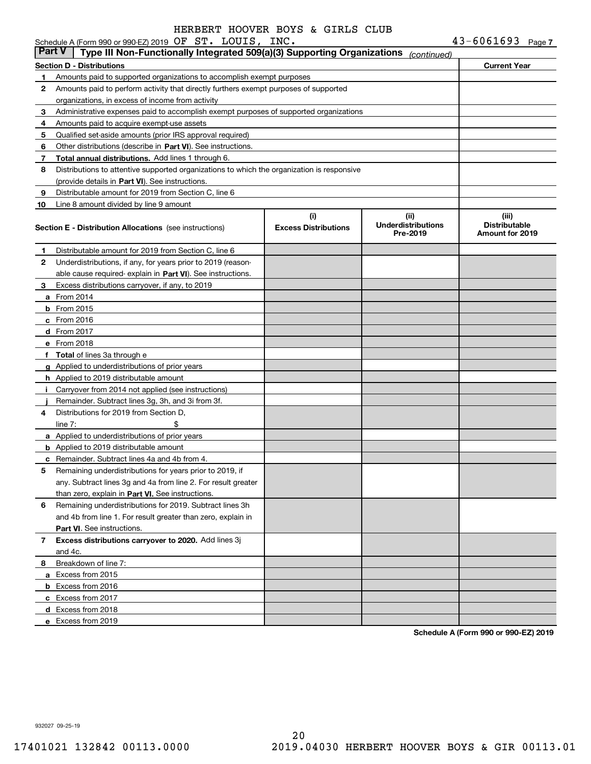|               | Schedule A (Form 990 or 990-EZ) 2019 $OF$ $ST$ . LOUIS, INC.                               |                                    |                                               | $43 - 6061693$ Page 7                            |  |
|---------------|--------------------------------------------------------------------------------------------|------------------------------------|-----------------------------------------------|--------------------------------------------------|--|
| <b>Part V</b> | Type III Non-Functionally Integrated 509(a)(3) Supporting Organizations                    |                                    | (continued)                                   |                                                  |  |
|               | <b>Section D - Distributions</b>                                                           |                                    |                                               | <b>Current Year</b>                              |  |
| 1.            | Amounts paid to supported organizations to accomplish exempt purposes                      |                                    |                                               |                                                  |  |
| 2             | Amounts paid to perform activity that directly furthers exempt purposes of supported       |                                    |                                               |                                                  |  |
|               | organizations, in excess of income from activity                                           |                                    |                                               |                                                  |  |
| 3             | Administrative expenses paid to accomplish exempt purposes of supported organizations      |                                    |                                               |                                                  |  |
| 4             | Amounts paid to acquire exempt-use assets                                                  |                                    |                                               |                                                  |  |
| 5             | Qualified set aside amounts (prior IRS approval required)                                  |                                    |                                               |                                                  |  |
| 6             | Other distributions (describe in Part VI). See instructions.                               |                                    |                                               |                                                  |  |
| 7             | Total annual distributions. Add lines 1 through 6.                                         |                                    |                                               |                                                  |  |
| 8             | Distributions to attentive supported organizations to which the organization is responsive |                                    |                                               |                                                  |  |
|               | (provide details in Part VI). See instructions.                                            |                                    |                                               |                                                  |  |
| 9             | Distributable amount for 2019 from Section C, line 6                                       |                                    |                                               |                                                  |  |
| 10            | Line 8 amount divided by line 9 amount                                                     |                                    |                                               |                                                  |  |
|               | <b>Section E - Distribution Allocations</b> (see instructions)                             | (i)<br><b>Excess Distributions</b> | (ii)<br><b>Underdistributions</b><br>Pre-2019 | (iii)<br><b>Distributable</b><br>Amount for 2019 |  |
| 1             | Distributable amount for 2019 from Section C, line 6                                       |                                    |                                               |                                                  |  |
| 2             | Underdistributions, if any, for years prior to 2019 (reason-                               |                                    |                                               |                                                  |  |
|               | able cause required-explain in Part VI). See instructions.                                 |                                    |                                               |                                                  |  |
| 3             | Excess distributions carryover, if any, to 2019                                            |                                    |                                               |                                                  |  |
|               | <b>a</b> From 2014                                                                         |                                    |                                               |                                                  |  |
|               | <b>b</b> From 2015                                                                         |                                    |                                               |                                                  |  |
|               | c From 2016                                                                                |                                    |                                               |                                                  |  |
|               | $d$ From 2017                                                                              |                                    |                                               |                                                  |  |
|               | e From 2018                                                                                |                                    |                                               |                                                  |  |
|               | f Total of lines 3a through e                                                              |                                    |                                               |                                                  |  |
|               | g Applied to underdistributions of prior years                                             |                                    |                                               |                                                  |  |
|               | <b>h</b> Applied to 2019 distributable amount                                              |                                    |                                               |                                                  |  |
| j.            | Carryover from 2014 not applied (see instructions)                                         |                                    |                                               |                                                  |  |
|               | Remainder. Subtract lines 3g, 3h, and 3i from 3f.                                          |                                    |                                               |                                                  |  |
| 4             | Distributions for 2019 from Section D.                                                     |                                    |                                               |                                                  |  |
|               | \$<br>line $7:$                                                                            |                                    |                                               |                                                  |  |
|               | a Applied to underdistributions of prior years                                             |                                    |                                               |                                                  |  |
|               | <b>b</b> Applied to 2019 distributable amount                                              |                                    |                                               |                                                  |  |
|               | <b>c</b> Remainder. Subtract lines 4a and 4b from 4.                                       |                                    |                                               |                                                  |  |
|               | Remaining underdistributions for years prior to 2019, if                                   |                                    |                                               |                                                  |  |
|               | any. Subtract lines 3g and 4a from line 2. For result greater                              |                                    |                                               |                                                  |  |
|               | than zero, explain in Part VI. See instructions.                                           |                                    |                                               |                                                  |  |
| 6             | Remaining underdistributions for 2019. Subtract lines 3h                                   |                                    |                                               |                                                  |  |
|               | and 4b from line 1. For result greater than zero, explain in                               |                                    |                                               |                                                  |  |
|               | Part VI. See instructions.                                                                 |                                    |                                               |                                                  |  |
| 7             | Excess distributions carryover to 2020. Add lines 3j                                       |                                    |                                               |                                                  |  |
|               | and 4c.                                                                                    |                                    |                                               |                                                  |  |
| 8             | Breakdown of line 7:                                                                       |                                    |                                               |                                                  |  |
|               | a Excess from 2015                                                                         |                                    |                                               |                                                  |  |
|               | <b>b</b> Excess from 2016                                                                  |                                    |                                               |                                                  |  |
|               | c Excess from 2017                                                                         |                                    |                                               |                                                  |  |
|               | d Excess from 2018                                                                         |                                    |                                               |                                                  |  |
|               | e Excess from 2019                                                                         |                                    |                                               |                                                  |  |
|               |                                                                                            |                                    |                                               |                                                  |  |

**Schedule A (Form 990 or 990-EZ) 2019**

932027 09-25-19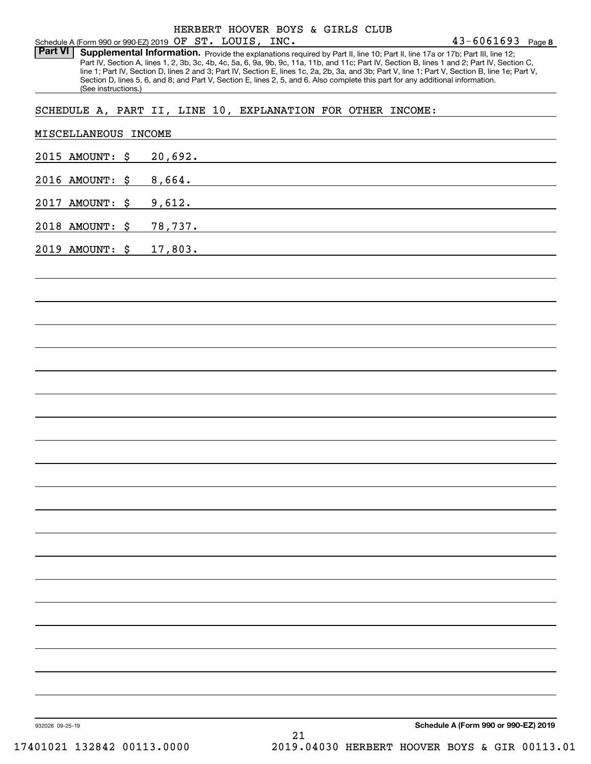Part VI | Supplemental Information. Provide the explanations required by Part II, line 10; Part II, line 17a or 17b; Part III, line 12; Part IV, Section A, lines 1, 2, 3b, 3c, 4b, 4c, 5a, 6, 9a, 9b, 9c, 11a, 11b, and 11c; Part IV, Section B, lines 1 and 2; Part IV, Section C, line 1; Part IV, Section D, lines 2 and 3; Part IV, Section E, lines 1c, 2a, 2b, 3a, and 3b; Part V, line 1; Part V, Section B, line 1e; Part V, Section D, lines 5, 6, and 8; and Part V, Section E, lines 2, 5, and 6. Also complete this part for any additional information. (See instructions.)

### SCHEDULE A, PART II, LINE 10, EXPLANATION FOR OTHER INCOME:

| 2015 AMOUNT: \$            |                                                                                                                                                                                                                               |
|----------------------------|-------------------------------------------------------------------------------------------------------------------------------------------------------------------------------------------------------------------------------|
|                            | 20,692.                                                                                                                                                                                                                       |
| 2016 AMOUNT: \$<br>8,664.  | the control of the control of the control of the control of the control of the control of the control of the control of the control of the control of the control of the control of the control of the control of the control |
| 2017 AMOUNT: \$<br>9,612.  |                                                                                                                                                                                                                               |
| 2018 AMOUNT: \$            |                                                                                                                                                                                                                               |
| 2019 AMOUNT: \$<br>17,803. | and the control of the control of the control of the control of the control of the control of the control of the                                                                                                              |
|                            |                                                                                                                                                                                                                               |
|                            |                                                                                                                                                                                                                               |
|                            |                                                                                                                                                                                                                               |
|                            |                                                                                                                                                                                                                               |
|                            |                                                                                                                                                                                                                               |
|                            |                                                                                                                                                                                                                               |
|                            |                                                                                                                                                                                                                               |
|                            |                                                                                                                                                                                                                               |
|                            |                                                                                                                                                                                                                               |
|                            |                                                                                                                                                                                                                               |
|                            |                                                                                                                                                                                                                               |
|                            |                                                                                                                                                                                                                               |
|                            |                                                                                                                                                                                                                               |
|                            |                                                                                                                                                                                                                               |
|                            |                                                                                                                                                                                                                               |
|                            |                                                                                                                                                                                                                               |
|                            |                                                                                                                                                                                                                               |
|                            |                                                                                                                                                                                                                               |
|                            |                                                                                                                                                                                                                               |
|                            |                                                                                                                                                                                                                               |
|                            |                                                                                                                                                                                                                               |
| 932028 09-25-19            | Schedule A (Form 990 or 990-EZ) 2019                                                                                                                                                                                          |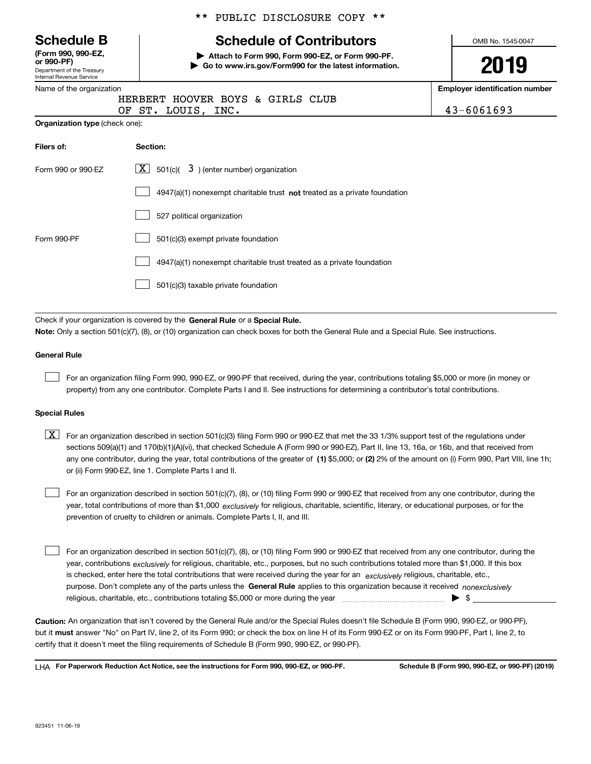|  |  | <b>Schedule B</b> |
|--|--|-------------------|
|--|--|-------------------|

Department of the Treasury Internal Revenue Service **(Form 990, 990-EZ, or 990-PF)**

|  | Name of the organization |
|--|--------------------------|
|  |                          |

**Organization type** (check one):

#### \*\* PUBLIC DISCLOSURE COPY \*\*

# **Schedule of Contributors**

**| Attach to Form 990, Form 990-EZ, or Form 990-PF. | Go to www.irs.gov/Form990 for the latest information.** OMB No. 1545-0047

# **2019**

**Employer identification number**

|  | HERBERT HOOVER BOYS & GIRLS CLUB |  |  |
|--|----------------------------------|--|--|
|  | OF ST. LOUIS, INC.               |  |  |

 $43 - 6061693$ 

| Filers of:         | Section:                                                                  |
|--------------------|---------------------------------------------------------------------------|
| Form 990 or 990-EZ | $X$ 501(c)( 3) (enter number) organization                                |
|                    | 4947(a)(1) nonexempt charitable trust not treated as a private foundation |
|                    | 527 political organization                                                |
| Form 990-PF        | 501(c)(3) exempt private foundation                                       |
|                    | 4947(a)(1) nonexempt charitable trust treated as a private foundation     |
|                    | 501(c)(3) taxable private foundation                                      |

Check if your organization is covered by the **General Rule** or a **Special Rule. Note:**  Only a section 501(c)(7), (8), or (10) organization can check boxes for both the General Rule and a Special Rule. See instructions.

#### **General Rule**

 $\mathcal{L}^{\text{max}}$ 

For an organization filing Form 990, 990-EZ, or 990-PF that received, during the year, contributions totaling \$5,000 or more (in money or property) from any one contributor. Complete Parts I and II. See instructions for determining a contributor's total contributions.

#### **Special Rules**

any one contributor, during the year, total contributions of the greater of  $\,$  (1) \$5,000; or **(2)** 2% of the amount on (i) Form 990, Part VIII, line 1h;  $\boxed{\textbf{X}}$  For an organization described in section 501(c)(3) filing Form 990 or 990-EZ that met the 33 1/3% support test of the regulations under sections 509(a)(1) and 170(b)(1)(A)(vi), that checked Schedule A (Form 990 or 990-EZ), Part II, line 13, 16a, or 16b, and that received from or (ii) Form 990-EZ, line 1. Complete Parts I and II.

year, total contributions of more than \$1,000 *exclusively* for religious, charitable, scientific, literary, or educational purposes, or for the For an organization described in section 501(c)(7), (8), or (10) filing Form 990 or 990-EZ that received from any one contributor, during the prevention of cruelty to children or animals. Complete Parts I, II, and III.  $\mathcal{L}^{\text{max}}$ 

purpose. Don't complete any of the parts unless the **General Rule** applies to this organization because it received *nonexclusively* year, contributions <sub>exclusively</sub> for religious, charitable, etc., purposes, but no such contributions totaled more than \$1,000. If this box is checked, enter here the total contributions that were received during the year for an  $\;$ exclusively religious, charitable, etc., For an organization described in section 501(c)(7), (8), or (10) filing Form 990 or 990-EZ that received from any one contributor, during the religious, charitable, etc., contributions totaling \$5,000 or more during the year  $\Box$ — $\Box$   $\Box$  $\mathcal{L}^{\text{max}}$ 

**Caution:**  An organization that isn't covered by the General Rule and/or the Special Rules doesn't file Schedule B (Form 990, 990-EZ, or 990-PF),  **must** but it answer "No" on Part IV, line 2, of its Form 990; or check the box on line H of its Form 990-EZ or on its Form 990-PF, Part I, line 2, to certify that it doesn't meet the filing requirements of Schedule B (Form 990, 990-EZ, or 990-PF).

**For Paperwork Reduction Act Notice, see the instructions for Form 990, 990-EZ, or 990-PF. Schedule B (Form 990, 990-EZ, or 990-PF) (2019)** LHA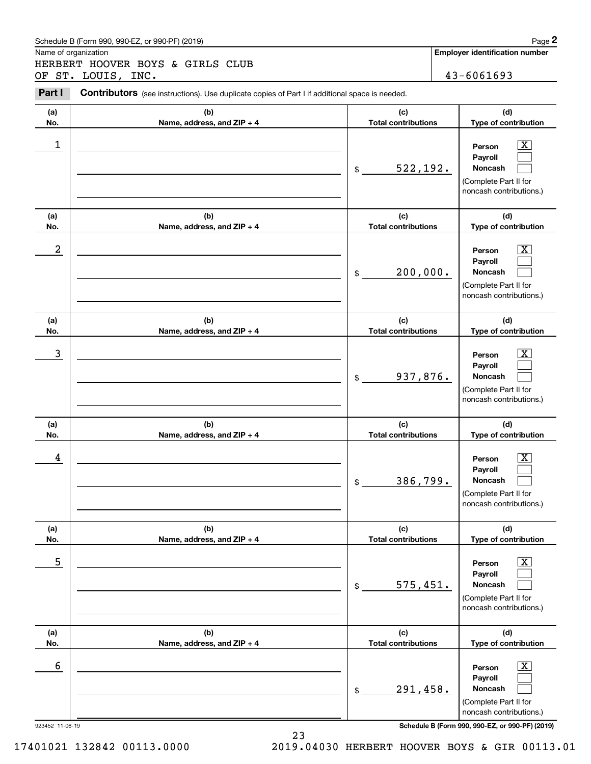#### Schedule B (Form 990, 990-EZ, or 990-PF) (2019) **Page 2**

Name of organization

Chedule B (Form 990, 990-EZ, or 990-PF) (2019)<br>Iame of organization<br>IERBERT HOOVER BOYS & GIRLS CLUB<br>JF ST. LOUIS, INC.<br>**Part I** Contributors (see instructions). Use duplicate copies of Part I if additional space is needed HERBERT HOOVER BOYS & GIRLS CLUB OF ST. LOUIS, INC. 43-6061693

Contributors (see instructions). Use duplicate copies of Part I if additional space is needed.

| (b)<br>Name, address, and ZIP + 4           |                                   |                                                                                                                                |
|---------------------------------------------|-----------------------------------|--------------------------------------------------------------------------------------------------------------------------------|
|                                             | (c)<br><b>Total contributions</b> | (d)<br>Type of contribution                                                                                                    |
| $\mathsf{\$}$                               | 522,192.                          | $\overline{\text{X}}$<br>Person<br>Payroll<br>Noncash<br>(Complete Part II for<br>noncash contributions.)                      |
| (b)<br>Name, address, and ZIP + 4           | (c)<br><b>Total contributions</b> | (d)<br>Type of contribution                                                                                                    |
| $\frac{1}{2}$                               | 200,000.                          | $\overline{\mathbf{X}}$<br>Person<br>Payroll<br>Noncash<br>(Complete Part II for<br>noncash contributions.)                    |
| (b)<br>Name, address, and ZIP + 4           | (c)<br><b>Total contributions</b> | (d)<br>Type of contribution                                                                                                    |
| $\frac{1}{2}$                               | 937,876.                          | $\overline{\mathbf{X}}$<br>Person<br>Payroll<br>Noncash<br>(Complete Part II for<br>noncash contributions.)                    |
| (b)<br>Name, address, and ZIP + 4           | (c)<br><b>Total contributions</b> | (d)<br>Type of contribution                                                                                                    |
|                                             |                                   | $\overline{\mathbf{X}}$<br>Person<br>Payroll                                                                                   |
| \$                                          |                                   | Noncash<br>(Complete Part II for<br>noncash contributions.)                                                                    |
| (b)                                         | (c)                               | (d)                                                                                                                            |
| Name, address, and ZIP + 4<br>$\frac{1}{2}$ |                                   | Type of contribution<br>$\boxed{\text{X}}$<br>Person<br>Payroll<br>Noncash<br>(Complete Part II for<br>noncash contributions.) |
| (b)                                         | (c)                               | (d)<br>Type of contribution                                                                                                    |
| Name, address, and ZIP + 4                  |                                   | 386,799.<br><b>Total contributions</b><br>575,451.<br><b>Total contributions</b>                                               |

17401021 132842 00113.0000 2019.04030 HERBERT HOOVER BOYS & GIR 00113.01

23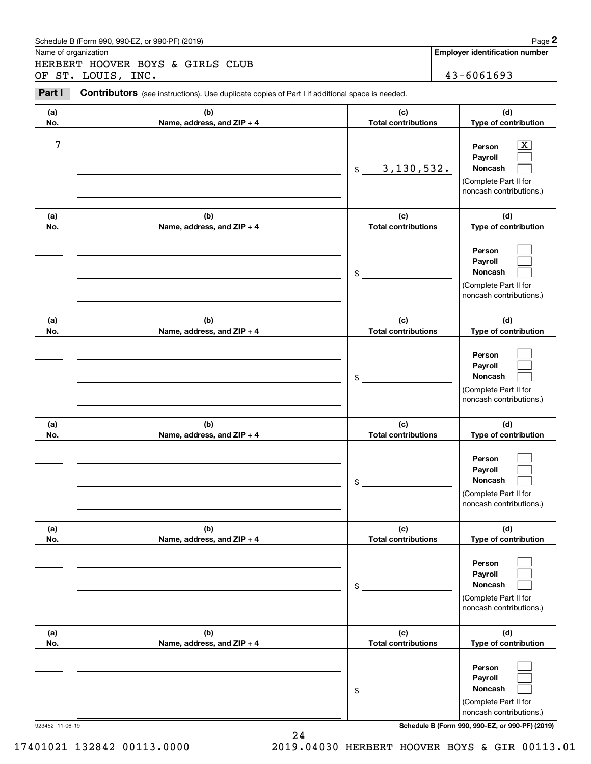#### Schedule B (Form 990, 990-EZ, or 990-PF) (2019) **Page 2**

Name of organization

Chedule B (Form 990, 990-EZ, or 990-PF) (2019)<br>Iame of organization<br>IERBERT HOOVER BOYS & GIRLS CLUB<br>JF ST. LOUIS, INC.<br>**Part I** Contributors (see instructions). Use duplicate copies of Part I if additional space is needed HERBERT HOOVER BOYS & GIRLS CLUB OF ST. LOUIS, INC. 43-6061693

Contributors (see instructions). Use duplicate copies of Part I if additional space is needed.

| (a)<br>No.             | (b)<br>Name, address, and ZIP + 4 | (c)<br><b>Total contributions</b> | (d)<br>Type of contribution                                                                                                                                 |
|------------------------|-----------------------------------|-----------------------------------|-------------------------------------------------------------------------------------------------------------------------------------------------------------|
| 7                      |                                   | 3, 130, 532.<br>\$                | x<br>Person<br>Payroll<br>Noncash<br>(Complete Part II for<br>noncash contributions.)                                                                       |
| (a)<br>No.             | (b)<br>Name, address, and ZIP + 4 | (c)<br><b>Total contributions</b> | (d)<br>Type of contribution                                                                                                                                 |
|                        |                                   | \$                                | Person<br>Payroll<br>Noncash<br>(Complete Part II for<br>noncash contributions.)                                                                            |
| (a)<br>No.             | (b)                               | (c)<br><b>Total contributions</b> | (d)<br>Type of contribution                                                                                                                                 |
|                        | Name, address, and ZIP + 4        | \$                                | Person<br>Payroll<br>Noncash<br>(Complete Part II for<br>noncash contributions.)                                                                            |
| (a)<br>No.             | (b)                               | (c)<br><b>Total contributions</b> | (d)<br>Type of contribution                                                                                                                                 |
|                        | Name, address, and ZIP + 4        | \$                                | Person<br>Payroll<br>Noncash<br>(Complete Part II for<br>noncash contributions.)                                                                            |
| (a)<br>No.             | (b)<br>Name, address, and ZIP + 4 | (c)<br><b>Total contributions</b> | (d)<br>Type of contribution                                                                                                                                 |
|                        |                                   | \$                                | Person<br>Payroll<br>Noncash<br>(Complete Part II for<br>noncash contributions.)                                                                            |
| (a)                    | (b)                               | (c)                               | (d)                                                                                                                                                         |
| No.<br>923452 11-06-19 | Name, address, and ZIP + 4        | <b>Total contributions</b><br>\$  | Type of contribution<br>Person<br>Payroll<br>Noncash<br>(Complete Part II for<br>noncash contributions.)<br>Schedule B (Form 990, 990-EZ, or 990-PF) (2019) |

24

17401021 132842 00113.0000 2019.04030 HERBERT HOOVER BOYS & GIR 00113.01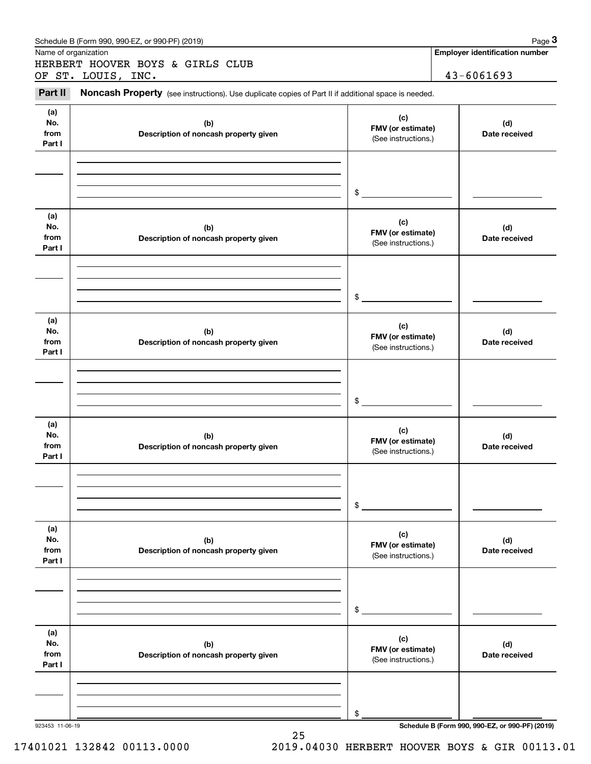|                              | Schedule B (Form 990, 990-EZ, or 990-PF) (2019)                                                     |                                                 | Page 3                                          |
|------------------------------|-----------------------------------------------------------------------------------------------------|-------------------------------------------------|-------------------------------------------------|
| Name of organization         | HERBERT HOOVER BOYS & GIRLS CLUB                                                                    |                                                 | <b>Employer identification number</b>           |
|                              | OF ST. LOUIS, INC.                                                                                  |                                                 | 43-6061693                                      |
| Part II                      | Noncash Property (see instructions). Use duplicate copies of Part II if additional space is needed. |                                                 |                                                 |
| (a)<br>No.<br>from<br>Part I | (b)<br>Description of noncash property given                                                        | (c)<br>FMV (or estimate)<br>(See instructions.) | (d)<br>Date received                            |
|                              |                                                                                                     | $\frac{1}{2}$                                   |                                                 |
| (a)<br>No.<br>from<br>Part I | (b)<br>Description of noncash property given                                                        | (c)<br>FMV (or estimate)<br>(See instructions.) | (d)<br>Date received                            |
|                              |                                                                                                     | $\frac{1}{2}$                                   |                                                 |
| (a)<br>No.<br>from<br>Part I | (b)<br>Description of noncash property given                                                        | (c)<br>FMV (or estimate)<br>(See instructions.) | (d)<br>Date received                            |
|                              |                                                                                                     | $\frac{1}{2}$                                   |                                                 |
| (a)<br>No.<br>from<br>Part I | (b)<br>Description of noncash property given                                                        | (c)<br>FMV (or estimate)<br>(See instructions.) | (d)<br>Date received                            |
|                              |                                                                                                     | \$                                              |                                                 |
| (a)<br>No.<br>from<br>Part I | (b)<br>Description of noncash property given                                                        | (c)<br>FMV (or estimate)<br>(See instructions.) | (d)<br>Date received                            |
|                              |                                                                                                     | \$                                              |                                                 |
| (a)<br>No.<br>from<br>Part I | (b)<br>Description of noncash property given                                                        | (c)<br>FMV (or estimate)<br>(See instructions.) | (d)<br>Date received                            |
|                              | 923453 11-06-19                                                                                     | \$                                              | Schedule B (Form 990, 990-EZ, or 990-PF) (2019) |

25

17401021 132842 00113.0000 2019.04030 HERBERT HOOVER BOYS & GIR 00113.01

923453 11-06-19 **Schedule B (Form 990, 990-EZ, or 990-PF) (2019)**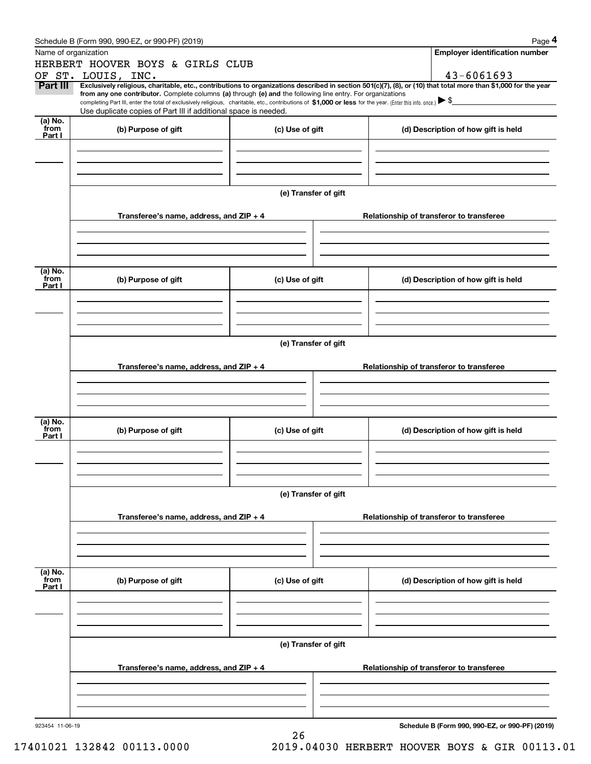|                 | Schedule B (Form 990, 990-EZ, or 990-PF) (2019)                                                                                                                |                                                                                                                                                                                                                                                                                                 |                                          | Page 4                                          |  |  |  |  |
|-----------------|----------------------------------------------------------------------------------------------------------------------------------------------------------------|-------------------------------------------------------------------------------------------------------------------------------------------------------------------------------------------------------------------------------------------------------------------------------------------------|------------------------------------------|-------------------------------------------------|--|--|--|--|
|                 | Name of organization                                                                                                                                           |                                                                                                                                                                                                                                                                                                 |                                          | <b>Employer identification number</b>           |  |  |  |  |
|                 | HERBERT HOOVER BOYS & GIRLS CLUB                                                                                                                               |                                                                                                                                                                                                                                                                                                 |                                          |                                                 |  |  |  |  |
|                 | OF ST. LOUIS, INC.                                                                                                                                             |                                                                                                                                                                                                                                                                                                 |                                          | 43-6061693                                      |  |  |  |  |
| Part III        | Exclusively religious, charitable, etc., contributions to organizations described in section 501(c)(7), (8), or (10) that total more than \$1,000 for the year |                                                                                                                                                                                                                                                                                                 |                                          |                                                 |  |  |  |  |
|                 |                                                                                                                                                                | from any one contributor. Complete columns (a) through (e) and the following line entry. For organizations<br>completing Part III, enter the total of exclusively religious, charitable, etc., contributions of \$1,000 or less for the year. (Enter this info. once.) $\blacktriangleright$ \$ |                                          |                                                 |  |  |  |  |
|                 | Use duplicate copies of Part III if additional space is needed.                                                                                                |                                                                                                                                                                                                                                                                                                 |                                          |                                                 |  |  |  |  |
| (a) No.         |                                                                                                                                                                |                                                                                                                                                                                                                                                                                                 |                                          |                                                 |  |  |  |  |
| from<br>Part I  | (b) Purpose of gift                                                                                                                                            | (c) Use of gift                                                                                                                                                                                                                                                                                 |                                          | (d) Description of how gift is held             |  |  |  |  |
|                 |                                                                                                                                                                |                                                                                                                                                                                                                                                                                                 |                                          |                                                 |  |  |  |  |
|                 |                                                                                                                                                                |                                                                                                                                                                                                                                                                                                 |                                          |                                                 |  |  |  |  |
|                 |                                                                                                                                                                |                                                                                                                                                                                                                                                                                                 |                                          |                                                 |  |  |  |  |
|                 |                                                                                                                                                                |                                                                                                                                                                                                                                                                                                 |                                          |                                                 |  |  |  |  |
|                 |                                                                                                                                                                | (e) Transfer of gift                                                                                                                                                                                                                                                                            |                                          |                                                 |  |  |  |  |
|                 |                                                                                                                                                                |                                                                                                                                                                                                                                                                                                 |                                          |                                                 |  |  |  |  |
|                 | Transferee's name, address, and $ZIP + 4$                                                                                                                      |                                                                                                                                                                                                                                                                                                 |                                          | Relationship of transferor to transferee        |  |  |  |  |
|                 |                                                                                                                                                                |                                                                                                                                                                                                                                                                                                 |                                          |                                                 |  |  |  |  |
|                 |                                                                                                                                                                |                                                                                                                                                                                                                                                                                                 |                                          |                                                 |  |  |  |  |
|                 |                                                                                                                                                                |                                                                                                                                                                                                                                                                                                 |                                          |                                                 |  |  |  |  |
|                 |                                                                                                                                                                |                                                                                                                                                                                                                                                                                                 |                                          |                                                 |  |  |  |  |
| (a) No.<br>from |                                                                                                                                                                |                                                                                                                                                                                                                                                                                                 |                                          | (d) Description of how gift is held             |  |  |  |  |
| Part I          | (b) Purpose of gift                                                                                                                                            | (c) Use of gift                                                                                                                                                                                                                                                                                 |                                          |                                                 |  |  |  |  |
|                 |                                                                                                                                                                |                                                                                                                                                                                                                                                                                                 |                                          |                                                 |  |  |  |  |
|                 |                                                                                                                                                                |                                                                                                                                                                                                                                                                                                 |                                          |                                                 |  |  |  |  |
|                 |                                                                                                                                                                |                                                                                                                                                                                                                                                                                                 |                                          |                                                 |  |  |  |  |
|                 |                                                                                                                                                                |                                                                                                                                                                                                                                                                                                 |                                          |                                                 |  |  |  |  |
|                 | (e) Transfer of gift                                                                                                                                           |                                                                                                                                                                                                                                                                                                 |                                          |                                                 |  |  |  |  |
|                 |                                                                                                                                                                |                                                                                                                                                                                                                                                                                                 |                                          |                                                 |  |  |  |  |
|                 | Transferee's name, address, and $ZIP + 4$                                                                                                                      |                                                                                                                                                                                                                                                                                                 |                                          | Relationship of transferor to transferee        |  |  |  |  |
|                 |                                                                                                                                                                |                                                                                                                                                                                                                                                                                                 |                                          |                                                 |  |  |  |  |
|                 |                                                                                                                                                                |                                                                                                                                                                                                                                                                                                 |                                          |                                                 |  |  |  |  |
|                 |                                                                                                                                                                |                                                                                                                                                                                                                                                                                                 |                                          |                                                 |  |  |  |  |
| (a) No.         |                                                                                                                                                                |                                                                                                                                                                                                                                                                                                 |                                          |                                                 |  |  |  |  |
| from<br>Part I  | (b) Purpose of gift                                                                                                                                            | (c) Use of gift                                                                                                                                                                                                                                                                                 |                                          | (d) Description of how gift is held             |  |  |  |  |
|                 |                                                                                                                                                                |                                                                                                                                                                                                                                                                                                 |                                          |                                                 |  |  |  |  |
|                 |                                                                                                                                                                |                                                                                                                                                                                                                                                                                                 |                                          |                                                 |  |  |  |  |
|                 |                                                                                                                                                                |                                                                                                                                                                                                                                                                                                 |                                          |                                                 |  |  |  |  |
|                 |                                                                                                                                                                |                                                                                                                                                                                                                                                                                                 |                                          |                                                 |  |  |  |  |
|                 | (e) Transfer of gift                                                                                                                                           |                                                                                                                                                                                                                                                                                                 |                                          |                                                 |  |  |  |  |
|                 |                                                                                                                                                                |                                                                                                                                                                                                                                                                                                 |                                          |                                                 |  |  |  |  |
|                 | Transferee's name, address, and $ZIP + 4$                                                                                                                      |                                                                                                                                                                                                                                                                                                 | Relationship of transferor to transferee |                                                 |  |  |  |  |
|                 |                                                                                                                                                                |                                                                                                                                                                                                                                                                                                 |                                          |                                                 |  |  |  |  |
|                 |                                                                                                                                                                |                                                                                                                                                                                                                                                                                                 |                                          |                                                 |  |  |  |  |
|                 |                                                                                                                                                                |                                                                                                                                                                                                                                                                                                 |                                          |                                                 |  |  |  |  |
|                 |                                                                                                                                                                |                                                                                                                                                                                                                                                                                                 |                                          |                                                 |  |  |  |  |
| (a) No.<br>from | (b) Purpose of gift                                                                                                                                            | (c) Use of gift                                                                                                                                                                                                                                                                                 |                                          | (d) Description of how gift is held             |  |  |  |  |
| Part I          |                                                                                                                                                                |                                                                                                                                                                                                                                                                                                 |                                          |                                                 |  |  |  |  |
|                 |                                                                                                                                                                |                                                                                                                                                                                                                                                                                                 |                                          |                                                 |  |  |  |  |
|                 |                                                                                                                                                                |                                                                                                                                                                                                                                                                                                 |                                          |                                                 |  |  |  |  |
|                 |                                                                                                                                                                |                                                                                                                                                                                                                                                                                                 |                                          |                                                 |  |  |  |  |
|                 |                                                                                                                                                                |                                                                                                                                                                                                                                                                                                 |                                          |                                                 |  |  |  |  |
|                 |                                                                                                                                                                | (e) Transfer of gift                                                                                                                                                                                                                                                                            |                                          |                                                 |  |  |  |  |
|                 | Transferee's name, address, and $ZIP + 4$                                                                                                                      |                                                                                                                                                                                                                                                                                                 |                                          | Relationship of transferor to transferee        |  |  |  |  |
|                 |                                                                                                                                                                |                                                                                                                                                                                                                                                                                                 |                                          |                                                 |  |  |  |  |
|                 |                                                                                                                                                                |                                                                                                                                                                                                                                                                                                 |                                          |                                                 |  |  |  |  |
|                 |                                                                                                                                                                |                                                                                                                                                                                                                                                                                                 |                                          |                                                 |  |  |  |  |
|                 |                                                                                                                                                                |                                                                                                                                                                                                                                                                                                 |                                          |                                                 |  |  |  |  |
| 923454 11-06-19 |                                                                                                                                                                |                                                                                                                                                                                                                                                                                                 |                                          | Schedule B (Form 990, 990-EZ, or 990-PF) (2019) |  |  |  |  |
|                 |                                                                                                                                                                | 26                                                                                                                                                                                                                                                                                              |                                          |                                                 |  |  |  |  |

17401021 132842 00113.0000 2019.04030 HERBERT HOOVER BOYS & GIR 00113.01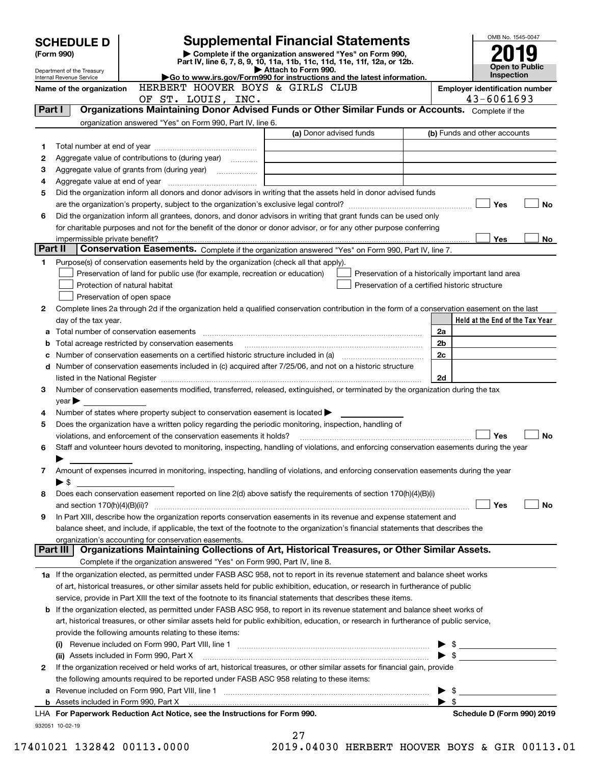|   | <b>Supplemental Financial Statements</b><br><b>SCHEDULE D</b> |                                                                                                        |                                                                                                                                                                                                                                |                          |                                                     |  |
|---|---------------------------------------------------------------|--------------------------------------------------------------------------------------------------------|--------------------------------------------------------------------------------------------------------------------------------------------------------------------------------------------------------------------------------|--------------------------|-----------------------------------------------------|--|
|   | (Form 990)                                                    |                                                                                                        | Complete if the organization answered "Yes" on Form 990,                                                                                                                                                                       |                          |                                                     |  |
|   | Department of the Treasury                                    |                                                                                                        | Part IV, line 6, 7, 8, 9, 10, 11a, 11b, 11c, 11d, 11e, 11f, 12a, or 12b.<br>Attach to Form 990.                                                                                                                                |                          | <b>Open to Public</b>                               |  |
|   | Internal Revenue Service                                      |                                                                                                        | Go to www.irs.gov/Form990 for instructions and the latest information.                                                                                                                                                         |                          | Inspection                                          |  |
|   | Name of the organization                                      | HERBERT HOOVER BOYS & GIRLS CLUB                                                                       |                                                                                                                                                                                                                                |                          | <b>Employer identification number</b><br>43-6061693 |  |
|   | Part I                                                        | OF ST. LOUIS, INC.                                                                                     | Organizations Maintaining Donor Advised Funds or Other Similar Funds or Accounts. Complete if the                                                                                                                              |                          |                                                     |  |
|   |                                                               | organization answered "Yes" on Form 990, Part IV, line 6.                                              |                                                                                                                                                                                                                                |                          |                                                     |  |
|   |                                                               |                                                                                                        | (a) Donor advised funds                                                                                                                                                                                                        |                          | (b) Funds and other accounts                        |  |
| 1 |                                                               |                                                                                                        |                                                                                                                                                                                                                                |                          |                                                     |  |
| 2 |                                                               | Aggregate value of contributions to (during year)                                                      |                                                                                                                                                                                                                                |                          |                                                     |  |
| з |                                                               |                                                                                                        |                                                                                                                                                                                                                                |                          |                                                     |  |
| 4 |                                                               |                                                                                                        |                                                                                                                                                                                                                                |                          |                                                     |  |
| 5 |                                                               |                                                                                                        | Did the organization inform all donors and donor advisors in writing that the assets held in donor advised funds                                                                                                               |                          |                                                     |  |
|   |                                                               |                                                                                                        |                                                                                                                                                                                                                                |                          | Yes<br>No                                           |  |
| 6 |                                                               |                                                                                                        | Did the organization inform all grantees, donors, and donor advisors in writing that grant funds can be used only                                                                                                              |                          |                                                     |  |
|   |                                                               |                                                                                                        | for charitable purposes and not for the benefit of the donor or donor advisor, or for any other purpose conferring                                                                                                             |                          |                                                     |  |
|   | impermissible private benefit?                                |                                                                                                        |                                                                                                                                                                                                                                |                          | Yes<br>No.                                          |  |
|   | Part II                                                       |                                                                                                        | Conservation Easements. Complete if the organization answered "Yes" on Form 990, Part IV, line 7.                                                                                                                              |                          |                                                     |  |
| 1 |                                                               | Purpose(s) of conservation easements held by the organization (check all that apply).                  |                                                                                                                                                                                                                                |                          |                                                     |  |
|   |                                                               | Preservation of land for public use (for example, recreation or education)                             | Preservation of a historically important land area                                                                                                                                                                             |                          |                                                     |  |
|   |                                                               | Protection of natural habitat                                                                          | Preservation of a certified historic structure                                                                                                                                                                                 |                          |                                                     |  |
|   |                                                               | Preservation of open space                                                                             |                                                                                                                                                                                                                                |                          |                                                     |  |
| 2 |                                                               |                                                                                                        | Complete lines 2a through 2d if the organization held a qualified conservation contribution in the form of a conservation easement on the last                                                                                 |                          |                                                     |  |
|   | day of the tax year.                                          | Total number of conservation easements                                                                 |                                                                                                                                                                                                                                | 2a                       | Held at the End of the Tax Year                     |  |
|   |                                                               | Total acreage restricted by conservation easements                                                     |                                                                                                                                                                                                                                | 2b                       |                                                     |  |
|   |                                                               |                                                                                                        | Number of conservation easements on a certified historic structure included in (a) manufacture included in (a)                                                                                                                 | 2c                       |                                                     |  |
| d |                                                               |                                                                                                        | Number of conservation easements included in (c) acquired after 7/25/06, and not on a historic structure                                                                                                                       |                          |                                                     |  |
|   |                                                               |                                                                                                        | listed in the National Register [111] [12] The Mational Register [11] Mathematic Mathematic Mathematic Mathematic Mathematic Mathematic Mathematic Mathematic Mathematic Mathematic Mathematic Mathematic Mathematic Mathemati | 2d                       |                                                     |  |
| 3 |                                                               |                                                                                                        | Number of conservation easements modified, transferred, released, extinguished, or terminated by the organization during the tax                                                                                               |                          |                                                     |  |
|   | $year \blacktriangleright$                                    |                                                                                                        |                                                                                                                                                                                                                                |                          |                                                     |  |
| 4 |                                                               | Number of states where property subject to conservation easement is located $\blacktriangleright$      |                                                                                                                                                                                                                                |                          |                                                     |  |
| 5 |                                                               | Does the organization have a written policy regarding the periodic monitoring, inspection, handling of |                                                                                                                                                                                                                                |                          |                                                     |  |
|   |                                                               | violations, and enforcement of the conservation easements it holds?                                    |                                                                                                                                                                                                                                |                          | Yes<br><b>No</b>                                    |  |
| 6 |                                                               |                                                                                                        | Staff and volunteer hours devoted to monitoring, inspecting, handling of violations, and enforcing conservation easements during the year                                                                                      |                          |                                                     |  |
|   |                                                               |                                                                                                        |                                                                                                                                                                                                                                |                          |                                                     |  |
| 7 |                                                               |                                                                                                        | Amount of expenses incurred in monitoring, inspecting, handling of violations, and enforcing conservation easements during the year                                                                                            |                          |                                                     |  |
|   | $\blacktriangleright$ \$                                      |                                                                                                        |                                                                                                                                                                                                                                |                          |                                                     |  |
| 8 |                                                               |                                                                                                        | Does each conservation easement reported on line 2(d) above satisfy the requirements of section 170(h)(4)(B)(i)                                                                                                                |                          |                                                     |  |
|   |                                                               |                                                                                                        |                                                                                                                                                                                                                                |                          | Yes<br>No                                           |  |
| 9 |                                                               |                                                                                                        | In Part XIII, describe how the organization reports conservation easements in its revenue and expense statement and                                                                                                            |                          |                                                     |  |
|   |                                                               | organization's accounting for conservation easements.                                                  | balance sheet, and include, if applicable, the text of the footnote to the organization's financial statements that describes the                                                                                              |                          |                                                     |  |
|   | Part III                                                      |                                                                                                        | Organizations Maintaining Collections of Art, Historical Treasures, or Other Similar Assets.                                                                                                                                   |                          |                                                     |  |
|   |                                                               | Complete if the organization answered "Yes" on Form 990, Part IV, line 8.                              |                                                                                                                                                                                                                                |                          |                                                     |  |
|   |                                                               |                                                                                                        | 1a If the organization elected, as permitted under FASB ASC 958, not to report in its revenue statement and balance sheet works                                                                                                |                          |                                                     |  |
|   |                                                               |                                                                                                        | of art, historical treasures, or other similar assets held for public exhibition, education, or research in furtherance of public                                                                                              |                          |                                                     |  |
|   |                                                               |                                                                                                        | service, provide in Part XIII the text of the footnote to its financial statements that describes these items.                                                                                                                 |                          |                                                     |  |
| b |                                                               |                                                                                                        | If the organization elected, as permitted under FASB ASC 958, to report in its revenue statement and balance sheet works of                                                                                                    |                          |                                                     |  |
|   |                                                               |                                                                                                        | art, historical treasures, or other similar assets held for public exhibition, education, or research in furtherance of public service,                                                                                        |                          |                                                     |  |
|   |                                                               | provide the following amounts relating to these items:                                                 |                                                                                                                                                                                                                                |                          |                                                     |  |
|   |                                                               |                                                                                                        |                                                                                                                                                                                                                                | $\blacktriangleright$ \$ |                                                     |  |
|   |                                                               | (ii) Assets included in Form 990, Part X                                                               |                                                                                                                                                                                                                                | $\blacktriangleright$ \$ |                                                     |  |
| 2 |                                                               |                                                                                                        | If the organization received or held works of art, historical treasures, or other similar assets for financial gain, provide                                                                                                   |                          |                                                     |  |
|   |                                                               | the following amounts required to be reported under FASB ASC 958 relating to these items:              |                                                                                                                                                                                                                                |                          |                                                     |  |
| а |                                                               |                                                                                                        |                                                                                                                                                                                                                                | - \$                     |                                                     |  |
|   |                                                               |                                                                                                        | b Assets included in Form 990, Part X [11] Marten and Martin Martin Marten and Martin Martin Marten and Martin Marten and Marten and Marten and Marten and Marten and Marten and Marten and Marten and Marten and Marten and M | $\blacktriangleright$ \$ |                                                     |  |
|   |                                                               | LHA For Paperwork Reduction Act Notice, see the Instructions for Form 990.                             |                                                                                                                                                                                                                                |                          | Schedule D (Form 990) 2019                          |  |
|   | 932051 10-02-19                                               |                                                                                                        | 27                                                                                                                                                                                                                             |                          |                                                     |  |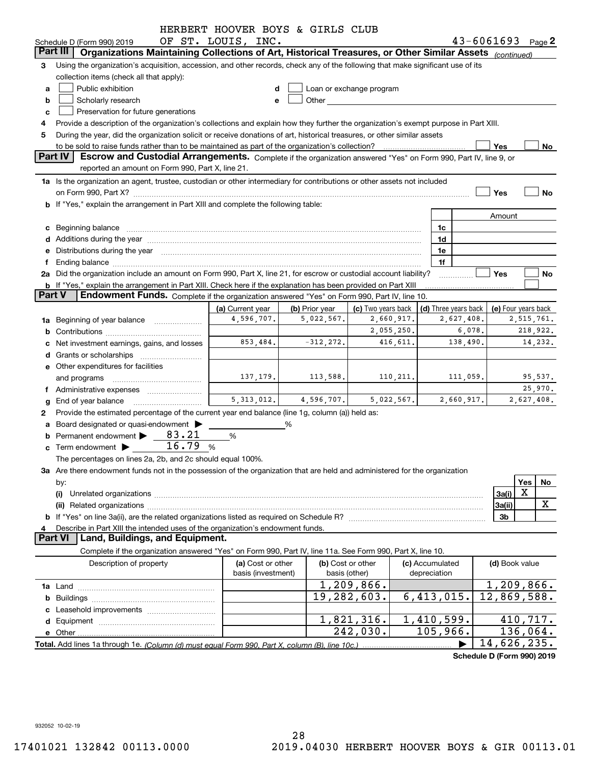|               |                                                                                                                                                                                                                                                                                                                                                      | HERBERT HOOVER BOYS & GIRLS CLUB |                |                                                                                                                                                                                                                                 |            |                      |            |                             |     |            |
|---------------|------------------------------------------------------------------------------------------------------------------------------------------------------------------------------------------------------------------------------------------------------------------------------------------------------------------------------------------------------|----------------------------------|----------------|---------------------------------------------------------------------------------------------------------------------------------------------------------------------------------------------------------------------------------|------------|----------------------|------------|-----------------------------|-----|------------|
|               | Schedule D (Form 990) 2019                                                                                                                                                                                                                                                                                                                           | OF ST. LOUIS, INC.               |                |                                                                                                                                                                                                                                 |            |                      |            | $43 - 6061693$ Page 2       |     |            |
|               | Part III<br>Organizations Maintaining Collections of Art, Historical Treasures, or Other Similar Assets (continued)                                                                                                                                                                                                                                  |                                  |                |                                                                                                                                                                                                                                 |            |                      |            |                             |     |            |
| 3             | Using the organization's acquisition, accession, and other records, check any of the following that make significant use of its                                                                                                                                                                                                                      |                                  |                |                                                                                                                                                                                                                                 |            |                      |            |                             |     |            |
|               | collection items (check all that apply):                                                                                                                                                                                                                                                                                                             |                                  |                |                                                                                                                                                                                                                                 |            |                      |            |                             |     |            |
| a             | Public exhibition                                                                                                                                                                                                                                                                                                                                    |                                  |                | Loan or exchange program                                                                                                                                                                                                        |            |                      |            |                             |     |            |
| b             | Scholarly research                                                                                                                                                                                                                                                                                                                                   |                                  |                | Other and the contract of the contract of the contract of the contract of the contract of the contract of the contract of the contract of the contract of the contract of the contract of the contract of the contract of the c |            |                      |            |                             |     |            |
| c             | Preservation for future generations                                                                                                                                                                                                                                                                                                                  |                                  |                |                                                                                                                                                                                                                                 |            |                      |            |                             |     |            |
|               | Provide a description of the organization's collections and explain how they further the organization's exempt purpose in Part XIII.                                                                                                                                                                                                                 |                                  |                |                                                                                                                                                                                                                                 |            |                      |            |                             |     |            |
| 5             | During the year, did the organization solicit or receive donations of art, historical treasures, or other similar assets                                                                                                                                                                                                                             |                                  |                |                                                                                                                                                                                                                                 |            |                      |            |                             |     |            |
|               | <b>Part IV</b>                                                                                                                                                                                                                                                                                                                                       |                                  |                |                                                                                                                                                                                                                                 |            |                      |            | Yes                         |     | No         |
|               | Escrow and Custodial Arrangements. Complete if the organization answered "Yes" on Form 990, Part IV, line 9, or<br>reported an amount on Form 990, Part X, line 21.                                                                                                                                                                                  |                                  |                |                                                                                                                                                                                                                                 |            |                      |            |                             |     |            |
|               | 1a Is the organization an agent, trustee, custodian or other intermediary for contributions or other assets not included                                                                                                                                                                                                                             |                                  |                |                                                                                                                                                                                                                                 |            |                      |            |                             |     |            |
|               |                                                                                                                                                                                                                                                                                                                                                      |                                  |                |                                                                                                                                                                                                                                 |            |                      |            | Yes                         |     | <b>No</b>  |
|               | b If "Yes," explain the arrangement in Part XIII and complete the following table:                                                                                                                                                                                                                                                                   |                                  |                |                                                                                                                                                                                                                                 |            |                      |            |                             |     |            |
|               |                                                                                                                                                                                                                                                                                                                                                      |                                  |                |                                                                                                                                                                                                                                 |            |                      |            | Amount                      |     |            |
|               |                                                                                                                                                                                                                                                                                                                                                      |                                  |                |                                                                                                                                                                                                                                 |            | 1c                   |            |                             |     |            |
|               | c Beginning balance measurements and the contract of the contract of the contract of the contract of the contract of the contract of the contract of the contract of the contract of the contract of the contract of the contr                                                                                                                       |                                  |                |                                                                                                                                                                                                                                 |            | 1d                   |            |                             |     |            |
|               |                                                                                                                                                                                                                                                                                                                                                      |                                  |                |                                                                                                                                                                                                                                 |            | 1e                   |            |                             |     |            |
| Ť.            | e Distributions during the year manufactured and continuum control of the control of the control of the control of the control of the control of the control of the control of the control of the control of the control of th                                                                                                                       |                                  |                |                                                                                                                                                                                                                                 |            | 1f                   |            |                             |     |            |
|               | Ending balance manufactured and contract the contract of the contract of the contract of the contract of the contract of the contract of the contract of the contract of the contract of the contract of the contract of the c<br>2a Did the organization include an amount on Form 990, Part X, line 21, for escrow or custodial account liability? |                                  |                |                                                                                                                                                                                                                                 |            |                      |            | Yes                         |     | No         |
|               | <b>b</b> If "Yes," explain the arrangement in Part XIII. Check here if the explanation has been provided on Part XIII                                                                                                                                                                                                                                |                                  |                |                                                                                                                                                                                                                                 |            |                      |            |                             |     |            |
| <b>Part V</b> | <b>Endowment Funds.</b> Complete if the organization answered "Yes" on Form 990, Part IV, line 10.                                                                                                                                                                                                                                                   |                                  |                |                                                                                                                                                                                                                                 |            |                      |            |                             |     |            |
|               |                                                                                                                                                                                                                                                                                                                                                      | (a) Current year                 | (b) Prior year | (c) Two years back                                                                                                                                                                                                              |            | (d) Three years back |            | (e) Four years back         |     |            |
|               | 1a Beginning of year balance                                                                                                                                                                                                                                                                                                                         | 4,596,707.                       | 5,022,567.     |                                                                                                                                                                                                                                 | 2,660,917. |                      | 2,627,408. |                             |     | 2,515,761. |
|               |                                                                                                                                                                                                                                                                                                                                                      |                                  |                |                                                                                                                                                                                                                                 | 2,055,250. |                      | 6,078.     |                             |     | 218,922.   |
|               | c Net investment earnings, gains, and losses                                                                                                                                                                                                                                                                                                         | 853,484.                         | $-312, 272.$   |                                                                                                                                                                                                                                 | 416,611.   |                      | 138,490.   |                             |     | 14,232.    |
|               |                                                                                                                                                                                                                                                                                                                                                      |                                  |                |                                                                                                                                                                                                                                 |            |                      |            |                             |     |            |
|               | e Other expenditures for facilities                                                                                                                                                                                                                                                                                                                  |                                  |                |                                                                                                                                                                                                                                 |            |                      |            |                             |     |            |
|               | and programs                                                                                                                                                                                                                                                                                                                                         | 137,179.                         | 113,588.       |                                                                                                                                                                                                                                 | 110, 211.  |                      | 111,059.   |                             |     | 95,537.    |
|               | f Administrative expenses                                                                                                                                                                                                                                                                                                                            |                                  |                |                                                                                                                                                                                                                                 |            |                      |            |                             |     | 25,970.    |
|               | <b>g</b> End of year balance                                                                                                                                                                                                                                                                                                                         | 5,313,012.                       | 4,596,707.     |                                                                                                                                                                                                                                 | 5,022,567. |                      | 2,660,917. |                             |     | 2,627,408. |
| 2             | Provide the estimated percentage of the current year end balance (line 1g, column (a)) held as:                                                                                                                                                                                                                                                      |                                  |                |                                                                                                                                                                                                                                 |            |                      |            |                             |     |            |
|               | a Board designated or quasi-endowment >                                                                                                                                                                                                                                                                                                              |                                  | %              |                                                                                                                                                                                                                                 |            |                      |            |                             |     |            |
|               | <b>b</b> Permanent endowment $\blacktriangleright$<br>83.21                                                                                                                                                                                                                                                                                          | %                                |                |                                                                                                                                                                                                                                 |            |                      |            |                             |     |            |
|               | 16.79<br>$\mathbf c$ Term endowment $\blacktriangleright$                                                                                                                                                                                                                                                                                            | %                                |                |                                                                                                                                                                                                                                 |            |                      |            |                             |     |            |
|               | The percentages on lines 2a, 2b, and 2c should equal 100%.                                                                                                                                                                                                                                                                                           |                                  |                |                                                                                                                                                                                                                                 |            |                      |            |                             |     |            |
|               | 3a Are there endowment funds not in the possession of the organization that are held and administered for the organization                                                                                                                                                                                                                           |                                  |                |                                                                                                                                                                                                                                 |            |                      |            |                             |     |            |
|               | by:                                                                                                                                                                                                                                                                                                                                                  |                                  |                |                                                                                                                                                                                                                                 |            |                      |            |                             | Yes | No         |
|               | (i)                                                                                                                                                                                                                                                                                                                                                  |                                  |                |                                                                                                                                                                                                                                 |            |                      |            | 3a(i)                       | X   |            |
|               |                                                                                                                                                                                                                                                                                                                                                      |                                  |                |                                                                                                                                                                                                                                 |            |                      |            | 3a(ii)                      |     | X          |
|               |                                                                                                                                                                                                                                                                                                                                                      |                                  |                |                                                                                                                                                                                                                                 |            |                      |            | 3b                          |     |            |
| 4             | Describe in Part XIII the intended uses of the organization's endowment funds.                                                                                                                                                                                                                                                                       |                                  |                |                                                                                                                                                                                                                                 |            |                      |            |                             |     |            |
|               | <b>Part VI</b><br>Land, Buildings, and Equipment.                                                                                                                                                                                                                                                                                                    |                                  |                |                                                                                                                                                                                                                                 |            |                      |            |                             |     |            |
|               | Complete if the organization answered "Yes" on Form 990, Part IV, line 11a. See Form 990, Part X, line 10.                                                                                                                                                                                                                                           |                                  |                |                                                                                                                                                                                                                                 |            |                      |            |                             |     |            |
|               | Description of property                                                                                                                                                                                                                                                                                                                              | (a) Cost or other                |                | (b) Cost or other                                                                                                                                                                                                               |            | (c) Accumulated      |            | (d) Book value              |     |            |
|               |                                                                                                                                                                                                                                                                                                                                                      | basis (investment)               |                | basis (other)                                                                                                                                                                                                                   |            | depreciation         |            |                             |     |            |
|               |                                                                                                                                                                                                                                                                                                                                                      |                                  |                | 1,209,866.                                                                                                                                                                                                                      |            |                      |            | 1,209,866.                  |     |            |
|               |                                                                                                                                                                                                                                                                                                                                                      |                                  |                | 19,282,603.                                                                                                                                                                                                                     |            | 6,413,015.           |            | 12,869,588.                 |     |            |
|               |                                                                                                                                                                                                                                                                                                                                                      |                                  |                |                                                                                                                                                                                                                                 |            |                      |            |                             |     |            |
|               |                                                                                                                                                                                                                                                                                                                                                      |                                  |                | 1,821,316.                                                                                                                                                                                                                      |            | 1,410,599.           |            |                             |     | 410,717.   |
|               |                                                                                                                                                                                                                                                                                                                                                      |                                  |                | 242,030.                                                                                                                                                                                                                        |            | 105,966.             |            |                             |     | 136,064.   |
|               |                                                                                                                                                                                                                                                                                                                                                      |                                  |                |                                                                                                                                                                                                                                 |            |                      |            | $\overline{14}$ , 626, 235. |     |            |
|               |                                                                                                                                                                                                                                                                                                                                                      |                                  |                |                                                                                                                                                                                                                                 |            |                      |            | Schedule D (Form 990) 2019  |     |            |
|               |                                                                                                                                                                                                                                                                                                                                                      |                                  |                |                                                                                                                                                                                                                                 |            |                      |            |                             |     |            |

932052 10-02-19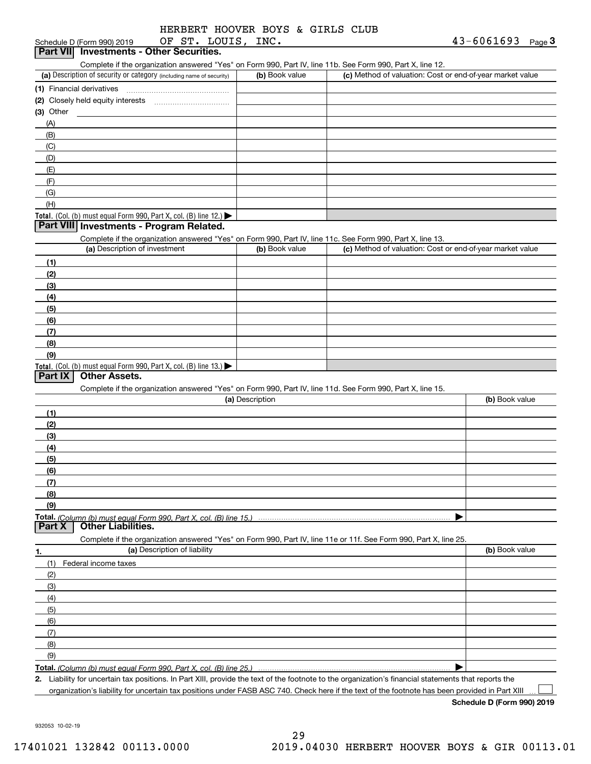| HERBERT HOOVER BOYS & GIRLS CLUB |  |  |  |
|----------------------------------|--|--|--|
|                                  |  |  |  |

|                     | OF ST. LOUIS, INC.<br>Schedule D (Form 990) 2019                                                                  |                 |                                                           | 43-6061693<br>Page <sup>3</sup> |
|---------------------|-------------------------------------------------------------------------------------------------------------------|-----------------|-----------------------------------------------------------|---------------------------------|
|                     | Part VII Investments - Other Securities.                                                                          |                 |                                                           |                                 |
|                     | Complete if the organization answered "Yes" on Form 990, Part IV, line 11b. See Form 990, Part X, line 12.        |                 |                                                           |                                 |
|                     | (a) Description of security or category (including name of security)                                              | (b) Book value  | (c) Method of valuation: Cost or end-of-year market value |                                 |
|                     |                                                                                                                   |                 |                                                           |                                 |
|                     |                                                                                                                   |                 |                                                           |                                 |
| (3) Other           |                                                                                                                   |                 |                                                           |                                 |
| (A)                 |                                                                                                                   |                 |                                                           |                                 |
| (B)                 |                                                                                                                   |                 |                                                           |                                 |
| (C)                 |                                                                                                                   |                 |                                                           |                                 |
| (D)                 |                                                                                                                   |                 |                                                           |                                 |
| (E)                 |                                                                                                                   |                 |                                                           |                                 |
| (F)                 |                                                                                                                   |                 |                                                           |                                 |
| (G)                 |                                                                                                                   |                 |                                                           |                                 |
| (H)                 |                                                                                                                   |                 |                                                           |                                 |
|                     | Total. (Col. (b) must equal Form 990, Part X, col. (B) line 12.)                                                  |                 |                                                           |                                 |
|                     | Part VIII Investments - Program Related.                                                                          |                 |                                                           |                                 |
|                     | Complete if the organization answered "Yes" on Form 990, Part IV, line 11c. See Form 990, Part X, line 13.        |                 |                                                           |                                 |
|                     | (a) Description of investment                                                                                     | (b) Book value  | (c) Method of valuation: Cost or end-of-year market value |                                 |
| (1)                 |                                                                                                                   |                 |                                                           |                                 |
| (2)                 |                                                                                                                   |                 |                                                           |                                 |
| (3)                 |                                                                                                                   |                 |                                                           |                                 |
| (4)                 |                                                                                                                   |                 |                                                           |                                 |
| (5)                 |                                                                                                                   |                 |                                                           |                                 |
| (6)                 |                                                                                                                   |                 |                                                           |                                 |
| (7)                 |                                                                                                                   |                 |                                                           |                                 |
| (8)                 |                                                                                                                   |                 |                                                           |                                 |
| (9)                 |                                                                                                                   |                 |                                                           |                                 |
|                     | Total. (Col. (b) must equal Form 990, Part X, col. (B) line 13.)                                                  |                 |                                                           |                                 |
| Part IX             | <b>Other Assets.</b>                                                                                              |                 |                                                           |                                 |
|                     | Complete if the organization answered "Yes" on Form 990, Part IV, line 11d. See Form 990, Part X, line 15.        |                 |                                                           |                                 |
|                     |                                                                                                                   | (a) Description |                                                           | (b) Book value                  |
| (1)                 |                                                                                                                   |                 |                                                           |                                 |
|                     |                                                                                                                   |                 |                                                           |                                 |
| (2)                 |                                                                                                                   |                 |                                                           |                                 |
| (3)                 |                                                                                                                   |                 |                                                           |                                 |
| (4)                 |                                                                                                                   |                 |                                                           |                                 |
| (5)                 |                                                                                                                   |                 |                                                           |                                 |
| (6)                 |                                                                                                                   |                 |                                                           |                                 |
|                     |                                                                                                                   |                 |                                                           |                                 |
| (7)                 |                                                                                                                   |                 |                                                           |                                 |
| (8)                 |                                                                                                                   |                 |                                                           |                                 |
| (9)                 |                                                                                                                   |                 |                                                           |                                 |
|                     | <b>Total.</b> (Column (b) must equal Form 990, Part X, col. (B) line 15.)                                         |                 |                                                           |                                 |
|                     | <b>Other Liabilities.</b>                                                                                         |                 |                                                           |                                 |
|                     | Complete if the organization answered "Yes" on Form 990, Part IV, line 11e or 11f. See Form 990, Part X, line 25. |                 |                                                           |                                 |
|                     | (a) Description of liability                                                                                      |                 |                                                           | (b) Book value                  |
| (1)                 | Federal income taxes                                                                                              |                 |                                                           |                                 |
| (2)                 |                                                                                                                   |                 |                                                           |                                 |
| (3)                 |                                                                                                                   |                 |                                                           |                                 |
| (4)                 |                                                                                                                   |                 |                                                           |                                 |
| (5)                 |                                                                                                                   |                 |                                                           |                                 |
| (6)                 |                                                                                                                   |                 |                                                           |                                 |
| (7)                 |                                                                                                                   |                 |                                                           |                                 |
| (8)                 |                                                                                                                   |                 |                                                           |                                 |
| Part X<br>1.<br>(9) |                                                                                                                   |                 |                                                           |                                 |

**2.** Liability for uncertain tax positions. In Part XIII, provide the text of the footnote to the organization's financial statements that reports the organization's liability for uncertain tax positions under FASB ASC 740. Check here if the text of the footnote has been provided in Part XIII

**Schedule D (Form 990) 2019**

 $\mathcal{L}^{\text{max}}$ 

932053 10-02-19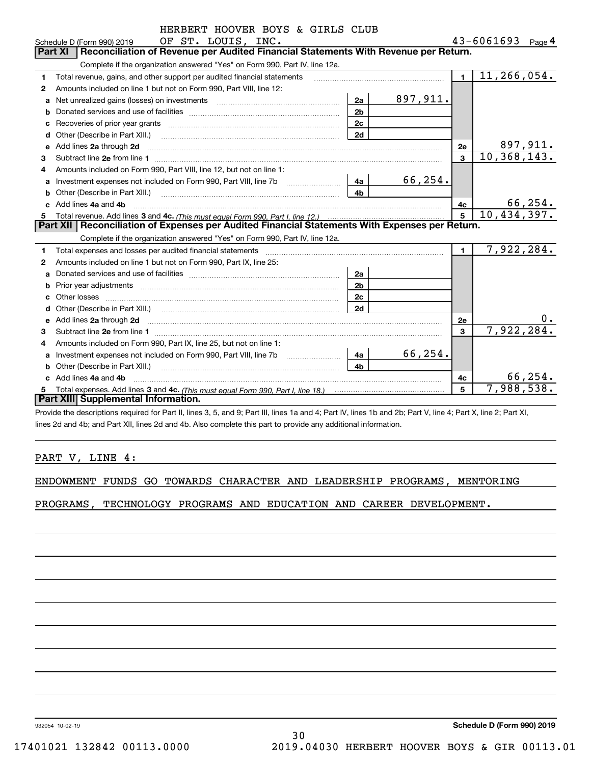|    | HERBERT HOOVER BOYS & GIRLS CLUB                                                                                      |                |             |                |                       |
|----|-----------------------------------------------------------------------------------------------------------------------|----------------|-------------|----------------|-----------------------|
|    | OF ST. LOUIS, INC.<br>Schedule D (Form 990) 2019                                                                      |                |             |                | $43 - 6061693$ Page 4 |
|    | Reconciliation of Revenue per Audited Financial Statements With Revenue per Return.<br><b>Part XI</b>                 |                |             |                |                       |
|    | Complete if the organization answered "Yes" on Form 990, Part IV, line 12a.                                           |                |             |                |                       |
| 1  | Total revenue, gains, and other support per audited financial statements                                              |                |             | $\blacksquare$ | 11, 266, 054.         |
| 2  | Amounts included on line 1 but not on Form 990, Part VIII, line 12:                                                   |                |             |                |                       |
| a  | Net unrealized gains (losses) on investments [11] matter contracts and the unrealized gains (losses) on investments   | 2a             | 897,911.    |                |                       |
| b  |                                                                                                                       | 2 <sub>b</sub> |             |                |                       |
|    |                                                                                                                       | 2c             |             |                |                       |
| d  | Other (Describe in Part XIII.) <b>Construction Contract Construction</b> Chern Construction Construction Construction | 2d             |             |                |                       |
| e  | Add lines 2a through 2d                                                                                               |                |             | 2e             | 897,911.              |
| з  |                                                                                                                       |                |             | $\mathbf{R}$   | 10, 368, 143.         |
| 4  | Amounts included on Form 990, Part VIII, line 12, but not on line 1:                                                  |                |             |                |                       |
| a  |                                                                                                                       | 4a             | 66,254.     |                |                       |
| b  |                                                                                                                       | 4b             |             |                |                       |
|    | Add lines 4a and 4b                                                                                                   | 4c             | 66,254.     |                |                       |
| 5  |                                                                                                                       | $\overline{5}$ | 10,434,397. |                |                       |
|    | Part XII   Reconciliation of Expenses per Audited Financial Statements With Expenses per Return.                      |                |             |                |                       |
|    | Complete if the organization answered "Yes" on Form 990, Part IV, line 12a.                                           |                |             |                |                       |
| 1  | Total expenses and losses per audited financial statements                                                            |                |             | $\blacksquare$ | 7,922,284.            |
| 2  | Amounts included on line 1 but not on Form 990, Part IX, line 25:                                                     |                |             |                |                       |
| a  |                                                                                                                       | 2a             |             |                |                       |
| b  |                                                                                                                       | 2 <sub>b</sub> |             |                |                       |
|    |                                                                                                                       | 2c             |             |                |                       |
|    |                                                                                                                       | 2d             |             |                |                       |
|    |                                                                                                                       |                |             | 2e             | 0.                    |
| 3  |                                                                                                                       |                |             | $\mathbf{R}$   | 7,922,284.            |
| 4  | Amounts included on Form 990, Part IX, line 25, but not on line 1:                                                    |                |             |                |                       |
| a  |                                                                                                                       | 4a             | 66,254.     |                |                       |
| b  | Other (Describe in Part XIII.)                                                                                        | 4 <sub>h</sub> |             |                |                       |
| c. | Add lines 4a and 4b                                                                                                   |                |             | 4с             | 66, 254.              |
|    |                                                                                                                       |                |             | 5              | 7,988,538.            |
|    | Part XIII Supplemental Information.                                                                                   |                |             |                |                       |

Provide the descriptions required for Part II, lines 3, 5, and 9; Part III, lines 1a and 4; Part IV, lines 1b and 2b; Part V, line 4; Part X, line 2; Part XI, lines 2d and 4b; and Part XII, lines 2d and 4b. Also complete this part to provide any additional information.

### PART V, LINE 4:

|  |  |  |  |  |  | ENDOWMENT FUNDS GO TOWARDS CHARACTER AND LEADERSHIP PROGRAMS, MENTORING |  |  |
|--|--|--|--|--|--|-------------------------------------------------------------------------|--|--|
|--|--|--|--|--|--|-------------------------------------------------------------------------|--|--|

PROGRAMS, TECHNOLOGY PROGRAMS AND EDUCATION AND CAREER DEVELOPMENT.

932054 10-02-19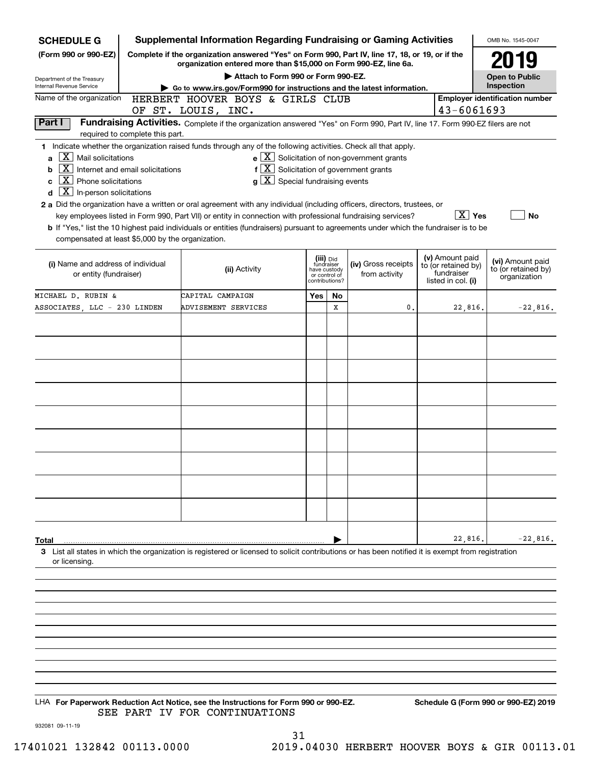| <b>SCHEDULE G</b>                                                                                                                                                                    |                                 | Supplemental Information Regarding Fundraising or Gaming Activities                                                                                                                                                                                                                                                                                                                                                                                                                                                                                                                       |                                                                            |    |                                                       |                                                                            | OMB No. 1545-0047                                       |
|--------------------------------------------------------------------------------------------------------------------------------------------------------------------------------------|---------------------------------|-------------------------------------------------------------------------------------------------------------------------------------------------------------------------------------------------------------------------------------------------------------------------------------------------------------------------------------------------------------------------------------------------------------------------------------------------------------------------------------------------------------------------------------------------------------------------------------------|----------------------------------------------------------------------------|----|-------------------------------------------------------|----------------------------------------------------------------------------|---------------------------------------------------------|
| (Form 990 or 990-EZ)                                                                                                                                                                 |                                 | Complete if the organization answered "Yes" on Form 990, Part IV, line 17, 18, or 19, or if the                                                                                                                                                                                                                                                                                                                                                                                                                                                                                           |                                                                            |    |                                                       |                                                                            | 2019                                                    |
|                                                                                                                                                                                      |                                 | organization entered more than \$15,000 on Form 990-EZ, line 6a.<br>Attach to Form 990 or Form 990-EZ.                                                                                                                                                                                                                                                                                                                                                                                                                                                                                    |                                                                            |    |                                                       |                                                                            | <b>Open to Public</b>                                   |
| Department of the Treasury<br>Internal Revenue Service                                                                                                                               |                                 | Go to www.irs.gov/Form990 for instructions and the latest information.                                                                                                                                                                                                                                                                                                                                                                                                                                                                                                                    |                                                                            |    |                                                       |                                                                            | Inspection                                              |
| Name of the organization                                                                                                                                                             |                                 | HERBERT HOOVER BOYS & GIRLS CLUB                                                                                                                                                                                                                                                                                                                                                                                                                                                                                                                                                          |                                                                            |    |                                                       |                                                                            | <b>Employer identification number</b>                   |
| Part I                                                                                                                                                                               |                                 | OF ST. LOUIS, INC.<br>Fundraising Activities. Complete if the organization answered "Yes" on Form 990, Part IV, line 17. Form 990-EZ filers are not                                                                                                                                                                                                                                                                                                                                                                                                                                       |                                                                            |    |                                                       | 43-6061693                                                                 |                                                         |
|                                                                                                                                                                                      | required to complete this part. |                                                                                                                                                                                                                                                                                                                                                                                                                                                                                                                                                                                           |                                                                            |    |                                                       |                                                                            |                                                         |
| $X$ Mail solicitations<br>a<br>$\boxed{\text{X}}$ Internet and email solicitations<br>b<br>$X$ Phone solicitations<br>C<br>$\lfloor \texttt{X} \rfloor$ In-person solicitations<br>d |                                 | 1 Indicate whether the organization raised funds through any of the following activities. Check all that apply.<br>$f[X]$ Solicitation of government grants<br>$g\mid X$ Special fundraising events<br>2 a Did the organization have a written or oral agreement with any individual (including officers, directors, trustees, or<br>key employees listed in Form 990, Part VII) or entity in connection with professional fundraising services?<br>b If "Yes," list the 10 highest paid individuals or entities (fundraisers) pursuant to agreements under which the fundraiser is to be |                                                                            |    | $e$ $\boxed{X}$ Solicitation of non-government grants | $\boxed{\text{X}}$ Yes                                                     | <b>No</b>                                               |
| compensated at least \$5,000 by the organization.                                                                                                                                    |                                 |                                                                                                                                                                                                                                                                                                                                                                                                                                                                                                                                                                                           |                                                                            |    |                                                       |                                                                            |                                                         |
| (i) Name and address of individual<br>or entity (fundraiser)                                                                                                                         |                                 | (ii) Activity                                                                                                                                                                                                                                                                                                                                                                                                                                                                                                                                                                             | (iii) Did<br>fundraiser<br>have custody<br>or control of<br>contributions? |    | (iv) Gross receipts<br>from activity                  | (v) Amount paid<br>to (or retained by)<br>fundraiser<br>listed in col. (i) | (vi) Amount paid<br>to (or retained by)<br>organization |
| MICHAEL D. RUBIN &                                                                                                                                                                   |                                 | CAPITAL CAMPAIGN                                                                                                                                                                                                                                                                                                                                                                                                                                                                                                                                                                          | Yes                                                                        | No |                                                       |                                                                            |                                                         |
| ASSOCIATES LLC - 230 LINDEN                                                                                                                                                          |                                 | ADVISEMENT SERVICES                                                                                                                                                                                                                                                                                                                                                                                                                                                                                                                                                                       |                                                                            | х  | 0.                                                    | 22,816.                                                                    | $-22,816.$                                              |
|                                                                                                                                                                                      |                                 |                                                                                                                                                                                                                                                                                                                                                                                                                                                                                                                                                                                           |                                                                            |    |                                                       |                                                                            |                                                         |
|                                                                                                                                                                                      |                                 |                                                                                                                                                                                                                                                                                                                                                                                                                                                                                                                                                                                           |                                                                            |    |                                                       |                                                                            |                                                         |
|                                                                                                                                                                                      |                                 |                                                                                                                                                                                                                                                                                                                                                                                                                                                                                                                                                                                           |                                                                            |    |                                                       |                                                                            |                                                         |
|                                                                                                                                                                                      |                                 |                                                                                                                                                                                                                                                                                                                                                                                                                                                                                                                                                                                           |                                                                            |    |                                                       |                                                                            |                                                         |
|                                                                                                                                                                                      |                                 |                                                                                                                                                                                                                                                                                                                                                                                                                                                                                                                                                                                           |                                                                            |    |                                                       |                                                                            |                                                         |
|                                                                                                                                                                                      |                                 |                                                                                                                                                                                                                                                                                                                                                                                                                                                                                                                                                                                           |                                                                            |    |                                                       |                                                                            |                                                         |
|                                                                                                                                                                                      |                                 |                                                                                                                                                                                                                                                                                                                                                                                                                                                                                                                                                                                           |                                                                            |    |                                                       |                                                                            |                                                         |
|                                                                                                                                                                                      |                                 |                                                                                                                                                                                                                                                                                                                                                                                                                                                                                                                                                                                           |                                                                            |    |                                                       |                                                                            |                                                         |
|                                                                                                                                                                                      |                                 |                                                                                                                                                                                                                                                                                                                                                                                                                                                                                                                                                                                           |                                                                            |    |                                                       |                                                                            |                                                         |
|                                                                                                                                                                                      |                                 |                                                                                                                                                                                                                                                                                                                                                                                                                                                                                                                                                                                           |                                                                            |    |                                                       |                                                                            |                                                         |
|                                                                                                                                                                                      |                                 |                                                                                                                                                                                                                                                                                                                                                                                                                                                                                                                                                                                           |                                                                            |    |                                                       |                                                                            |                                                         |
|                                                                                                                                                                                      |                                 |                                                                                                                                                                                                                                                                                                                                                                                                                                                                                                                                                                                           |                                                                            |    |                                                       |                                                                            |                                                         |
|                                                                                                                                                                                      |                                 |                                                                                                                                                                                                                                                                                                                                                                                                                                                                                                                                                                                           |                                                                            |    |                                                       |                                                                            |                                                         |
| Total                                                                                                                                                                                |                                 |                                                                                                                                                                                                                                                                                                                                                                                                                                                                                                                                                                                           |                                                                            |    |                                                       | 22,816.                                                                    | $-22,816.$                                              |
|                                                                                                                                                                                      |                                 | 3 List all states in which the organization is registered or licensed to solicit contributions or has been notified it is exempt from registration                                                                                                                                                                                                                                                                                                                                                                                                                                        |                                                                            |    |                                                       |                                                                            |                                                         |
| or licensing.                                                                                                                                                                        |                                 |                                                                                                                                                                                                                                                                                                                                                                                                                                                                                                                                                                                           |                                                                            |    |                                                       |                                                                            |                                                         |
|                                                                                                                                                                                      |                                 |                                                                                                                                                                                                                                                                                                                                                                                                                                                                                                                                                                                           |                                                                            |    |                                                       |                                                                            |                                                         |
|                                                                                                                                                                                      |                                 |                                                                                                                                                                                                                                                                                                                                                                                                                                                                                                                                                                                           |                                                                            |    |                                                       |                                                                            |                                                         |
|                                                                                                                                                                                      |                                 |                                                                                                                                                                                                                                                                                                                                                                                                                                                                                                                                                                                           |                                                                            |    |                                                       |                                                                            |                                                         |
|                                                                                                                                                                                      |                                 |                                                                                                                                                                                                                                                                                                                                                                                                                                                                                                                                                                                           |                                                                            |    |                                                       |                                                                            |                                                         |
|                                                                                                                                                                                      |                                 |                                                                                                                                                                                                                                                                                                                                                                                                                                                                                                                                                                                           |                                                                            |    |                                                       |                                                                            |                                                         |
|                                                                                                                                                                                      |                                 |                                                                                                                                                                                                                                                                                                                                                                                                                                                                                                                                                                                           |                                                                            |    |                                                       |                                                                            |                                                         |
|                                                                                                                                                                                      |                                 |                                                                                                                                                                                                                                                                                                                                                                                                                                                                                                                                                                                           |                                                                            |    |                                                       |                                                                            |                                                         |

LHA For Paperwork Reduction Act Notice, see the Instructions for Form 990 or 990-EZ. Schedule G (Form 990 or 990-EZ) 2019 SEE PART IV FOR CONTINUATIONS

932081 09-11-19

31 17401021 132842 00113.0000 2019.04030 HERBERT HOOVER BOYS & GIR 00113.01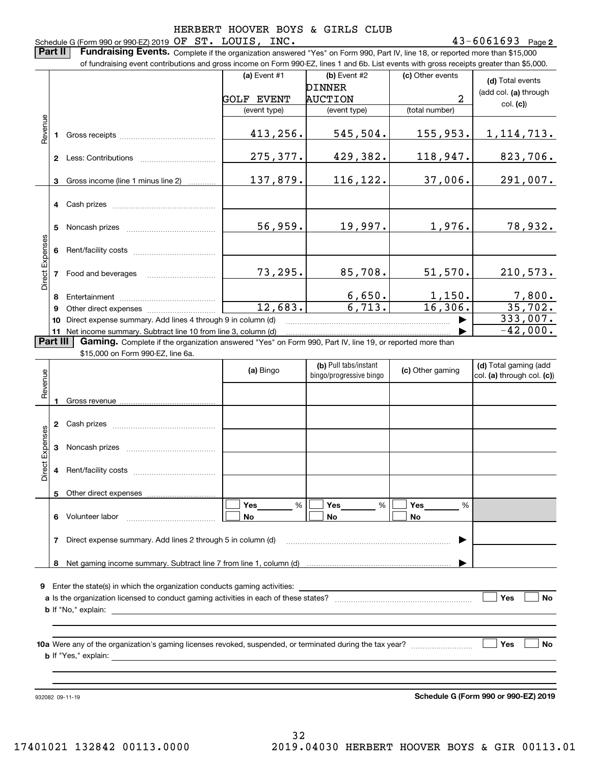#### **2** Schedule G (Form 990 or 990-EZ) 2019 Page OF ST. LOUIS, INC. 43-6061693

**Part II** | Fundraising Events. Complete if the organization answered "Yes" on Form 990, Part IV, line 18, or reported more than \$15,000

|                 |          | of fundraising event contributions and gross income on Form 990-EZ, lines 1 and 6b. List events with gross receipts greater than \$5,000.     |                   |                                                  |                  |                                                     |
|-----------------|----------|-----------------------------------------------------------------------------------------------------------------------------------------------|-------------------|--------------------------------------------------|------------------|-----------------------------------------------------|
|                 |          |                                                                                                                                               | (a) Event $#1$    | (b) Event #2                                     | (c) Other events | (d) Total events                                    |
|                 |          |                                                                                                                                               |                   | <b>DINNER</b>                                    |                  | (add col. (a) through                               |
|                 |          |                                                                                                                                               | <b>GOLF EVENT</b> | <b>AUCTION</b>                                   | 2                | col. (c)                                            |
|                 |          |                                                                                                                                               | (event type)      | (event type)                                     | (total number)   |                                                     |
| Revenue         |          |                                                                                                                                               | 413,256.          | 545,504.                                         | 155,953.         | 1, 114, 713.                                        |
|                 |          |                                                                                                                                               | 275,377.          | 429,382.                                         | 118,947.         | 823,706.                                            |
|                 |          | 3 Gross income (line 1 minus line 2)                                                                                                          | 137,879.          | 116,122.                                         | 37,006.          | 291,007.                                            |
|                 |          | 4 Cash prizes                                                                                                                                 |                   |                                                  |                  |                                                     |
|                 | 5        |                                                                                                                                               | 56,959.           | 19,997.                                          | 1,976.           | 78,932.                                             |
|                 |          |                                                                                                                                               |                   |                                                  |                  |                                                     |
| Direct Expenses |          | 7 Food and beverages                                                                                                                          | 73,295.           | 85,708.                                          | 51,570.          | 210,573.                                            |
|                 |          |                                                                                                                                               |                   | 6,650.                                           | 1,150.           | $\frac{7,800}{35,702}$                              |
|                 | 9        |                                                                                                                                               | 12,683.           | 6,713.                                           | 16,306.          |                                                     |
|                 | 10       | Direct expense summary. Add lines 4 through 9 in column (d)                                                                                   |                   |                                                  |                  | 333,007.                                            |
|                 | Part III | 11 Net income summary. Subtract line 10 from line 3, column (d)                                                                               |                   |                                                  |                  | $-42,000.$                                          |
|                 |          | Gaming. Complete if the organization answered "Yes" on Form 990, Part IV, line 19, or reported more than<br>\$15,000 on Form 990-EZ, line 6a. |                   |                                                  |                  |                                                     |
| Revenue         |          |                                                                                                                                               | (a) Bingo         | (b) Pull tabs/instant<br>bingo/progressive bingo | (c) Other gaming | (d) Total gaming (add<br>col. (a) through col. (c)) |
|                 |          |                                                                                                                                               |                   |                                                  |                  |                                                     |
|                 |          | 2 Cash prizes                                                                                                                                 |                   |                                                  |                  |                                                     |
| Direct Expenses |          |                                                                                                                                               |                   |                                                  |                  |                                                     |
|                 |          | 4 Rent/facility costs                                                                                                                         |                   |                                                  |                  |                                                     |
|                 | 5        | Other direct expenses                                                                                                                         |                   |                                                  |                  |                                                     |
|                 | 6        | Volunteer labor                                                                                                                               | %<br>Yes<br>No    | %<br>Yes<br>No                                   | Yes<br>%<br>No   |                                                     |
|                 | 7        | Direct expense summary. Add lines 2 through 5 in column (d)                                                                                   |                   |                                                  |                  |                                                     |
|                 | 8        |                                                                                                                                               |                   |                                                  |                  |                                                     |
| 9.              |          | Enter the state(s) in which the organization conducts gaming activities:                                                                      |                   |                                                  |                  |                                                     |
|                 |          |                                                                                                                                               |                   |                                                  |                  | Yes<br>No                                           |
|                 |          | <b>b</b> If "No," explain:                                                                                                                    |                   |                                                  |                  |                                                     |
|                 |          |                                                                                                                                               |                   |                                                  |                  |                                                     |
|                 |          | <b>b</b> If "Yes," explain: __                                                                                                                |                   |                                                  |                  | Yes<br>No                                           |

932082 09-11-19

**Schedule G (Form 990 or 990-EZ) 2019**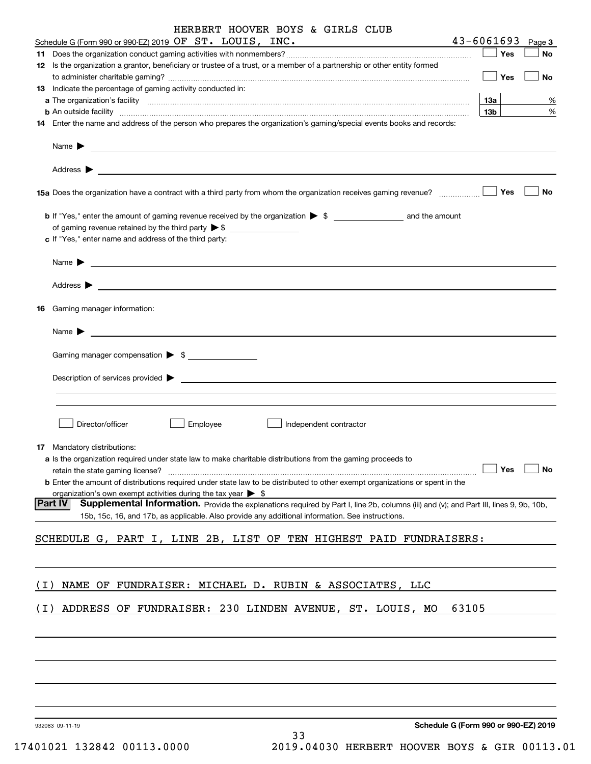|       | HERBERT HOOVER BOYS & GIRLS CLUB                                                                                                                                                                                                                                                                                                                                                                                      |                 |        |
|-------|-----------------------------------------------------------------------------------------------------------------------------------------------------------------------------------------------------------------------------------------------------------------------------------------------------------------------------------------------------------------------------------------------------------------------|-----------------|--------|
|       | Schedule G (Form 990 or 990-EZ) 2019 OF ST. LOUIS, INC.                                                                                                                                                                                                                                                                                                                                                               | $43 - 6061693$  | Page 3 |
|       |                                                                                                                                                                                                                                                                                                                                                                                                                       | Yes             | No     |
|       | 12 Is the organization a grantor, beneficiary or trustee of a trust, or a member of a partnership or other entity formed                                                                                                                                                                                                                                                                                              | Yes             | No     |
|       | 13 Indicate the percentage of gaming activity conducted in:                                                                                                                                                                                                                                                                                                                                                           |                 |        |
|       |                                                                                                                                                                                                                                                                                                                                                                                                                       | $13a$           | %      |
|       | <b>b</b> An outside facility <b>contained and the contract of the contract of the contract of the contract of the contract of the contract of the contract of the contract of the contract of the contract of the contract of the con</b>                                                                                                                                                                             | 13 <sub>b</sub> | %      |
|       | 14 Enter the name and address of the person who prepares the organization's gaming/special events books and records:                                                                                                                                                                                                                                                                                                  |                 |        |
|       | Name $\blacktriangleright$ $\frac{1}{\sqrt{1-\frac{1}{2}}\sqrt{1-\frac{1}{2}}\sqrt{1-\frac{1}{2}}\sqrt{1-\frac{1}{2}}\sqrt{1-\frac{1}{2}}\sqrt{1-\frac{1}{2}}\sqrt{1-\frac{1}{2}}\sqrt{1-\frac{1}{2}}\sqrt{1-\frac{1}{2}}\sqrt{1-\frac{1}{2}}\sqrt{1-\frac{1}{2}}\sqrt{1-\frac{1}{2}}\sqrt{1-\frac{1}{2}}\sqrt{1-\frac{1}{2}}\sqrt{1-\frac{1}{2}}\sqrt{1-\frac{1}{2}}\sqrt{1-\frac{1}{2}}\sqrt{1-\frac{1}{2}}\sqrt{1$ |                 |        |
|       |                                                                                                                                                                                                                                                                                                                                                                                                                       | Yes             | No     |
|       | 15a Does the organization have a contract with a third party from whom the organization receives gaming revenue?                                                                                                                                                                                                                                                                                                      |                 |        |
|       |                                                                                                                                                                                                                                                                                                                                                                                                                       |                 |        |
|       | of gaming revenue retained by the third party $\triangleright$ \$                                                                                                                                                                                                                                                                                                                                                     |                 |        |
|       | c If "Yes," enter name and address of the third party:                                                                                                                                                                                                                                                                                                                                                                |                 |        |
|       |                                                                                                                                                                                                                                                                                                                                                                                                                       |                 |        |
|       |                                                                                                                                                                                                                                                                                                                                                                                                                       |                 |        |
|       | 16 Gaming manager information:                                                                                                                                                                                                                                                                                                                                                                                        |                 |        |
|       | $Name \rightarrow$                                                                                                                                                                                                                                                                                                                                                                                                    |                 |        |
|       | Gaming manager compensation > \$                                                                                                                                                                                                                                                                                                                                                                                      |                 |        |
|       | Description of services provided states and the service of the service of the services provided states are not                                                                                                                                                                                                                                                                                                        |                 |        |
|       |                                                                                                                                                                                                                                                                                                                                                                                                                       |                 |        |
|       |                                                                                                                                                                                                                                                                                                                                                                                                                       |                 |        |
|       | Director/officer<br>Employee<br>Independent contractor                                                                                                                                                                                                                                                                                                                                                                |                 |        |
|       | 17 Mandatory distributions:                                                                                                                                                                                                                                                                                                                                                                                           |                 |        |
|       | a Is the organization required under state law to make charitable distributions from the gaming proceeds to                                                                                                                                                                                                                                                                                                           |                 |        |
|       | retain the state gaming license?                                                                                                                                                                                                                                                                                                                                                                                      | Yes             | No     |
|       | <b>b</b> Enter the amount of distributions required under state law to be distributed to other exempt organizations or spent in the                                                                                                                                                                                                                                                                                   |                 |        |
|       | organization's own exempt activities during the tax year $\triangleright$ \$                                                                                                                                                                                                                                                                                                                                          |                 |        |
|       | Part IV<br>Supplemental Information. Provide the explanations required by Part I, line 2b, columns (iii) and (v); and Part III, lines 9, 9b, 10b,<br>15b, 15c, 16, and 17b, as applicable. Also provide any additional information. See instructions.                                                                                                                                                                 |                 |        |
|       |                                                                                                                                                                                                                                                                                                                                                                                                                       |                 |        |
|       | SCHEDULE G, PART I, LINE 2B, LIST OF TEN HIGHEST PAID FUNDRAISERS:                                                                                                                                                                                                                                                                                                                                                    |                 |        |
|       |                                                                                                                                                                                                                                                                                                                                                                                                                       |                 |        |
| ( I ) | NAME OF FUNDRAISER: MICHAEL D. RUBIN & ASSOCIATES, LLC                                                                                                                                                                                                                                                                                                                                                                |                 |        |
| ( I ) | ADDRESS OF FUNDRAISER: 230 LINDEN AVENUE, ST. LOUIS, MO<br>63105                                                                                                                                                                                                                                                                                                                                                      |                 |        |
|       |                                                                                                                                                                                                                                                                                                                                                                                                                       |                 |        |
|       |                                                                                                                                                                                                                                                                                                                                                                                                                       |                 |        |
|       |                                                                                                                                                                                                                                                                                                                                                                                                                       |                 |        |
|       |                                                                                                                                                                                                                                                                                                                                                                                                                       |                 |        |
|       | Schedule G (Form 990 or 990-EZ) 2019<br>932083 09-11-19                                                                                                                                                                                                                                                                                                                                                               |                 |        |
|       | 33                                                                                                                                                                                                                                                                                                                                                                                                                    |                 |        |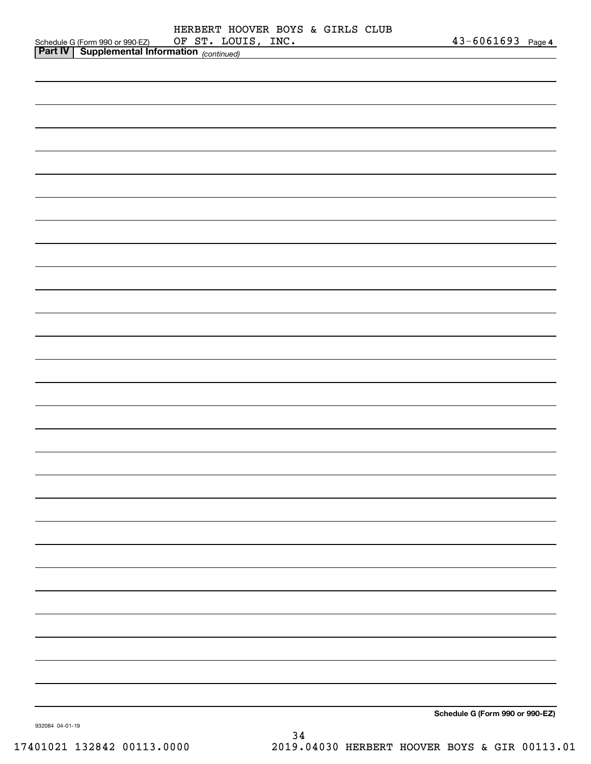|                                                                                             | HERBERT HOOVER BOYS & GIRLS CLUB |  |                    |                                 |  |
|---------------------------------------------------------------------------------------------|----------------------------------|--|--------------------|---------------------------------|--|
| Schedule G (Form 990 or 990-EZ) OF ST. LOU.<br>Part IV Supplemental Information (continued) |                                  |  | OF ST. LOUIS, INC. | 43-6061693 Page 4               |  |
|                                                                                             |                                  |  |                    |                                 |  |
|                                                                                             |                                  |  |                    |                                 |  |
|                                                                                             |                                  |  |                    |                                 |  |
|                                                                                             |                                  |  |                    |                                 |  |
|                                                                                             |                                  |  |                    |                                 |  |
|                                                                                             |                                  |  |                    |                                 |  |
|                                                                                             |                                  |  |                    |                                 |  |
|                                                                                             |                                  |  |                    |                                 |  |
|                                                                                             |                                  |  |                    |                                 |  |
|                                                                                             |                                  |  |                    |                                 |  |
|                                                                                             |                                  |  |                    |                                 |  |
|                                                                                             |                                  |  |                    |                                 |  |
|                                                                                             |                                  |  |                    |                                 |  |
|                                                                                             |                                  |  |                    |                                 |  |
|                                                                                             |                                  |  |                    |                                 |  |
|                                                                                             |                                  |  |                    |                                 |  |
|                                                                                             |                                  |  |                    |                                 |  |
|                                                                                             |                                  |  |                    |                                 |  |
|                                                                                             |                                  |  |                    |                                 |  |
|                                                                                             |                                  |  |                    |                                 |  |
|                                                                                             |                                  |  |                    |                                 |  |
|                                                                                             |                                  |  |                    |                                 |  |
|                                                                                             |                                  |  |                    |                                 |  |
|                                                                                             |                                  |  |                    |                                 |  |
|                                                                                             |                                  |  |                    |                                 |  |
|                                                                                             |                                  |  |                    |                                 |  |
|                                                                                             |                                  |  |                    |                                 |  |
|                                                                                             |                                  |  |                    |                                 |  |
|                                                                                             |                                  |  |                    |                                 |  |
|                                                                                             |                                  |  |                    |                                 |  |
|                                                                                             |                                  |  |                    |                                 |  |
|                                                                                             |                                  |  |                    |                                 |  |
|                                                                                             |                                  |  |                    |                                 |  |
|                                                                                             |                                  |  |                    |                                 |  |
|                                                                                             |                                  |  |                    |                                 |  |
|                                                                                             |                                  |  |                    |                                 |  |
|                                                                                             |                                  |  |                    |                                 |  |
|                                                                                             |                                  |  |                    |                                 |  |
|                                                                                             |                                  |  |                    |                                 |  |
|                                                                                             |                                  |  |                    |                                 |  |
|                                                                                             |                                  |  |                    |                                 |  |
|                                                                                             |                                  |  |                    |                                 |  |
|                                                                                             |                                  |  |                    | Schedule G (Form 990 or 990-EZ) |  |
|                                                                                             |                                  |  |                    |                                 |  |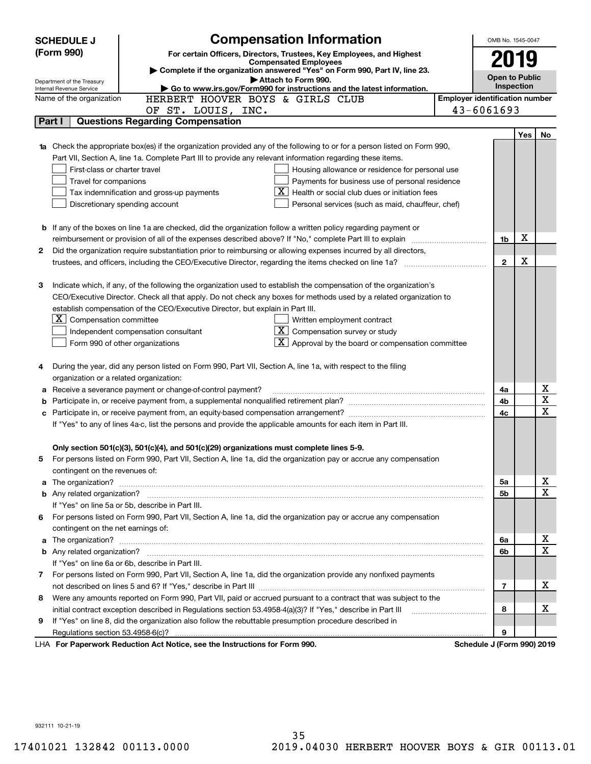|                                                                                                             | <b>SCHEDULE J</b>                                                                                                         | <b>Compensation Information</b>                                                                                                  |  | OMB No. 1545-0047                     |     |             |  |
|-------------------------------------------------------------------------------------------------------------|---------------------------------------------------------------------------------------------------------------------------|----------------------------------------------------------------------------------------------------------------------------------|--|---------------------------------------|-----|-------------|--|
|                                                                                                             | (Form 990)                                                                                                                | For certain Officers, Directors, Trustees, Key Employees, and Highest                                                            |  |                                       |     |             |  |
|                                                                                                             |                                                                                                                           | <b>Compensated Employees</b><br>Complete if the organization answered "Yes" on Form 990, Part IV, line 23.                       |  | 2019                                  |     |             |  |
|                                                                                                             | Department of the Treasury                                                                                                | Attach to Form 990.                                                                                                              |  | <b>Open to Public</b>                 |     |             |  |
|                                                                                                             | Internal Revenue Service                                                                                                  | Go to www.irs.gov/Form990 for instructions and the latest information.                                                           |  | Inspection                            |     |             |  |
|                                                                                                             | Name of the organization                                                                                                  | HERBERT HOOVER BOYS & GIRLS CLUB                                                                                                 |  | <b>Employer identification number</b> |     |             |  |
|                                                                                                             |                                                                                                                           | OF ST. LOUIS, INC.                                                                                                               |  | 43-6061693                            |     |             |  |
|                                                                                                             | Part I                                                                                                                    | <b>Questions Regarding Compensation</b>                                                                                          |  |                                       |     |             |  |
|                                                                                                             |                                                                                                                           |                                                                                                                                  |  |                                       | Yes | No          |  |
|                                                                                                             |                                                                                                                           | Check the appropriate box(es) if the organization provided any of the following to or for a person listed on Form 990,           |  |                                       |     |             |  |
|                                                                                                             |                                                                                                                           | Part VII, Section A, line 1a. Complete Part III to provide any relevant information regarding these items.                       |  |                                       |     |             |  |
|                                                                                                             | First-class or charter travel                                                                                             | Housing allowance or residence for personal use                                                                                  |  |                                       |     |             |  |
|                                                                                                             | Travel for companions<br>Payments for business use of personal residence<br>Health or social club dues or initiation fees |                                                                                                                                  |  |                                       |     |             |  |
|                                                                                                             |                                                                                                                           | Tax indemnification and gross-up payments<br>Discretionary spending account<br>Personal services (such as maid, chauffeur, chef) |  |                                       |     |             |  |
|                                                                                                             |                                                                                                                           |                                                                                                                                  |  |                                       |     |             |  |
|                                                                                                             |                                                                                                                           | <b>b</b> If any of the boxes on line 1a are checked, did the organization follow a written policy regarding payment or           |  |                                       |     |             |  |
|                                                                                                             |                                                                                                                           | reimbursement or provision of all of the expenses described above? If "No," complete Part III to explain                         |  | 1b                                    | X   |             |  |
| 2                                                                                                           |                                                                                                                           | Did the organization require substantiation prior to reimbursing or allowing expenses incurred by all directors,                 |  |                                       |     |             |  |
|                                                                                                             |                                                                                                                           |                                                                                                                                  |  | $\mathbf{2}$                          | X   |             |  |
|                                                                                                             |                                                                                                                           |                                                                                                                                  |  |                                       |     |             |  |
| З                                                                                                           |                                                                                                                           | Indicate which, if any, of the following the organization used to establish the compensation of the organization's               |  |                                       |     |             |  |
|                                                                                                             |                                                                                                                           | CEO/Executive Director. Check all that apply. Do not check any boxes for methods used by a related organization to               |  |                                       |     |             |  |
|                                                                                                             |                                                                                                                           | establish compensation of the CEO/Executive Director, but explain in Part III.                                                   |  |                                       |     |             |  |
|                                                                                                             | $X$ Compensation committee                                                                                                | Written employment contract                                                                                                      |  |                                       |     |             |  |
|                                                                                                             | $X$ Compensation survey or study<br>Independent compensation consultant                                                   |                                                                                                                                  |  |                                       |     |             |  |
|                                                                                                             |                                                                                                                           | $\boxed{\textbf{X}}$ Approval by the board or compensation committee<br>Form 990 of other organizations                          |  |                                       |     |             |  |
|                                                                                                             |                                                                                                                           |                                                                                                                                  |  |                                       |     |             |  |
| 4                                                                                                           |                                                                                                                           | During the year, did any person listed on Form 990, Part VII, Section A, line 1a, with respect to the filing                     |  |                                       |     |             |  |
|                                                                                                             |                                                                                                                           | organization or a related organization:                                                                                          |  |                                       |     |             |  |
| а                                                                                                           |                                                                                                                           | Receive a severance payment or change-of-control payment?                                                                        |  | 4a                                    |     | х           |  |
| b                                                                                                           |                                                                                                                           |                                                                                                                                  |  | 4b                                    |     | X           |  |
| c                                                                                                           |                                                                                                                           |                                                                                                                                  |  | 4c                                    |     | X           |  |
|                                                                                                             |                                                                                                                           | If "Yes" to any of lines 4a-c, list the persons and provide the applicable amounts for each item in Part III.                    |  |                                       |     |             |  |
|                                                                                                             |                                                                                                                           |                                                                                                                                  |  |                                       |     |             |  |
|                                                                                                             |                                                                                                                           | Only section 501(c)(3), 501(c)(4), and 501(c)(29) organizations must complete lines 5-9.                                         |  |                                       |     |             |  |
|                                                                                                             |                                                                                                                           | For persons listed on Form 990, Part VII, Section A, line 1a, did the organization pay or accrue any compensation                |  |                                       |     |             |  |
|                                                                                                             | contingent on the revenues of:                                                                                            |                                                                                                                                  |  |                                       |     |             |  |
| a                                                                                                           |                                                                                                                           |                                                                                                                                  |  | 5a                                    |     | x           |  |
|                                                                                                             |                                                                                                                           |                                                                                                                                  |  | 5b                                    |     | X           |  |
|                                                                                                             |                                                                                                                           | If "Yes" on line 5a or 5b, describe in Part III.                                                                                 |  |                                       |     |             |  |
| 6.                                                                                                          |                                                                                                                           | For persons listed on Form 990, Part VII, Section A, line 1a, did the organization pay or accrue any compensation                |  |                                       |     |             |  |
|                                                                                                             | contingent on the net earnings of:                                                                                        |                                                                                                                                  |  |                                       |     | x           |  |
| a                                                                                                           |                                                                                                                           |                                                                                                                                  |  |                                       |     |             |  |
|                                                                                                             |                                                                                                                           |                                                                                                                                  |  | 6b                                    |     | $\mathbf X$ |  |
|                                                                                                             |                                                                                                                           | If "Yes" on line 6a or 6b, describe in Part III.                                                                                 |  |                                       |     |             |  |
|                                                                                                             |                                                                                                                           | 7 For persons listed on Form 990, Part VII, Section A, line 1a, did the organization provide any nonfixed payments               |  |                                       |     |             |  |
|                                                                                                             |                                                                                                                           |                                                                                                                                  |  | 7                                     |     | х           |  |
| 8                                                                                                           | Were any amounts reported on Form 990, Part VII, paid or accrued pursuant to a contract that was subject to the           |                                                                                                                                  |  |                                       |     |             |  |
| initial contract exception described in Regulations section 53.4958-4(a)(3)? If "Yes," describe in Part III |                                                                                                                           |                                                                                                                                  |  |                                       |     |             |  |
| 9                                                                                                           |                                                                                                                           | If "Yes" on line 8, did the organization also follow the rebuttable presumption procedure described in                           |  |                                       |     |             |  |
|                                                                                                             | Regulations section 53.4958-6(c)?                                                                                         |                                                                                                                                  |  | 9                                     |     |             |  |
|                                                                                                             |                                                                                                                           | LHA For Paperwork Reduction Act Notice, see the Instructions for Form 990.                                                       |  | Schedule J (Form 990) 2019            |     |             |  |

932111 10-21-19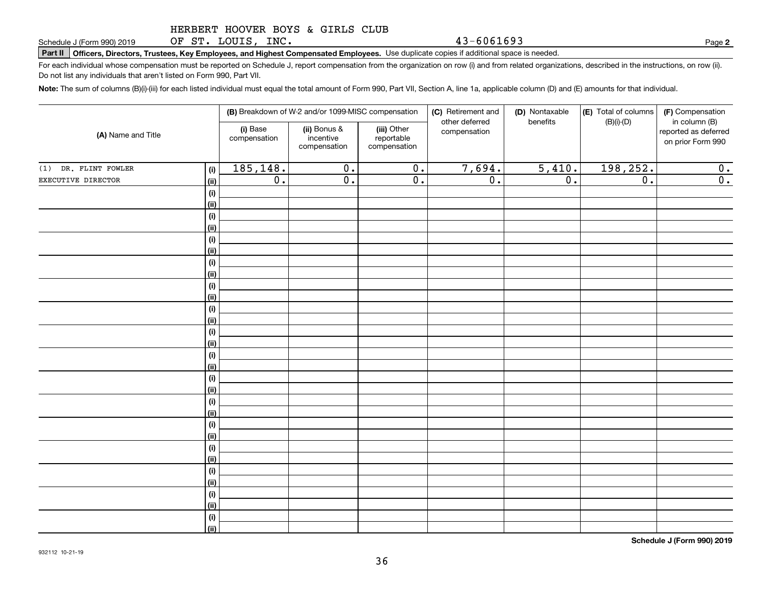OF ST. LOUIS, INC.

**Part II Officers, Directors, Trustees, Key Employees, and Highest Compensated Employees.**  Schedule J (Form 990) 2019 Page Use duplicate copies if additional space is needed.

For each individual whose compensation must be reported on Schedule J, report compensation from the organization on row (i) and from related organizations, described in the instructions, on row (ii). Do not list any individuals that aren't listed on Form 990, Part VII.

**Note:**  The sum of columns (B)(i)-(iii) for each listed individual must equal the total amount of Form 990, Part VII, Section A, line 1a, applicable column (D) and (E) amounts for that individual.

|                      |             |                          | (B) Breakdown of W-2 and/or 1099-MISC compensation |                                           | (C) Retirement and<br>other deferred | (D) Nontaxable<br>benefits | (E) Total of columns | (F) Compensation<br>in column (B)         |
|----------------------|-------------|--------------------------|----------------------------------------------------|-------------------------------------------|--------------------------------------|----------------------------|----------------------|-------------------------------------------|
| (A) Name and Title   |             | (i) Base<br>compensation | (ii) Bonus &<br>incentive<br>compensation          | (iii) Other<br>reportable<br>compensation | compensation                         |                            | $(B)(i)-(D)$         | reported as deferred<br>on prior Form 990 |
| (1) DR. FLINT FOWLER | (i)         | 185, 148.                | $\overline{0}$ .                                   | $\overline{\mathbf{0}}$ .                 | 7,694.                               | 5,410.                     | 198,252.             | 0.                                        |
| EXECUTIVE DIRECTOR   | (ii)        | $\overline{0}$ .         | $\overline{0}$ .                                   | $\overline{0}$ .                          | $\overline{0}$ .                     | $\overline{0}$ .           | $\overline{0}$ .     | $\overline{0}$ .                          |
|                      | (i)         |                          |                                                    |                                           |                                      |                            |                      |                                           |
|                      | (ii)        |                          |                                                    |                                           |                                      |                            |                      |                                           |
|                      | (i)         |                          |                                                    |                                           |                                      |                            |                      |                                           |
|                      | (ii)        |                          |                                                    |                                           |                                      |                            |                      |                                           |
|                      | (i)         |                          |                                                    |                                           |                                      |                            |                      |                                           |
|                      | (ii)        |                          |                                                    |                                           |                                      |                            |                      |                                           |
|                      | $(\sf{i})$  |                          |                                                    |                                           |                                      |                            |                      |                                           |
|                      | (ii)        |                          |                                                    |                                           |                                      |                            |                      |                                           |
|                      | (i)         |                          |                                                    |                                           |                                      |                            |                      |                                           |
|                      | (ii)        |                          |                                                    |                                           |                                      |                            |                      |                                           |
|                      | (i)         |                          |                                                    |                                           |                                      |                            |                      |                                           |
|                      | (ii)        |                          |                                                    |                                           |                                      |                            |                      |                                           |
|                      | (i)<br>(ii) |                          |                                                    |                                           |                                      |                            |                      |                                           |
|                      | (i)         |                          |                                                    |                                           |                                      |                            |                      |                                           |
|                      | (ii)        |                          |                                                    |                                           |                                      |                            |                      |                                           |
|                      | (i)         |                          |                                                    |                                           |                                      |                            |                      |                                           |
|                      | (ii)        |                          |                                                    |                                           |                                      |                            |                      |                                           |
|                      | (i)         |                          |                                                    |                                           |                                      |                            |                      |                                           |
|                      | (ii)        |                          |                                                    |                                           |                                      |                            |                      |                                           |
|                      | (i)         |                          |                                                    |                                           |                                      |                            |                      |                                           |
|                      | (ii)        |                          |                                                    |                                           |                                      |                            |                      |                                           |
|                      | (i)         |                          |                                                    |                                           |                                      |                            |                      |                                           |
|                      | (ii)        |                          |                                                    |                                           |                                      |                            |                      |                                           |
|                      | (i)         |                          |                                                    |                                           |                                      |                            |                      |                                           |
|                      | (ii)        |                          |                                                    |                                           |                                      |                            |                      |                                           |
|                      | (i)         |                          |                                                    |                                           |                                      |                            |                      |                                           |
|                      | (ii)        |                          |                                                    |                                           |                                      |                            |                      |                                           |
|                      | (i)         |                          |                                                    |                                           |                                      |                            |                      |                                           |
|                      | (ii)        |                          |                                                    |                                           |                                      |                            |                      |                                           |

**Schedule J (Form 990) 2019**

**2**

43-6061693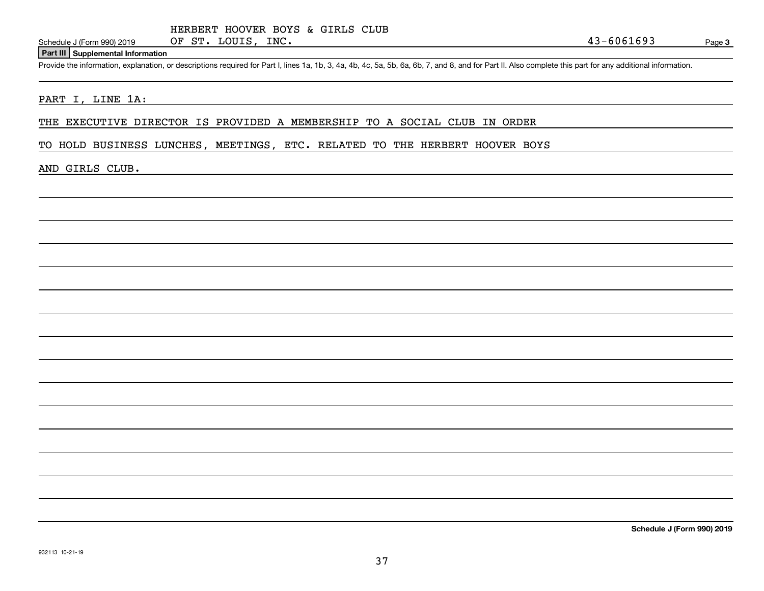#### **Part III Supplemental Information**

Schedule J (Form 990) 2019 OF ST. LOUIS, INC.<br>Part III Supplemental Information<br>Provide the information, explanation, or descriptions required for Part I, lines 1a, 1b, 3, 4a, 4b, 4c, 5a, 5b, 6a, 6b, 7, and 8, and for Part

#### PART I, LINE 1A:

THE EXECUTIVE DIRECTOR IS PROVIDED A MEMBERSHIP TO A SOCIAL CLUB IN ORDER

TO HOLD BUSINESS LUNCHES, MEETINGS, ETC. RELATED TO THE HERBERT HOOVER BOYS

#### AND GIRLS CLUB.

**Schedule J (Form 990) 2019**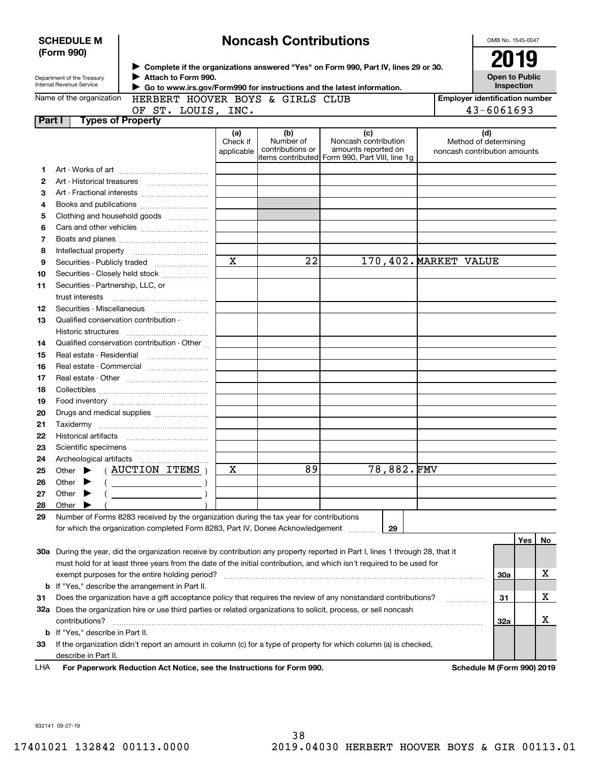|        | <b>Noncash Contributions</b><br><b>SCHEDULE M</b><br>(Form 990) |                                                                                               |                               |                                      |                                                                                                                                |                       |                                                              |     | OMB No. 1545-0047 |
|--------|-----------------------------------------------------------------|-----------------------------------------------------------------------------------------------|-------------------------------|--------------------------------------|--------------------------------------------------------------------------------------------------------------------------------|-----------------------|--------------------------------------------------------------|-----|-------------------|
|        | Department of the Treasury<br>Internal Revenue Service          | Attach to Form 990.<br>Go to www.irs.gov/Form990 for instructions and the latest information. |                               |                                      | ► Complete if the organizations answered "Yes" on Form 990, Part IV, lines 29 or 30.                                           |                       | 2019<br><b>Open to Public</b><br>Inspection                  |     |                   |
|        | Name of the organization                                        | HERBERT HOOVER BOYS & GIRLS CLUB                                                              |                               |                                      |                                                                                                                                |                       | <b>Employer identification number</b>                        |     |                   |
|        |                                                                 | OF ST. LOUIS, INC.                                                                            |                               |                                      |                                                                                                                                |                       | 43-6061693                                                   |     |                   |
| Part I | <b>Types of Property</b>                                        |                                                                                               |                               |                                      |                                                                                                                                |                       |                                                              |     |                   |
|        |                                                                 |                                                                                               | (a)<br>Check if<br>applicable | (b)<br>Number of<br>contributions or | (c)<br>Noncash contribution<br>amounts reported on<br>items contributed Form 990, Part VIII, line 1g                           |                       | (d)<br>Method of determining<br>noncash contribution amounts |     |                   |
| 1      |                                                                 |                                                                                               |                               |                                      |                                                                                                                                |                       |                                                              |     |                   |
| 2      |                                                                 |                                                                                               |                               |                                      |                                                                                                                                |                       |                                                              |     |                   |
| З      |                                                                 | Art - Fractional interests                                                                    |                               |                                      |                                                                                                                                |                       |                                                              |     |                   |
| 4      |                                                                 |                                                                                               |                               |                                      |                                                                                                                                |                       |                                                              |     |                   |
| 5      |                                                                 | Clothing and household goods                                                                  |                               |                                      |                                                                                                                                |                       |                                                              |     |                   |
| 6      |                                                                 |                                                                                               |                               |                                      |                                                                                                                                |                       |                                                              |     |                   |
| 7      |                                                                 |                                                                                               |                               |                                      |                                                                                                                                |                       |                                                              |     |                   |
| 8      |                                                                 |                                                                                               |                               |                                      |                                                                                                                                |                       |                                                              |     |                   |
| 9      |                                                                 | Securities - Publicly traded                                                                  | $\overline{\mathbf{x}}$       | 22                                   |                                                                                                                                | 170,402. MARKET VALUE |                                                              |     |                   |
| 10     |                                                                 | Securities - Closely held stock                                                               |                               |                                      |                                                                                                                                |                       |                                                              |     |                   |
| 11     | Securities - Partnership, LLC, or                               |                                                                                               |                               |                                      |                                                                                                                                |                       |                                                              |     |                   |
|        | trust interests                                                 |                                                                                               |                               |                                      |                                                                                                                                |                       |                                                              |     |                   |
| 12     |                                                                 | Securities - Miscellaneous                                                                    |                               |                                      |                                                                                                                                |                       |                                                              |     |                   |
| 13     | Qualified conservation contribution -                           |                                                                                               |                               |                                      |                                                                                                                                |                       |                                                              |     |                   |
|        | Historic structures                                             |                                                                                               |                               |                                      |                                                                                                                                |                       |                                                              |     |                   |
| 14     |                                                                 | Qualified conservation contribution - Other                                                   |                               |                                      |                                                                                                                                |                       |                                                              |     |                   |
| 15     |                                                                 | Real estate - Residential                                                                     |                               |                                      |                                                                                                                                |                       |                                                              |     |                   |
| 16     |                                                                 | Real estate - Commercial                                                                      |                               |                                      |                                                                                                                                |                       |                                                              |     |                   |
| 17     |                                                                 |                                                                                               |                               |                                      |                                                                                                                                |                       |                                                              |     |                   |
| 18     |                                                                 |                                                                                               |                               |                                      |                                                                                                                                |                       |                                                              |     |                   |
| 19     |                                                                 |                                                                                               |                               |                                      |                                                                                                                                |                       |                                                              |     |                   |
| 20     |                                                                 | Drugs and medical supplies                                                                    |                               |                                      |                                                                                                                                |                       |                                                              |     |                   |
| 21     |                                                                 |                                                                                               |                               |                                      |                                                                                                                                |                       |                                                              |     |                   |
| 22     |                                                                 |                                                                                               |                               |                                      |                                                                                                                                |                       |                                                              |     |                   |
| 23     |                                                                 |                                                                                               |                               |                                      |                                                                                                                                |                       |                                                              |     |                   |
| 24     | Archeological artifacts                                         |                                                                                               |                               |                                      |                                                                                                                                |                       |                                                              |     |                   |
| 25     | Other                                                           | AUCTION ITEMS                                                                                 | х                             | 89                                   | 78,882.FMV                                                                                                                     |                       |                                                              |     |                   |
| 26     | Other                                                           |                                                                                               |                               |                                      |                                                                                                                                |                       |                                                              |     |                   |
| 27     | Other                                                           |                                                                                               |                               |                                      |                                                                                                                                |                       |                                                              |     |                   |
| 28     | Other                                                           |                                                                                               |                               |                                      |                                                                                                                                |                       |                                                              |     |                   |
| 29     |                                                                 | Number of Forms 8283 received by the organization during the tax year for contributions       |                               |                                      |                                                                                                                                |                       |                                                              |     |                   |
|        |                                                                 | for which the organization completed Form 8283, Part IV, Donee Acknowledgement                |                               |                                      | 29                                                                                                                             |                       |                                                              |     |                   |
|        |                                                                 |                                                                                               |                               |                                      |                                                                                                                                |                       |                                                              | Yes | No                |
|        |                                                                 |                                                                                               |                               |                                      | 30a During the year, did the organization receive by contribution any property reported in Part I, lines 1 through 28, that it |                       |                                                              |     |                   |
|        |                                                                 |                                                                                               |                               |                                      | must hold for at least three years from the date of the initial contribution, and which isn't required to be used for          |                       |                                                              |     |                   |
|        |                                                                 | exempt purposes for the entire holding period?                                                |                               |                                      |                                                                                                                                |                       | 30a                                                          |     | х                 |
|        |                                                                 | <b>b</b> If "Yes," describe the arrangement in Part II.                                       |                               |                                      |                                                                                                                                |                       |                                                              |     |                   |
| 31     |                                                                 |                                                                                               |                               |                                      | Does the organization have a gift acceptance policy that requires the review of any nonstandard contributions?                 |                       | 31                                                           |     | x                 |
|        | contributions?                                                  |                                                                                               |                               |                                      | 32a Does the organization hire or use third parties or related organizations to solicit, process, or sell noncash              |                       | 32a                                                          |     | х                 |
|        | <b>b</b> If "Yes," describe in Part II.                         |                                                                                               |                               |                                      |                                                                                                                                |                       |                                                              |     |                   |
| 33     |                                                                 |                                                                                               |                               |                                      | If the organization didn't report an amount in column (c) for a type of property for which column (a) is checked,              |                       |                                                              |     |                   |
|        | describe in Part II.                                            |                                                                                               |                               |                                      |                                                                                                                                |                       |                                                              |     |                   |
| LHA    |                                                                 | For Paperwork Reduction Act Notice, see the Instructions for Form 990.                        |                               |                                      |                                                                                                                                |                       | Schedule M (Form 990) 2019                                   |     |                   |
|        |                                                                 |                                                                                               |                               |                                      |                                                                                                                                |                       |                                                              |     |                   |

932141 09-27-19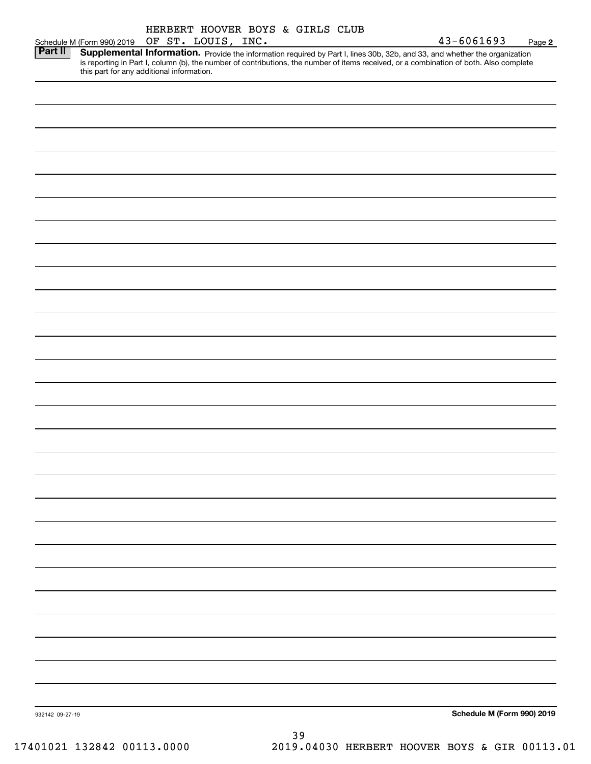|                 | Schedule M (Form 990) 2019 OF ST. LOUIS, INC.                                                                                                                                                                                       | HERBERT HOOVER BOYS & GIRLS CLUB |  |    |                                               | 43-6061693                 | Page 2 |
|-----------------|-------------------------------------------------------------------------------------------------------------------------------------------------------------------------------------------------------------------------------------|----------------------------------|--|----|-----------------------------------------------|----------------------------|--------|
| <b>Part II</b>  | <b>Supplemental Information.</b> Provide the information required by Part I, lines 30b, 32b, and 33, and whether the organization is reporting in Part I, column (b), the number of contributions, the number of items received, or |                                  |  |    |                                               |                            |        |
|                 |                                                                                                                                                                                                                                     |                                  |  |    |                                               |                            |        |
|                 |                                                                                                                                                                                                                                     |                                  |  |    |                                               |                            |        |
|                 |                                                                                                                                                                                                                                     |                                  |  |    |                                               |                            |        |
|                 |                                                                                                                                                                                                                                     |                                  |  |    |                                               |                            |        |
|                 |                                                                                                                                                                                                                                     |                                  |  |    |                                               |                            |        |
|                 |                                                                                                                                                                                                                                     |                                  |  |    |                                               |                            |        |
|                 |                                                                                                                                                                                                                                     |                                  |  |    |                                               |                            |        |
|                 |                                                                                                                                                                                                                                     |                                  |  |    |                                               |                            |        |
|                 |                                                                                                                                                                                                                                     |                                  |  |    |                                               |                            |        |
|                 |                                                                                                                                                                                                                                     |                                  |  |    |                                               |                            |        |
|                 |                                                                                                                                                                                                                                     |                                  |  |    |                                               |                            |        |
|                 |                                                                                                                                                                                                                                     |                                  |  |    |                                               |                            |        |
|                 |                                                                                                                                                                                                                                     |                                  |  |    |                                               |                            |        |
|                 |                                                                                                                                                                                                                                     |                                  |  |    |                                               |                            |        |
|                 |                                                                                                                                                                                                                                     |                                  |  |    |                                               |                            |        |
|                 |                                                                                                                                                                                                                                     |                                  |  |    |                                               |                            |        |
|                 |                                                                                                                                                                                                                                     |                                  |  |    |                                               |                            |        |
|                 |                                                                                                                                                                                                                                     |                                  |  |    |                                               |                            |        |
|                 |                                                                                                                                                                                                                                     |                                  |  |    |                                               |                            |        |
|                 |                                                                                                                                                                                                                                     |                                  |  |    |                                               |                            |        |
|                 |                                                                                                                                                                                                                                     |                                  |  |    |                                               |                            |        |
|                 |                                                                                                                                                                                                                                     |                                  |  |    |                                               |                            |        |
|                 |                                                                                                                                                                                                                                     |                                  |  |    |                                               |                            |        |
|                 |                                                                                                                                                                                                                                     |                                  |  |    |                                               |                            |        |
|                 |                                                                                                                                                                                                                                     |                                  |  |    |                                               |                            |        |
|                 |                                                                                                                                                                                                                                     |                                  |  |    |                                               |                            |        |
|                 |                                                                                                                                                                                                                                     |                                  |  |    |                                               |                            |        |
|                 |                                                                                                                                                                                                                                     |                                  |  |    |                                               |                            |        |
|                 |                                                                                                                                                                                                                                     |                                  |  |    |                                               |                            |        |
|                 |                                                                                                                                                                                                                                     |                                  |  |    |                                               |                            |        |
|                 |                                                                                                                                                                                                                                     |                                  |  |    |                                               |                            |        |
|                 |                                                                                                                                                                                                                                     |                                  |  |    |                                               |                            |        |
|                 |                                                                                                                                                                                                                                     |                                  |  |    |                                               |                            |        |
|                 |                                                                                                                                                                                                                                     |                                  |  |    |                                               |                            |        |
| 932142 09-27-19 |                                                                                                                                                                                                                                     |                                  |  |    |                                               | Schedule M (Form 990) 2019 |        |
|                 |                                                                                                                                                                                                                                     |                                  |  | 39 |                                               |                            |        |
|                 | 17401021 132842 00113.0000                                                                                                                                                                                                          |                                  |  |    | 2019.04030 HERBERT HOOVER BOYS & GIR 00113.01 |                            |        |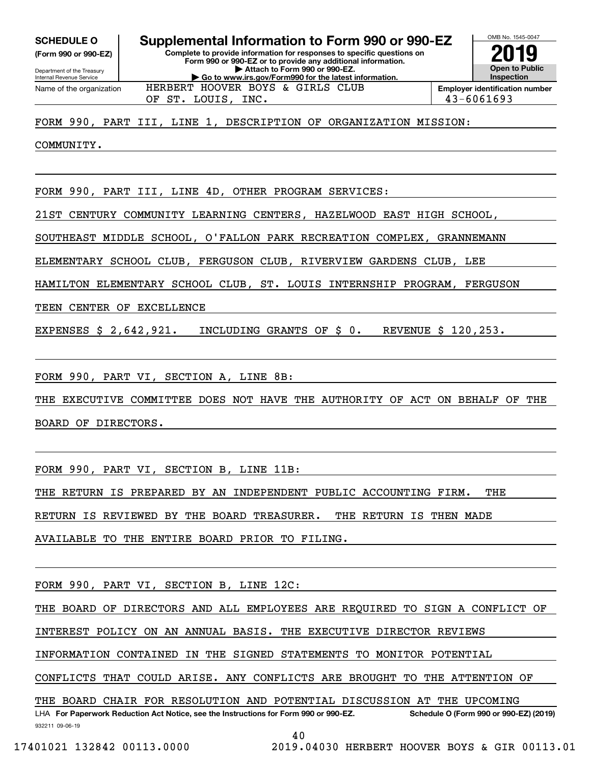**(Form 990 or 990-EZ)**

Department of the Treasury Internal Revenue Service Name of the organization

#### OMB No. 1545-0047 **Complete to provide information for responses to specific questions on Form 990 or 990-EZ or to provide any additional information. | Attach to Form 990 or 990-EZ. | Go to www.irs.gov/Form990 for the latest information. SCHEDULE O Supplemental Information to Form 990 or 990-EZ**



FORM 990, PART III, LINE 1, DESCRIPTION OF ORGANIZATION MISSION:

HERBERT HOOVER BOYS & GIRLS CLUB

COMMUNITY.

FORM 990, PART III, LINE 4D, OTHER PROGRAM SERVICES:

21ST CENTURY COMMUNITY LEARNING CENTERS, HAZELWOOD EAST HIGH SCHOOL,

SOUTHEAST MIDDLE SCHOOL, O'FALLON PARK RECREATION COMPLEX, GRANNEMANN

ELEMENTARY SCHOOL CLUB, FERGUSON CLUB, RIVERVIEW GARDENS CLUB, LEE

HAMILTON ELEMENTARY SCHOOL CLUB, ST. LOUIS INTERNSHIP PROGRAM, FERGUSON

TEEN CENTER OF EXCELLENCE

EXPENSES \$ 2,642,921. INCLUDING GRANTS OF \$ 0. REVENUE \$ 120,253.

FORM 990, PART VI, SECTION A, LINE 8B:

THE EXECUTIVE COMMITTEE DOES NOT HAVE THE AUTHORITY OF ACT ON BEHALF OF THE BOARD OF DIRECTORS.

FORM 990, PART VI, SECTION B, LINE 11B:

THE RETURN IS PREPARED BY AN INDEPENDENT PUBLIC ACCOUNTING FIRM. THE

RETURN IS REVIEWED BY THE BOARD TREASURER. THE RETURN IS THEN MADE

AVAILABLE TO THE ENTIRE BOARD PRIOR TO FILING.

FORM 990, PART VI, SECTION B, LINE 12C:

THE BOARD OF DIRECTORS AND ALL EMPLOYEES ARE REQUIRED TO SIGN A CONFLICT OF

INTEREST POLICY ON AN ANNUAL BASIS. THE EXECUTIVE DIRECTOR REVIEWS

INFORMATION CONTAINED IN THE SIGNED STATEMENTS TO MONITOR POTENTIAL

CONFLICTS THAT COULD ARISE. ANY CONFLICTS ARE BROUGHT TO THE ATTENTION OF

THE BOARD CHAIR FOR RESOLUTION AND POTENTIAL DISCUSSION AT THE UPCOMING

932211 09-06-19 LHA For Paperwork Reduction Act Notice, see the Instructions for Form 990 or 990-EZ. Schedule O (Form 990 or 990-EZ) (2019)

40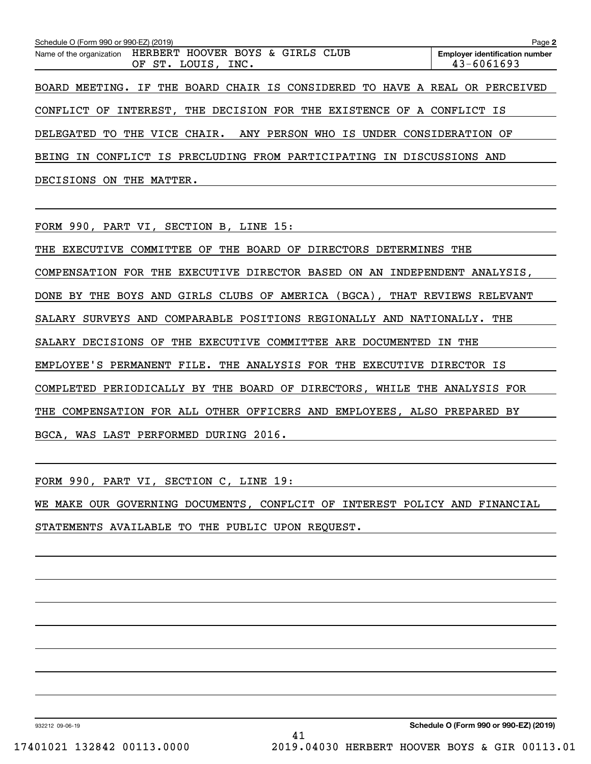| Schedule O (Form 990 or 990-EZ) (2019)                                          | Page 2                                                  |
|---------------------------------------------------------------------------------|---------------------------------------------------------|
| Name of the organization HERBERT HOOVER BOYS & GIRLS CLUB<br>OF ST. LOUIS, INC. | <b>Employer identification number</b><br>$43 - 6061693$ |
| BOARD MEETING. IF THE BOARD CHAIR IS CONSIDERED TO HAVE A REAL OR PERCEIVED     |                                                         |
| CONFLICT OF INTEREST, THE DECISION FOR THE EXISTENCE OF A CONFLICT IS           |                                                         |
| DELEGATED TO THE VICE CHAIR. ANY PERSON WHO IS UNDER CONSIDERATION OF           |                                                         |
| BEING IN CONFLICT IS PRECLUDING FROM PARTICIPATING IN DISCUSSIONS AND           |                                                         |
| DECISIONS ON THE MATTER.                                                        |                                                         |

FORM 990, PART VI, SECTION B, LINE 15:

THE EXECUTIVE COMMITTEE OF THE BOARD OF DIRECTORS DETERMINES THE COMPENSATION FOR THE EXECUTIVE DIRECTOR BASED ON AN INDEPENDENT ANALYSIS, DONE BY THE BOYS AND GIRLS CLUBS OF AMERICA (BGCA), THAT REVIEWS RELEVANT SALARY SURVEYS AND COMPARABLE POSITIONS REGIONALLY AND NATIONALLY. THE SALARY DECISIONS OF THE EXECUTIVE COMMITTEE ARE DOCUMENTED IN THE EMPLOYEE'S PERMANENT FILE. THE ANALYSIS FOR THE EXECUTIVE DIRECTOR IS COMPLETED PERIODICALLY BY THE BOARD OF DIRECTORS, WHILE THE ANALYSIS FOR THE COMPENSATION FOR ALL OTHER OFFICERS AND EMPLOYEES, ALSO PREPARED BY BGCA, WAS LAST PERFORMED DURING 2016.

FORM 990, PART VI, SECTION C, LINE 19:

WE MAKE OUR GOVERNING DOCUMENTS, CONFLCIT OF INTEREST POLICY AND FINANCIAL STATEMENTS AVAILABLE TO THE PUBLIC UPON REQUEST.

932212 09-06-19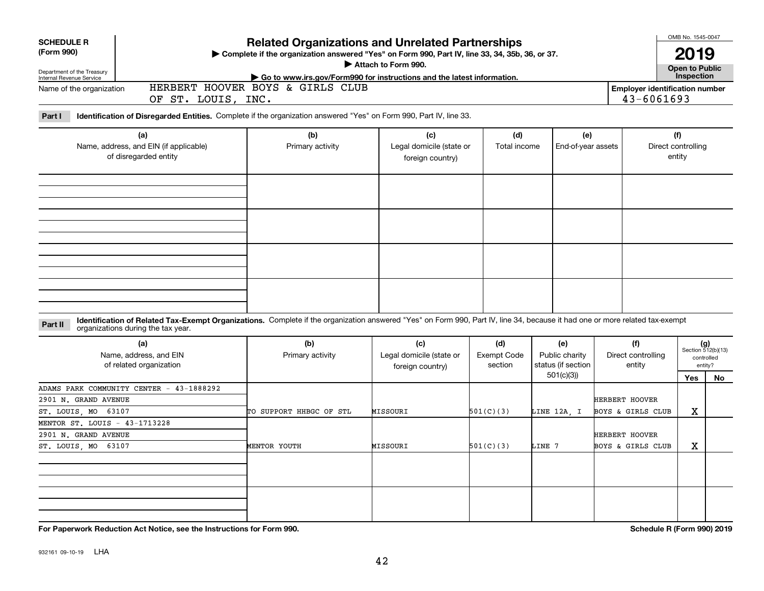| <b>SCHEDULE R</b>                                      |                                                                                                                                                                                                                    | <b>Related Organizations and Unrelated Partnerships</b>                                        | OMB No. 1545-0047                            |                    |                                 |                       |                              |                             |  |  |  |
|--------------------------------------------------------|--------------------------------------------------------------------------------------------------------------------------------------------------------------------------------------------------------------------|------------------------------------------------------------------------------------------------|----------------------------------------------|--------------------|---------------------------------|-----------------------|------------------------------|-----------------------------|--|--|--|
| (Form 990)                                             |                                                                                                                                                                                                                    | Complete if the organization answered "Yes" on Form 990, Part IV, line 33, 34, 35b, 36, or 37. |                                              |                    | <b>Open to Public</b>           |                       |                              |                             |  |  |  |
| Department of the Treasury<br>Internal Revenue Service | Attach to Form 990.<br>Go to www.irs.gov/Form990 for instructions and the latest information.                                                                                                                      |                                                                                                |                                              |                    |                                 |                       |                              |                             |  |  |  |
| Name of the organization                               | 43-6061693                                                                                                                                                                                                         | Inspection<br><b>Employer identification number</b>                                            |                                              |                    |                                 |                       |                              |                             |  |  |  |
| Part I                                                 | OF ST. LOUIS, INC.<br>Identification of Disregarded Entities. Complete if the organization answered "Yes" on Form 990, Part IV, line 33.                                                                           |                                                                                                |                                              |                    |                                 |                       |                              |                             |  |  |  |
|                                                        | (a)                                                                                                                                                                                                                | (b)                                                                                            | (c)                                          | (d)                | (e)                             |                       | (f)                          |                             |  |  |  |
|                                                        | Name, address, and EIN (if applicable)<br>of disregarded entity                                                                                                                                                    | Primary activity                                                                               | Legal domicile (state or<br>foreign country) | Total income       | End-of-year assets              |                       | Direct controlling<br>entity |                             |  |  |  |
|                                                        |                                                                                                                                                                                                                    |                                                                                                |                                              |                    |                                 |                       |                              |                             |  |  |  |
|                                                        |                                                                                                                                                                                                                    |                                                                                                |                                              |                    |                                 |                       |                              |                             |  |  |  |
|                                                        |                                                                                                                                                                                                                    |                                                                                                |                                              |                    |                                 |                       |                              |                             |  |  |  |
|                                                        |                                                                                                                                                                                                                    |                                                                                                |                                              |                    |                                 |                       |                              |                             |  |  |  |
|                                                        |                                                                                                                                                                                                                    |                                                                                                |                                              |                    |                                 |                       |                              |                             |  |  |  |
| Part II                                                | Identification of Related Tax-Exempt Organizations. Complete if the organization answered "Yes" on Form 990, Part IV, line 34, because it had one or more related tax-exempt<br>organizations during the tax year. |                                                                                                |                                              |                    |                                 |                       |                              |                             |  |  |  |
|                                                        | (a)                                                                                                                                                                                                                | (b)                                                                                            | (c)                                          | (d)                | (e)                             | (f)                   |                              | $(g)$<br>Section 512(b)(13) |  |  |  |
|                                                        | Name, address, and EIN                                                                                                                                                                                             | Primary activity                                                                               | Legal domicile (state or                     | <b>Exempt Code</b> | Public charity                  | Direct controlling    |                              | controlled                  |  |  |  |
|                                                        | of related organization                                                                                                                                                                                            |                                                                                                | foreign country)                             | section            | status (if section<br>501(c)(3) | entity                | <b>Yes</b>                   | entity?<br><b>No</b>        |  |  |  |
|                                                        | ADAMS PARK COMMUNITY CENTER - 43-1888292                                                                                                                                                                           |                                                                                                |                                              |                    |                                 |                       |                              |                             |  |  |  |
| 2901 N. GRAND AVENUE                                   |                                                                                                                                                                                                                    |                                                                                                |                                              |                    |                                 | <b>HERBERT HOOVER</b> |                              |                             |  |  |  |
| ST. LOUIS, MO 63107                                    |                                                                                                                                                                                                                    | TO SUPPORT HHBGC OF STL                                                                        | MISSOURI                                     | 501(C)(3)          | LINE 12A, I                     | BOYS & GIRLS CLUB     | X                            |                             |  |  |  |
| MENTOR ST. LOUIS - 43-1713228<br>2901 N. GRAND AVENUE  |                                                                                                                                                                                                                    |                                                                                                |                                              |                    |                                 | <b>HERBERT HOOVER</b> |                              |                             |  |  |  |
| ST. LOUIS, MO 63107                                    |                                                                                                                                                                                                                    | <b>MENTOR YOUTH</b>                                                                            | MISSOURI                                     | 501(C)(3)          | LINE 7                          | BOYS & GIRLS CLUB     | X                            |                             |  |  |  |
|                                                        |                                                                                                                                                                                                                    |                                                                                                |                                              |                    |                                 |                       |                              |                             |  |  |  |
|                                                        |                                                                                                                                                                                                                    |                                                                                                |                                              |                    |                                 |                       |                              |                             |  |  |  |
|                                                        |                                                                                                                                                                                                                    |                                                                                                |                                              |                    |                                 |                       |                              |                             |  |  |  |
|                                                        |                                                                                                                                                                                                                    |                                                                                                |                                              |                    |                                 |                       |                              |                             |  |  |  |
|                                                        |                                                                                                                                                                                                                    |                                                                                                |                                              |                    |                                 |                       |                              |                             |  |  |  |
|                                                        |                                                                                                                                                                                                                    |                                                                                                |                                              |                    |                                 |                       |                              |                             |  |  |  |

**For Paperwork Reduction Act Notice, see the Instructions for Form 990. Schedule R (Form 990) 2019**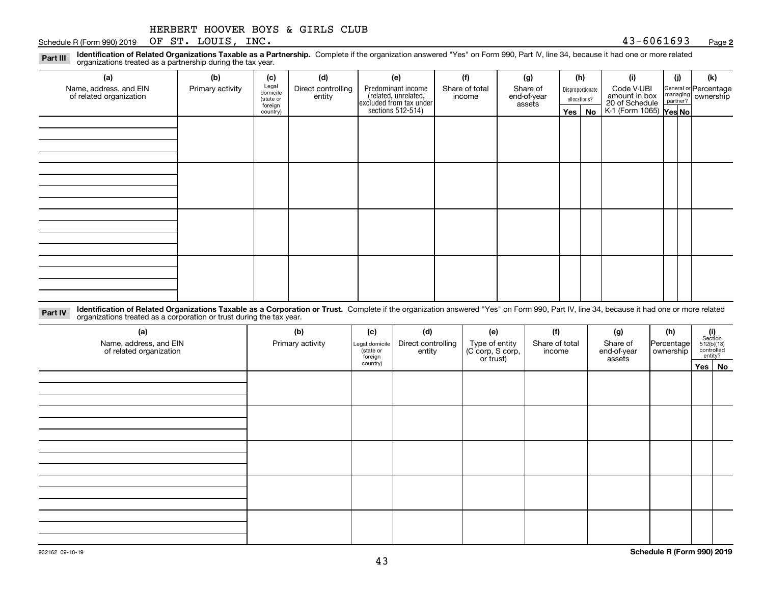|  | HERBERT HOOVER BOYS & GIRLS CLUB |  |  |  |  |  |
|--|----------------------------------|--|--|--|--|--|
|--|----------------------------------|--|--|--|--|--|

Schedule R (Form 990) 2019 Page OF ST. LOUIS, INC. 43-6061693

**2**

| Part III | Identification of Related Organizations Taxable as a Partnership, Complete if the organization answered "Yes" on Form 990, Part IV, line 34, because it had one or more related |  |  |  |
|----------|---------------------------------------------------------------------------------------------------------------------------------------------------------------------------------|--|--|--|
|          | organizations treated as a partnership during the tax year.                                                                                                                     |  |  |  |

| (a)                                               | (b)              | (c)                                                                       | (d) | (e)                                                                                        | (f)                      | (g)                               |         | (h)                              | (i)                                                                     | (i) |  | (k)                                         |
|---------------------------------------------------|------------------|---------------------------------------------------------------------------|-----|--------------------------------------------------------------------------------------------|--------------------------|-----------------------------------|---------|----------------------------------|-------------------------------------------------------------------------|-----|--|---------------------------------------------|
| Name, address, and EIN<br>of related organization | Primary activity | Legal<br>domicile<br>Direct controlling<br>entity<br>(state or<br>foreign |     | Predominant income<br>(related, unrelated,<br>excluded from tax under<br>sections 512-514) | Share of total<br>income | Share of<br>end-of-year<br>assets |         | Disproportionate<br>allocations? | Code V-UBI<br>amount in box<br>20 of Schedule<br>K-1 (Form 1065) Yes No |     |  | General or Percentage<br>managing ownership |
|                                                   |                  | country)                                                                  |     |                                                                                            |                          |                                   | Yes $ $ | No                               |                                                                         |     |  |                                             |
|                                                   |                  |                                                                           |     |                                                                                            |                          |                                   |         |                                  |                                                                         |     |  |                                             |
|                                                   |                  |                                                                           |     |                                                                                            |                          |                                   |         |                                  |                                                                         |     |  |                                             |
|                                                   |                  |                                                                           |     |                                                                                            |                          |                                   |         |                                  |                                                                         |     |  |                                             |
|                                                   |                  |                                                                           |     |                                                                                            |                          |                                   |         |                                  |                                                                         |     |  |                                             |
|                                                   |                  |                                                                           |     |                                                                                            |                          |                                   |         |                                  |                                                                         |     |  |                                             |
|                                                   |                  |                                                                           |     |                                                                                            |                          |                                   |         |                                  |                                                                         |     |  |                                             |
|                                                   |                  |                                                                           |     |                                                                                            |                          |                                   |         |                                  |                                                                         |     |  |                                             |
|                                                   |                  |                                                                           |     |                                                                                            |                          |                                   |         |                                  |                                                                         |     |  |                                             |
|                                                   |                  |                                                                           |     |                                                                                            |                          |                                   |         |                                  |                                                                         |     |  |                                             |
|                                                   |                  |                                                                           |     |                                                                                            |                          |                                   |         |                                  |                                                                         |     |  |                                             |
|                                                   |                  |                                                                           |     |                                                                                            |                          |                                   |         |                                  |                                                                         |     |  |                                             |
|                                                   |                  |                                                                           |     |                                                                                            |                          |                                   |         |                                  |                                                                         |     |  |                                             |
|                                                   |                  |                                                                           |     |                                                                                            |                          |                                   |         |                                  |                                                                         |     |  |                                             |
|                                                   |                  |                                                                           |     |                                                                                            |                          |                                   |         |                                  |                                                                         |     |  |                                             |
|                                                   |                  |                                                                           |     |                                                                                            |                          |                                   |         |                                  |                                                                         |     |  |                                             |
|                                                   |                  |                                                                           |     |                                                                                            |                          |                                   |         |                                  |                                                                         |     |  |                                             |

**Identification of Related Organizations Taxable as a Corporation or Trust.** Complete if the organization answered "Yes" on Form 990, Part IV, line 34, because it had one or more related **Part IV** organizations treated as a corporation or trust during the tax year.

| (a)<br>Name, address, and EIN<br>of related organization | (b)<br>Primary activity | (c)<br>Legal domicile<br>(state or<br>foreign | (d)<br>Direct controlling<br>entity | (e)<br>Type of entity<br>(C corp, S corp,<br>or trust) | (f)<br>Share of total<br>income | (g)<br>Share of<br>end-of-year<br>assets | (h)<br>Percentage | $\begin{array}{c} \textbf{(i)}\\ \text{Section}\\ 512 \text{(b)} \text{(13)}\\ \text{controlled}\\ \text{entity?} \end{array}$ |
|----------------------------------------------------------|-------------------------|-----------------------------------------------|-------------------------------------|--------------------------------------------------------|---------------------------------|------------------------------------------|-------------------|--------------------------------------------------------------------------------------------------------------------------------|
|                                                          |                         | country)                                      |                                     |                                                        |                                 |                                          |                   | Yes No                                                                                                                         |
|                                                          |                         |                                               |                                     |                                                        |                                 |                                          |                   |                                                                                                                                |
|                                                          |                         |                                               |                                     |                                                        |                                 |                                          |                   |                                                                                                                                |
|                                                          |                         |                                               |                                     |                                                        |                                 |                                          |                   |                                                                                                                                |
|                                                          |                         |                                               |                                     |                                                        |                                 |                                          |                   |                                                                                                                                |
|                                                          |                         |                                               |                                     |                                                        |                                 |                                          |                   |                                                                                                                                |
|                                                          |                         |                                               |                                     |                                                        |                                 |                                          |                   |                                                                                                                                |
|                                                          |                         |                                               |                                     |                                                        |                                 |                                          |                   |                                                                                                                                |
|                                                          |                         |                                               |                                     |                                                        |                                 |                                          |                   |                                                                                                                                |
|                                                          |                         |                                               |                                     |                                                        |                                 |                                          |                   |                                                                                                                                |
|                                                          |                         |                                               |                                     |                                                        |                                 |                                          |                   |                                                                                                                                |
|                                                          |                         |                                               |                                     |                                                        |                                 |                                          |                   |                                                                                                                                |
|                                                          |                         |                                               |                                     |                                                        |                                 |                                          |                   |                                                                                                                                |
|                                                          |                         |                                               |                                     |                                                        |                                 |                                          |                   |                                                                                                                                |
|                                                          |                         |                                               |                                     |                                                        |                                 |                                          |                   |                                                                                                                                |
|                                                          |                         |                                               |                                     |                                                        |                                 |                                          |                   |                                                                                                                                |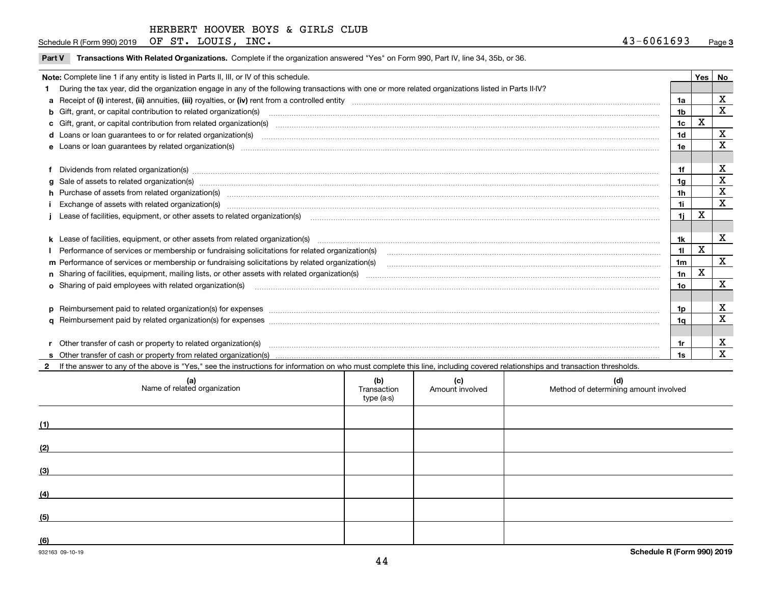Schedule R (Form 990) 2019 Page OF ST. LOUIS, INC. 43-6061693

| Transactions With Related Organizations. Complete if the organization answered "Yes" on Form 990, Part IV, line 34, 35b, or 36.<br><b>Part V</b>                                                                               |                 |             |             |
|--------------------------------------------------------------------------------------------------------------------------------------------------------------------------------------------------------------------------------|-----------------|-------------|-------------|
| Note: Complete line 1 if any entity is listed in Parts II, III, or IV of this schedule.                                                                                                                                        |                 |             | Yes   No    |
| During the tax year, did the organization engage in any of the following transactions with one or more related organizations listed in Parts II-IV?                                                                            |                 |             |             |
|                                                                                                                                                                                                                                | 1a              |             | х           |
| b Gift, grant, or capital contribution to related organization(s) manufaction contracts and contribution to related organization(s)                                                                                            | 1 <sub>b</sub>  |             | $\mathbf X$ |
| c Gift, grant, or capital contribution from related organization(s) www.communities.com/www.communities.com/www.communities.com/www.communities.com/www.communities.com/www.communities.com/www.communities.com/www.communitie | 1 <sub>c</sub>  | X           |             |
| d Loans or loan guarantees to or for related organization(s) committion contracts are constructed as a control or contract or contract or contract or contract or contract or contract or contract or contract or contract or  | 1 <sub>d</sub>  |             | X           |
| e Loans or loan guarantees by related organization(s) enconversements and construction of the construction of the constraint of the constraint of the constraint of the constraint of the constraint of the constraint of the  | 1e              |             | X           |
|                                                                                                                                                                                                                                |                 |             |             |
| Dividends from related organization(s) manufactured and contract the contract of the contract of the contract of the contract of the contract of the contract of the contract of the contract of the contract of the contract  | 1f              |             | X           |
| g Sale of assets to related organization(s) www.assettion.com/www.assettion.com/www.assettion.com/www.assettion.com/www.assettion.com/www.assettion.com/www.assettion.com/www.assettion.com/www.assettion.com/www.assettion.co | 1g              |             | X           |
| h Purchase of assets from related organization(s) manufactured content to the content of the content of the content of the content of the content of the content of the content of the content of the content of the content o | 1 <sub>h</sub>  |             | X           |
| Exchange of assets with related organization(s) www.assettion.com/www.assettion.com/www.assettion.com/www.assettion.com/www.assettion.com/www.assettion.com/www.assettion.com/www.assettion.com/www.assettion.com/www.assettio | 11              |             | $\mathbf x$ |
| Lease of facilities, equipment, or other assets to related organization(s) [11] manufactured content and the state of facilities, equipment, or other assets to related organization(s) [11] manufactured content and the stat | 11              | x           |             |
|                                                                                                                                                                                                                                |                 |             |             |
|                                                                                                                                                                                                                                | 1k              |             | х           |
|                                                                                                                                                                                                                                | 11              | X           |             |
|                                                                                                                                                                                                                                | 1 <sub>m</sub>  |             | $\mathbf x$ |
|                                                                                                                                                                                                                                | 1n              | $\mathbf x$ |             |
| <b>o</b> Sharing of paid employees with related organization(s)                                                                                                                                                                | 10 <sub>o</sub> |             | X           |
|                                                                                                                                                                                                                                |                 |             |             |
| p Reimbursement paid to related organization(s) for expenses [1111] and the content of the content of the content of the content of the content of the content of the content of the content of the content of the content of  | 1p              |             | X           |
|                                                                                                                                                                                                                                | 1q              |             | $\mathbf X$ |
|                                                                                                                                                                                                                                |                 |             |             |
| r Other transfer of cash or property to related organization(s)                                                                                                                                                                | 1r              |             | х           |
|                                                                                                                                                                                                                                | 1s              |             | х           |

**2**If the answer to any of the above is "Yes," see the instructions for information on who must complete this line, including covered relationships and transaction thresholds.

| (a)<br>Name of related organization | (b)<br>Transaction<br>type (a-s) | (c)<br>Amount involved | (d)<br>Method of determining amount involved |
|-------------------------------------|----------------------------------|------------------------|----------------------------------------------|
| (1)                                 |                                  |                        |                                              |
| (2)                                 |                                  |                        |                                              |
| (3)                                 |                                  |                        |                                              |
| (4)                                 |                                  |                        |                                              |
| (5)                                 |                                  |                        |                                              |
| (6)                                 |                                  |                        |                                              |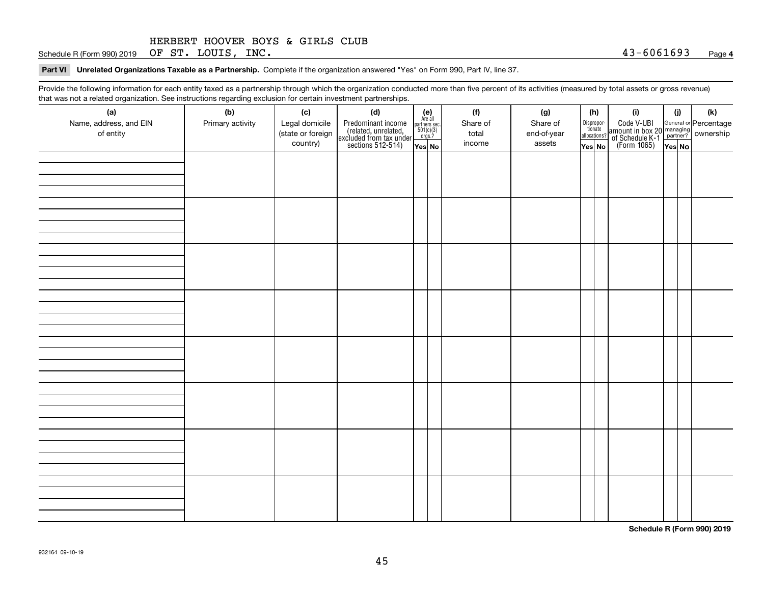Schedule R (Form 990) 2019 Page OF ST. LOUIS, INC. 43-6061693

**Part VI Unrelated Organizations Taxable as a Partnership. Complete if the organization answered "Yes" on Form 990, Part IV, line 37.** 

Provide the following information for each entity taxed as a partnership through which the organization conducted more than five percent of its activities (measured by total assets or gross revenue) that was not a related organization. See instructions regarding exclusion for certain investment partnerships.

| (a)<br>Name, address, and EIN<br>of entity | ໍ່ວ່<br>(b)<br>Primary activity | (c)<br>Legal domicile<br>(state or foreign<br>country) | (d)<br>Predominant income<br>(related, unrelated,<br>excluded from tax under<br>sections 512-514) | (e)<br>Are all<br>partners sec.<br>$501(c)(3)$<br>orgs.?<br>Yes No | (f)<br>Share of<br>total<br>income | (g)<br>Share of<br>end-of-year<br>assets | Dispropor-<br>tionate<br>allocations?<br>Yes No | (h) | (i)<br>Code V-UBI<br>amount in box 20 managing<br>of Schedule K-1<br>(Form 1065)<br>$\overline{Yes}$ No | (i)<br>Yes No | (k) |
|--------------------------------------------|---------------------------------|--------------------------------------------------------|---------------------------------------------------------------------------------------------------|--------------------------------------------------------------------|------------------------------------|------------------------------------------|-------------------------------------------------|-----|---------------------------------------------------------------------------------------------------------|---------------|-----|
|                                            |                                 |                                                        |                                                                                                   |                                                                    |                                    |                                          |                                                 |     |                                                                                                         |               |     |
|                                            |                                 |                                                        |                                                                                                   |                                                                    |                                    |                                          |                                                 |     |                                                                                                         |               |     |
|                                            |                                 |                                                        |                                                                                                   |                                                                    |                                    |                                          |                                                 |     |                                                                                                         |               |     |
|                                            |                                 |                                                        |                                                                                                   |                                                                    |                                    |                                          |                                                 |     |                                                                                                         |               |     |
|                                            |                                 |                                                        |                                                                                                   |                                                                    |                                    |                                          |                                                 |     |                                                                                                         |               |     |
|                                            |                                 |                                                        |                                                                                                   |                                                                    |                                    |                                          |                                                 |     |                                                                                                         |               |     |
|                                            |                                 |                                                        |                                                                                                   |                                                                    |                                    |                                          |                                                 |     |                                                                                                         |               |     |
|                                            |                                 |                                                        |                                                                                                   |                                                                    |                                    |                                          |                                                 |     |                                                                                                         |               |     |

**Schedule R (Form 990) 2019**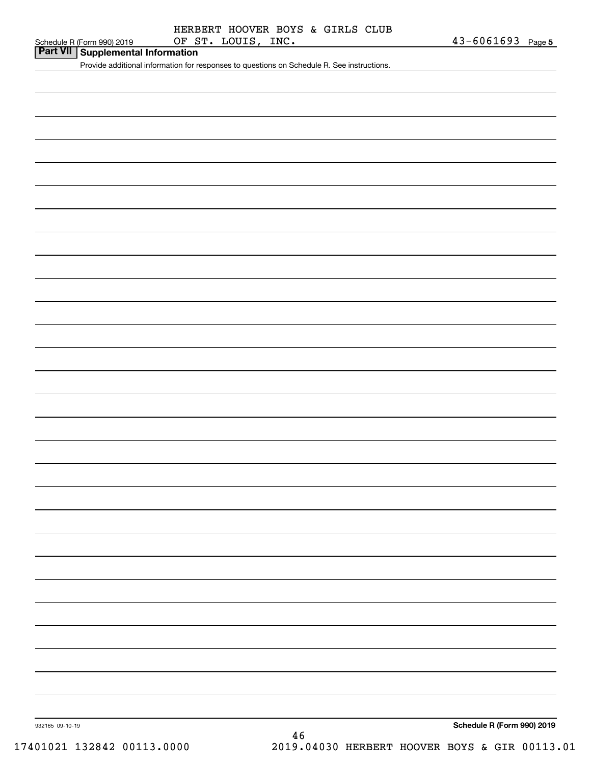**Part VII Supplemental Information**

Provide additional information for responses to questions on Schedule R. See instructions.

**Schedule R (Form 990) 2019**

932165 09-10-19